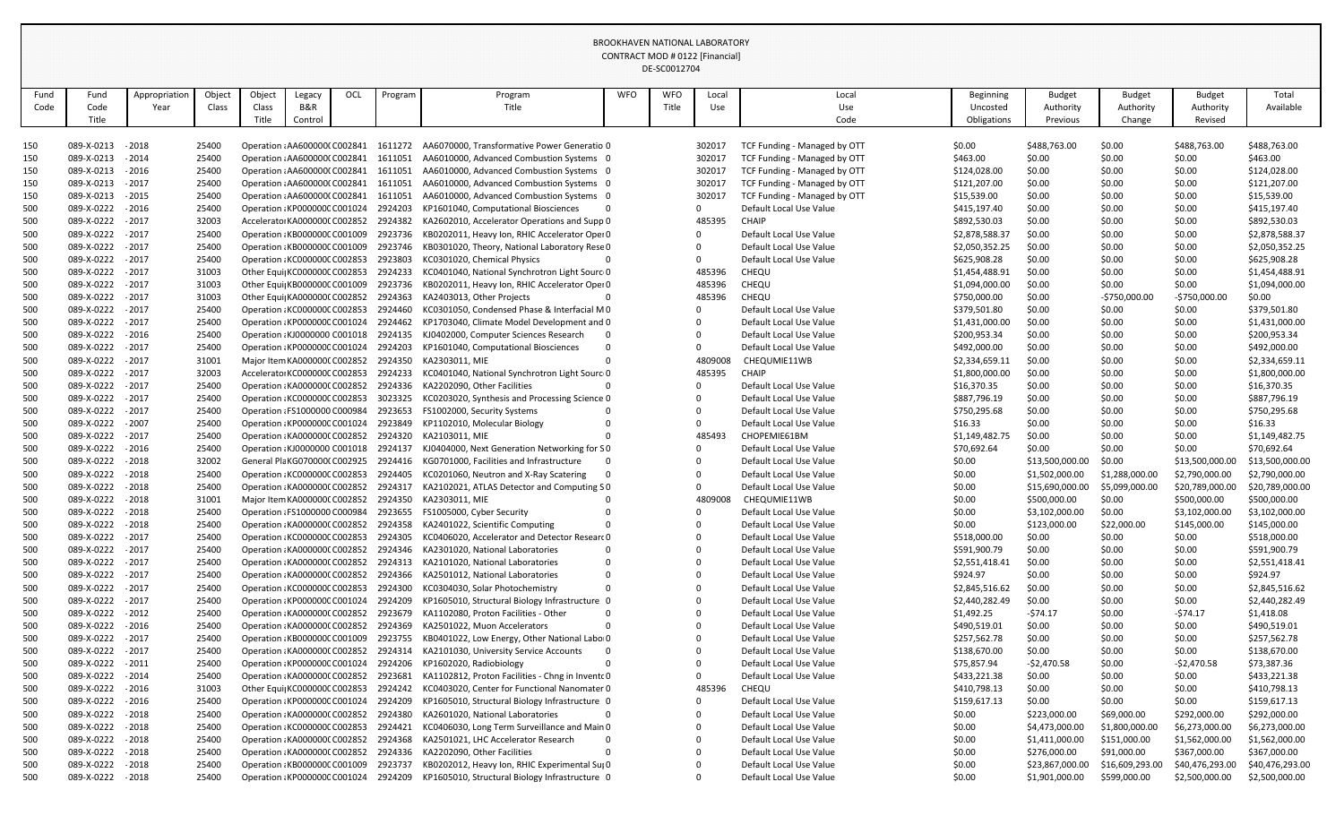|            |                                        |               |                |        |                                                                              |     |         |                                                                                   |            | DE-SC0012704 |         |                                                    |                            |                  |                  |                  |                            |
|------------|----------------------------------------|---------------|----------------|--------|------------------------------------------------------------------------------|-----|---------|-----------------------------------------------------------------------------------|------------|--------------|---------|----------------------------------------------------|----------------------------|------------------|------------------|------------------|----------------------------|
| Fund       | Fund                                   | Appropriatior | Object         | Object | Legacy                                                                       | OCL | Program | Program                                                                           | <b>WFO</b> | <b>WFO</b>   | Local   | Local                                              | Beginning                  | <b>Budget</b>    | <b>Budget</b>    | <b>Budget</b>    | Total                      |
| Code       | Code                                   | Year          | Class          | Class  | B&R                                                                          |     |         | Title                                                                             |            | Title        | Use     | Use                                                | Uncosted                   | Authority        | Authority        | Authority        | Available                  |
|            | Title                                  |               |                | Title  | Control                                                                      |     |         |                                                                                   |            |              |         | Code                                               | Obligations                | Previous         | Change           | Revised          |                            |
|            |                                        |               |                |        |                                                                              |     |         |                                                                                   |            |              |         |                                                    |                            |                  |                  |                  |                            |
| 150        | 089-X-0213 - 2018                      |               | 25400          |        | Operation : AA600000(C002841                                                 |     | 1611272 | AA6070000, Transformative Power Generatio 0                                       |            |              | 302017  | TCF Funding - Managed by OTT                       | \$0.00                     | \$488,763.00     | \$0.00           | \$488,763.00     | \$488,763.00               |
| 150        | 089-X-0213                             | $-2014$       | 25400          |        | Operation : AA6000000 C002841                                                |     | 1611051 | AA6010000, Advanced Combustion Systems 0                                          |            |              | 302017  | TCF Funding - Managed by OTT                       | \$463.00                   | \$0.00           | \$0.00           | \$0.00           | \$463.00                   |
| 150        | 089-X-0213                             | $-2016$       | 25400          |        | Operation : AA6000000 C002841                                                |     | 1611051 | AA6010000, Advanced Combustion Systems 0                                          |            |              | 302017  | TCF Funding - Managed by OTT                       | \$124,028.00               | \$0.00           | \$0.00           | \$0.00           | \$124,028.00               |
| 150        | 089-X-0213 - 2017                      |               | 25400          |        | Operation : AA6000000 C002841                                                |     | 1611051 | AA6010000, Advanced Combustion Systems 0                                          |            |              | 302017  | TCF Funding - Managed by OTT                       | \$121,207.00               | \$0.00           | \$0.00           | \$0.00           | \$121,207.00               |
| 150        | 089-X-0213 - 2015                      |               | 25400          |        | Operation : AA6000000 C002841                                                |     | 1611051 | AA6010000, Advanced Combustion Systems 0                                          |            |              | 302017  | TCF Funding - Managed by OTT                       | \$15,539.00                | \$0.00           | \$0.00           | \$0.00           | \$15,539.00                |
| 500        | 089-X-0222 - 2016                      |               | 25400          |        | Operation : KP000000C C001024                                                |     | 2924203 | KP1601040, Computational Biosciences                                              |            |              |         | Default Local Use Value                            | \$415,197.40               | \$0.00           | \$0.00           | \$0.00           | \$415,197.40               |
| 500        | 089-X-0222 - 2017                      |               | 32003          |        | Accelerato KA0000000 C002852                                                 |     | 2924382 | KA2602010, Accelerator Operations and Supp 0                                      |            |              | 485395  | CHAIP                                              | \$892,530.03               | \$0.00           | \$0.00           | \$0.00           | \$892,530.03               |
| 500        | 089-X-0222 - 2017                      |               | 25400          |        | Operation : KB000000C C001009                                                |     | 2923736 | KB0202011, Heavy Ion, RHIC Accelerator Oper 0                                     |            |              |         | Default Local Use Value                            | \$2,878,588.37             | \$0.00           | \$0.00           | \$0.00           | \$2,878,588.37             |
| 500        | 089-X-0222 - 2017                      |               | 25400          |        | Operation: KB000000C C001009                                                 |     | 2923746 | KB0301020, Theory, National Laboratory Rese 0                                     |            |              |         | Default Local Use Value                            | \$2,050,352.25             | \$0.00           | \$0.00           | \$0.00           | \$2,050,352.25             |
| 500        | 089-X-0222 - 2017                      |               | 25400          |        | Operation : KC000000C C002853 2923803                                        |     |         | KC0301020, Chemical Physics                                                       |            |              |         | Default Local Use Value                            | \$625,908.28               | \$0.00           | \$0.00           | \$0.00           | \$625,908.28               |
| 500        | 089-X-0222 - 2017                      |               | 31003          |        | Other Equi KC000000C C002853 2924233                                         |     |         | KC0401040, National Synchrotron Light Sourc 0                                     |            |              | 485396  | CHEQU                                              | \$1,454,488.91             | \$0.00           | \$0.00           | \$0.00           | \$1,454,488.91             |
| 500        | 089-X-0222 - 2017                      |               | 31003          |        | Other Equi KB000000C C001009                                                 |     | 2923736 | KB0202011, Heavy Ion, RHIC Accelerator Oper 0                                     |            |              | 485396  | CHEQU                                              | \$1,094,000.00             | \$0.00           | \$0.00           | \$0.00           | \$1,094,000.00             |
| 500        | 089-X-0222 - 2017                      |               | 31003          |        | Other Equi  KA0000000 C002852                                                |     | 2924363 | KA2403013, Other Projects                                                         |            |              | 485396  | <b>CHEQU</b>                                       | \$750,000.00               | \$0.00           | $-5750,000.00$   | -\$750,000.00    | \$0.00                     |
| 500        | 089-X-0222 - 2017                      |               | 25400          |        | Operation : KC000000C C002853                                                |     | 2924460 | KC0301050, Condensed Phase & Interfacial M0                                       |            |              |         | Default Local Use Value                            | \$379,501.80               | \$0.00           | \$0.00           | \$0.00           | \$379,501.80               |
| 500        | 089-X-0222 - 2017                      |               | 25400          |        | Operation: KP000000C C001024 2924462                                         |     |         | KP1703040, Climate Model Development and 0                                        |            |              |         | Default Local Use Value                            | \$1,431,000.00             | \$0.00           | \$0.00           | \$0.00           | \$1,431,000.00             |
| 500        | 089-X-0222 - 2016                      |               | 25400          |        | Operation : KJ0000000 C001018 2924135                                        |     |         | KJ0402000, Computer Sciences Research                                             |            |              |         | Default Local Use Value                            | \$200,953.34               | \$0.00           | \$0.00           | \$0.00           | \$200,953.34               |
| 500        | 089-X-0222 - 2017                      |               | 25400          |        | Operation : KP000000C C001024                                                |     | 2924203 | KP1601040, Computational Biosciences                                              |            |              |         | Default Local Use Value                            | \$492,000.00               | \$0.00           | \$0.00           | \$0.00           | \$492,000.00               |
| 500        | 089-X-0222 - 2017                      |               | 31001          |        | Major Item KA0000000 C002852 2924350                                         |     |         | KA2303011, MIE                                                                    |            |              | 4809008 | CHEQUMIE11WB                                       | \$2,334,659.11             | \$0.00           | \$0.00           | \$0.00           | \$2,334,659.11             |
| 500        | 089-X-0222 - 2017                      |               | 32003          |        | Accelerator KC000000C C002853                                                |     | 2924233 | KC0401040, National Synchrotron Light Sourc 0                                     |            |              | 485395  | <b>CHAIP</b>                                       | \$1,800,000.00             | \$0.00           | \$0.00           | \$0.00           | \$1,800,000.00             |
| 500        | 089-X-0222 - 2017                      |               | 25400          |        | Operation : KA0000000 C002852 2924336                                        |     |         | KA2202090, Other Facilities                                                       |            |              |         | Default Local Use Value                            | \$16,370.35                | \$0.00           | \$0.00           | \$0.00           | \$16,370.35                |
| 500        | 089-X-0222 - 2017                      |               | 25400          |        | Operation: KC000000C C002853                                                 |     | 3023325 | KC0203020, Synthesis and Processing Science 0                                     |            |              |         | Default Local Use Value                            | \$887,796.19               | \$0.00           | \$0.00           | \$0.00           | \$887,796.19               |
| 500        | 089-X-0222                             | $-2017$       | 25400          |        | Operation : FS1000000 C000984                                                |     | 2923653 | FS1002000, Security Systems                                                       |            |              |         | Default Local Use Value                            | \$750,295.68               | \$0.00           | \$0.00           | \$0.00           | \$750,295.68               |
| 500        | 089-X-0222                             | $-2007$       | 25400          |        | Operation: KP000000C C001024                                                 |     | 2923849 | KP1102010, Molecular Biology                                                      |            |              |         | Default Local Use Value                            | \$16.33                    | \$0.00           | \$0.00           | \$0.00           | \$16.33                    |
| 500        | 089-X-0222                             | $-2017$       | 25400          |        | Operation : KA0000000 C002852                                                |     | 2924320 | KA2103011, MIE                                                                    |            |              | 485493  | CHOPEMIE61BM                                       | \$1,149,482.75             | \$0.00           | \$0.00           | \$0.00           | \$1,149,482.75             |
| 500        | 089-X-0222 - 2016                      |               | 25400          |        | Operation : KJ0000000 C001018 2924137                                        |     |         | KJ0404000, Next Generation Networking for S0                                      |            |              |         | Default Local Use Value                            | \$70,692.64                | \$0.00           | \$0.00           | \$0.00           | \$70,692.64                |
|            | 089-X-0222                             | $-2018$       | 32002          |        | General Pla KG070000(C002925                                                 |     | 2924416 | KG0701000, Facilities and Infrastructure                                          |            |              |         | Default Local Use Value                            | \$0.00                     | \$13,500,000.00  | \$0.00           | \$13,500,000.00  | \$13,500,000.00            |
| 500        | 089-X-0222                             | $-2018$       | 25400          |        | Operation: KC000000C C002853                                                 |     | 2924405 | KC0201060, Neutron and X-Ray Scatering                                            |            |              |         | Default Local Use Value                            | \$0.00                     | \$1,502,000.00   | \$1,288,000.00   | \$2,790,000.00   | \$2,790,000.00             |
| 500        | 089-X-0222 - 2018<br>089-X-0222 - 2018 |               | 25400          |        | Operation : KA0000000 C002852 2924317                                        |     |         | KA2102021, ATLAS Detector and Computing S0                                        |            |              |         | Default Local Use Value                            | \$0.00                     | \$15,690,000.00  | \$5,099,000.00   | \$20,789,000.00  | \$20,789,000.00            |
| 500        |                                        |               | 31001          |        | Major Item KA0000000 C002852 2924350<br>Operation : FS1000000 C000984        |     |         | KA2303011, MIE                                                                    |            |              | 4809008 | CHEQUMIE11WB                                       | \$0.00                     | \$500,000.00     | \$0.00           | \$500,000.00     | \$500,000.00               |
| 500        | 089-X-0222                             | $-2018$       | 25400          |        |                                                                              |     | 2923655 | FS1005000, Cyber Security                                                         |            |              |         | Default Local Use Value<br>Default Local Use Value | \$0.00                     | \$3,102,000.00   | \$0.00           | \$3,102,000.00   | \$3,102,000.00             |
| 500        | 089-X-0222 - 2018<br>089-X-0222        | $-2017$       | 25400          |        | Operation: KA0000000 C002852 2924358                                         |     |         | KA2401022, Scientific Computing                                                   |            |              |         | Default Local Use Value                            | \$0.00                     | \$123,000.00     | \$22,000.00      | \$145,000.00     | \$145,000.00               |
| 500        |                                        |               | 25400          |        | Operation : KC000000C C002853                                                |     | 2924305 | KC0406020, Accelerator and Detector Researc 0<br>KA2301020, National Laboratories |            |              |         | Default Local Use Value                            | \$518,000.00               | \$0.00<br>\$0.00 | \$0.00           | \$0.00           | \$518,000.00               |
| 500        | 089-X-0222 - 2017<br>089-X-0222 - 2017 |               | 25400<br>25400 |        | Operation: KA0000000 C002852 2924346<br>Operation: KA0000000 C002852 2924313 |     |         | KA2101020, National Laboratories                                                  |            |              |         | Default Local Use Value                            | \$591,900.79               |                  | \$0.00           | \$0.00           | \$591,900.79               |
| 500        | 089-X-0222                             | $-2017$       | 25400          |        | Operation: KA0000000 C002852 2924366                                         |     |         | KA2501012, National Laboratories                                                  |            |              |         | Default Local Use Value                            | \$2,551,418.41<br>\$924.97 | \$0.00<br>\$0.00 | \$0.00<br>\$0.00 | \$0.00<br>\$0.00 | \$2,551,418.41<br>\$924.97 |
| 500<br>500 | 089-X-0222 - 2017                      |               | 25400          |        | Operation : KC000000C C002853 2924300                                        |     |         | KC0304030, Solar Photochemistry                                                   | $\Omega$   |              |         | Default Local Use Value                            | \$2,845,516.62             | \$0.00           | \$0.00           | \$0.00           | \$2,845,516.62             |
| 500        | 089-X-0222                             | $-2017$       | 25400          |        | Operation : KP000000C C001024                                                |     | 2924209 | KP1605010, Structural Biology Infrastructure 0                                    |            |              |         | Default Local Use Value                            | \$2,440,282.49             | \$0.00           | \$0.00           | \$0.00           | \$2,440,282.49             |
| 500        | 089-X-0222 - 2012                      |               | 25400          |        | Operation : KA0000000 C002852 2923679                                        |     |         | KA1102080, Proton Facilities - Other                                              |            |              |         | Default Local Use Value                            | \$1,492.25                 | $-574.17$        | \$0.00           | $-574.17$        | \$1,418.08                 |
| 500        | 089-X-0222 - 2016                      |               | 25400          |        | Operation: KA0000000 C002852 2924369                                         |     |         | KA2501022, Muon Accelerators                                                      |            |              |         | Default Local Use Value                            | \$490,519.01               | \$0.00           | \$0.00           | \$0.00           | \$490,519.01               |
| 500        | 089-X-0222                             | $-2017$       | 25400          |        | Operation : KB000000C C001009                                                |     | 2923755 | KB0401022, Low Energy, Other National Labor0                                      |            |              |         | Default Local Use Value                            | \$257,562.78               | \$0.00           | \$0.00           | \$0.00           | \$257,562.78               |
| 500        | 089-X-0222 - 2017                      |               | 25400          |        | Operation: KA0000000 C002852 2924314                                         |     |         | KA2101030, University Service Accounts                                            |            |              |         | Default Local Use Value                            | \$138,670.00               | \$0.00           | \$0.00           | \$0.00           | \$138,670.00               |
| 500        | 089-X-0222 - 2011                      |               | 25400          |        | Operation : KP000000C C001024                                                |     | 2924206 | KP1602020, Radiobiology                                                           |            |              |         | Default Local Use Value                            | \$75,857.94                | $-52,470.58$     | \$0.00           | $-52,470.58$     | \$73,387.36                |
| 500        | 089-X-0222                             | $-2014$       | 25400          |        | Operation : KA0000000 C002852 2923681                                        |     |         | KA1102812, Proton Facilities - Chng in Invento 0                                  |            |              |         | Default Local Use Value                            | \$433,221.38               | \$0.00           | \$0.00           | \$0.00           | \$433,221.38               |
| 500        | 089-X-0222 - 2016                      |               | 31003          |        | Other Equi KC000000C C002853 2924242                                         |     |         | KC0403020, Center for Functional Nanomater 0                                      |            |              | 485396  | <b>CHEQU</b>                                       | \$410,798.13               | \$0.00           | \$0.00           | \$0.00           | \$410,798.13               |
| 500        | 089-X-0222                             | $-2016$       | 25400          |        | Operation : KP000000C C001024                                                |     | 2924209 | KP1605010, Structural Biology Infrastructure 0                                    |            |              |         | Default Local Use Value                            | \$159,617.13               | \$0.00           | \$0.00           | \$0.00           | \$159,617.13               |
| 500        | 089-X-0222 - 2018                      |               | 25400          |        | Operation : KA0000000 C002852 2924380                                        |     |         | KA2601020, National Laboratories                                                  |            |              |         | Default Local Use Value                            | \$0.00                     | \$223,000.00     | \$69,000.00      | \$292,000.00     | \$292,000.00               |
| 500        | 089-X-0222 - 2018                      |               | 25400          |        | Operation : KC000000C C002853 2924421                                        |     |         | KC0406030, Long Term Surveillance and Main 0                                      |            |              |         | Default Local Use Value                            | \$0.00                     | \$4,473,000.00   | \$1,800,000.0    | \$6,273,000.00   | \$6,273,000.00             |
| 500        | 089-X-0222                             | $-2018$       | 25400          |        | Operation : KA0000000 C002852                                                |     | 2924368 | KA2501021, LHC Accelerator Research                                               |            |              |         | Default Local Use Value                            | \$0.00                     | \$1,411,000.00   | \$151,000.00     | \$1,562,000.00   | \$1,562,000.00             |
| 500        | 089-X-0222 - 2018                      |               | 25400          |        | Operation: KA0000000 C002852 2924336                                         |     |         | KA2202090, Other Facilities                                                       |            |              |         | Default Local Use Value                            | \$0.00                     | \$276,000.00     | \$91,000.00      | \$367,000.00     | \$367,000.00               |
| 500        | 089-X-0222 - 2018                      |               | 25400          |        | Operation : KB000000C C001009                                                |     | 2923737 | KB0202012, Heavy Ion, RHIC Experimental Sul 0                                     |            |              |         | Default Local Use Value                            | \$0.00                     | \$23,867,000.00  | \$16,609,293.00  | \$40,476,293.00  | \$40,476,293.00            |
| 500        | 089-X-0222 - 2018                      |               | 25400          |        | Operation: KP000000C C001024                                                 |     | 2924209 | KP1605010, Structural Biology Infrastructure 0                                    |            |              |         | Default Local Use Value                            | \$0.00                     | \$1,901,000.00   | \$599,000.00     | \$2,500,000.00   | \$2,500,000.00             |
|            |                                        |               |                |        |                                                                              |     |         |                                                                                   |            |              |         |                                                    |                            |                  |                  |                  |                            |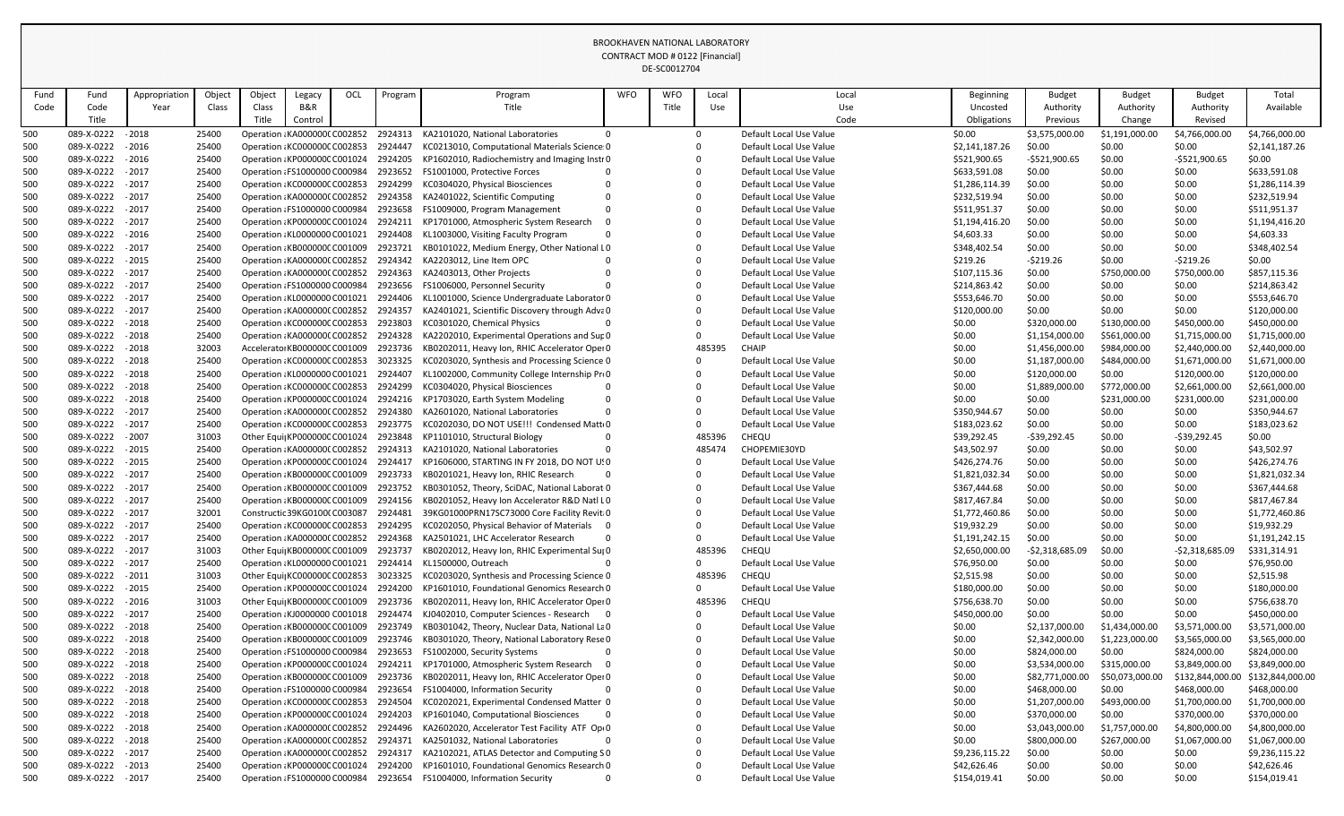|            |                                 |                    |                |        |                                                                       |     |                    |                                                                                              |            | DE-SCOUTZ/04 |        |                                                    |                              |                        |                        |                              |                              |
|------------|---------------------------------|--------------------|----------------|--------|-----------------------------------------------------------------------|-----|--------------------|----------------------------------------------------------------------------------------------|------------|--------------|--------|----------------------------------------------------|------------------------------|------------------------|------------------------|------------------------------|------------------------------|
| Fund       | Fund                            | Appropriation      | Object         | Object | Legacy                                                                | OCL | Program            | Program                                                                                      | <b>WFO</b> | <b>WFO</b>   | Local  | Local                                              | <b>Beginning</b>             | <b>Budget</b>          | <b>Budget</b>          | <b>Budget</b>                | Total                        |
| Code       | Code                            | Year               | Class          | Class  | <b>B&amp;R</b>                                                        |     |                    | Title                                                                                        |            | Title        | Use    | Use                                                | Uncosted                     | Authority              | Authority              | Authority                    | Available                    |
|            | Title                           |                    |                | Title  | Control                                                               |     |                    |                                                                                              |            |              |        | Code                                               | Obligations                  | Previous               | Change                 | Revised                      |                              |
| 500        | 089-X-0222                      | $-2018$            | 25400          |        | Operation: KA000000(C002852                                           |     | 2924313            | KA2101020, National Laboratories<br>$\Omega$                                                 |            |              |        | Default Local Use Value                            | \$0.00                       | \$3,575,000.00         | \$1,191,000.00         | \$4,766,000.00               | \$4,766,000.00               |
| 500        | 089-X-0222                      | $-2016$            | 25400          |        | Operation: KC000000C C002853                                          |     | 2924447            | KC0213010, Computational Materials Science: 0                                                |            |              |        | Default Local Use Value                            | \$2,141,187.26               | \$0.00                 | \$0.00                 | \$0.00                       | \$2,141,187.26               |
| 500        | 089-X-0222                      | $-2016$            | 25400          |        | Operation: KP000000C C001024                                          |     | 2924205            | KP1602010, Radiochemistry and Imaging Instr 0                                                |            |              |        | Default Local Use Value                            | \$521,900.65                 | $-$521,900.65$         | \$0.00                 | $-5521,900.65$               | \$0.00                       |
| 500        | 089-X-0222                      | $-2017$            | 25400          |        | Operation : FS1000000 C000984                                         |     | 2923652            | FS1001000, Protective Forces                                                                 |            |              |        | Default Local Use Value                            | \$633,591.08                 | \$0.00                 | \$0.00                 | \$0.00                       | \$633,591.08                 |
| 500        | 089-X-0222                      | $-2017$            | 25400          |        | Operation : KC000000C C002853                                         |     | 2924299            | KC0304020, Physical Biosciences                                                              |            |              |        | Default Local Use Value                            | \$1,286,114.39               | \$0.00                 | \$0.00                 | \$0.00                       | \$1,286,114.39               |
| 500        | 089-X-0222                      | $-2017$            | 25400          |        | Operation : KA0000000 C002852                                         |     | 2924358            | KA2401022, Scientific Computing                                                              |            |              |        | Default Local Use Value                            | \$232,519.94                 | \$0.00                 | \$0.00                 | \$0.00                       | \$232,519.94                 |
| 500        | 089-X-0222                      | $-2017$            | 25400          |        | Operation : FS1000000 C000984                                         |     | 2923658            | FS1009000, Program Management                                                                |            |              |        | Default Local Use Value                            | \$511,951.37                 | \$0.00                 | \$0.00                 | \$0.00                       | \$511,951.37                 |
| 500        | 089-X-0222                      | $-2017$            | 25400          |        | Operation: KP000000C C001024                                          |     | 2924211            | KP1701000, Atmospheric System Research                                                       |            |              |        | Default Local Use Value                            | \$1,194,416.20               | \$0.00                 | \$0.00                 | \$0.00                       | \$1,194,416.20               |
| 500        | 089-X-0222                      | $-2016$            | 25400          |        | Operation : KL0000000 C001021                                         |     | 2924408            | KL1003000, Visiting Faculty Program                                                          |            |              |        | Default Local Use Value                            | \$4,603.33                   | \$0.00                 | \$0.00                 | \$0.00                       | \$4,603.33                   |
| 500        | 089-X-0222                      | $-2017$            | 25400          |        | Operation: KB000000C C001009                                          |     | 2923721            | KB0101022, Medium Energy, Other National LO                                                  |            |              |        | Default Local Use Value                            | \$348,402.54                 | \$0.00                 | \$0.00                 | \$0.00                       | \$348,402.54                 |
| 500        | 089-X-0222<br>089-X-0222        | $-2015$<br>$-2017$ | 25400<br>25400 |        | Operation : KA0000000 C002852<br>Operation : KA0000000 C002852        |     | 2924342<br>2924363 | KA2203012, Line Item OPC<br>KA2403013, Other Projects                                        |            |              |        | Default Local Use Value<br>Default Local Use Value | \$219.26                     | $-$ \$219.26<br>\$0.00 | \$0.00                 | $-$ \$219.26<br>\$750,000.00 | \$0.00<br>\$857,115.36       |
| 500<br>500 | 089-X-0222                      | $-2017$            | 25400          |        | Operation : FS1000000 C000984                                         |     | 2923656            | FS1006000, Personnel Security                                                                |            |              |        | Default Local Use Value                            | \$107,115.36<br>\$214,863.42 | \$0.00                 | \$750,000.00<br>\$0.00 | \$0.00                       | \$214,863.42                 |
| 500        | 089-X-0222                      | $-2017$            | 25400          |        | Operation : KL0000000 C001021                                         |     | 2924406            | KL1001000, Science Undergraduate Laborator 0                                                 |            |              |        | Default Local Use Value                            | \$553,646.70                 | \$0.00                 | \$0.00                 | \$0.00                       | \$553,646.70                 |
| 500        | 089-X-0222                      | $-2017$            | 25400          |        | Operation : KA0000000 C002852 2924357                                 |     |                    | KA2401021, Scientific Discovery through Adva0                                                |            |              |        | Default Local Use Value                            | \$120,000.00                 | \$0.00                 | \$0.00                 | \$0.00                       | \$120,000.00                 |
| 500        | 089-X-0222                      | $-2018$            | 25400          |        | Operation : KC000000C C002853                                         |     | 2923803            | KC0301020, Chemical Physics                                                                  |            |              |        | Default Local Use Value                            | \$0.00                       | \$320,000.00           | \$130,000.00           | \$450,000.00                 | \$450,000.00                 |
| 500        | 089-X-0222                      | $-2018$            | 25400          |        | Operation : KA0000000 C002852                                         |     | 2924328            | KA2202010, Experimental Operations and Sur 0                                                 |            |              |        | Default Local Use Value                            | \$0.00                       | \$1,154,000.00         | \$561,000.00           | \$1,715,000.00               | \$1,715,000.00               |
| 500        | 089-X-0222                      | $-2018$            | 32003          |        | Accelerator KB000000C C001009                                         |     | 2923736            | KB0202011, Heavy Ion, RHIC Accelerator Oper 0                                                |            |              | 485395 | <b>CHAIP</b>                                       | \$0.00                       | \$1,456,000.00         | \$984,000.00           | \$2,440,000.00               | \$2,440,000.00               |
| 500        | 089-X-0222                      | $-2018$            | 25400          |        | Operation : KC000000C C002853                                         |     | 3023325            | KC0203020, Synthesis and Processing Science 0                                                |            |              |        | Default Local Use Value                            | \$0.00                       | \$1,187,000.00         | \$484,000.00           | \$1,671,000.00               | \$1,671,000.00               |
| 500        | 089-X-0222                      | $-2018$            | 25400          |        | Operation : KL0000000 C001021                                         |     | 2924407            | KL1002000, Community College Internship Pro                                                  |            |              |        | Default Local Use Value                            | \$0.00                       | \$120,000.00           | \$0.00                 | \$120,000.00                 | \$120,000.00                 |
| 500        | 089-X-0222                      | $-2018$            | 25400          |        | Operation: KC000000C C002853                                          |     | 2924299            | KC0304020, Physical Biosciences                                                              |            |              |        | Default Local Use Value                            | \$0.00                       | \$1,889,000.00         | \$772,000.00           | \$2,661,000.00               | \$2,661,000.00               |
| 500        | 089-X-0222                      | $-2018$            | 25400          |        | Operation : KP000000C C001024                                         |     | 2924216            | KP1703020, Earth System Modeling                                                             |            |              |        | Default Local Use Value                            | \$0.00                       | \$0.00                 | \$231,000.00           | \$231,000.00                 | \$231,000.00                 |
| 500        | 089-X-0222                      | $-2017$            | 25400          |        | Operation : KA0000000 C002852                                         |     | 2924380            | KA2601020, National Laboratories                                                             |            |              |        | Default Local Use Value                            | \$350,944.67                 | \$0.00                 | \$0.00                 | \$0.00                       | \$350,944.67                 |
| 500        | 089-X-0222 - 2017               |                    | 25400          |        | Operation : KC000000C C002853                                         |     | 2923775            | KC0202030, DO NOT USE!!! Condensed Matto0                                                    |            |              |        | Default Local Use Value                            | \$183,023.62                 | \$0.00                 | \$0.00                 | \$0.00                       | \$183,023.62                 |
| 500        | 089-X-0222                      | $-2007$            | 31003          |        | Other Equi KP000000C C001024                                          |     | 2923848            | KP1101010, Structural Biology                                                                |            |              | 485396 | <b>CHEQU</b>                                       | \$39,292.45                  | $-539,292.45$          | \$0.00                 | $-539,292.45$                | \$0.00                       |
| 500        | 089-X-0222 - 2015               |                    | 25400          |        | Operation : KA000000(C002852                                          |     | 2924313            | KA2101020, National Laboratories                                                             |            |              | 485474 | CHOPEMIE30YD                                       | \$43,502.97                  | \$0.00                 | \$0.00                 | \$0.00                       | \$43,502.97                  |
| 500        | 089-X-0222 - 2015               |                    | 25400          |        | Operation : KP000000C C001024 2924417                                 |     |                    | KP1606000, STARTING IN FY 2018, DO NOT USO                                                   |            |              |        | Default Local Use Value                            | \$426,274.76                 | \$0.00                 | \$0.00                 | \$0.00                       | \$426,274.76                 |
| 500        | 089-X-0222 - 2017               |                    | 25400          |        | Operation : KB000000C C001009                                         |     | 2923733            | KB0201021, Heavy Ion, RHIC Research                                                          |            |              |        | Default Local Use Value                            | \$1,821,032.34               | \$0.00                 | \$0.00                 | \$0.00                       | \$1,821,032.34               |
| 500        | 089-X-0222 - 2017               |                    | 25400          |        | Operation KB000000C C001009                                           |     | 2923752            | KB0301052, Theory, SciDAC, National Laborat 0                                                |            |              |        | Default Local Use Value                            | \$367,444.68                 | \$0.00                 | \$0.00                 | \$0.00                       | \$367,444.68                 |
| 500        | 089-X-0222 - 2017               |                    | 25400          |        | Operation : KB000000C C001009 2924156                                 |     |                    | KB0201052, Heavy Ion Accelerator R&D Natl L0                                                 |            |              |        | Default Local Use Value                            | \$817,467.84                 | \$0.00                 | \$0.00                 | \$0.00                       | \$817,467.84                 |
| 500        | 089-X-0222 - 2017               |                    | 32001          |        | Constructic 39KG0100(C003087                                          |     | 2924481            | 39KG01000PRN17SC73000 Core Facility Revit 0                                                  |            |              |        | Default Local Use Value                            | \$1,772,460.86               | \$0.00                 | \$0.00                 | \$0.00                       | \$1,772,460.86               |
| 500        | 089-X-0222 - 2017               |                    | 25400          |        | Operation: KC000000C C002853                                          |     | 2924295            | KC0202050, Physical Behavior of Materials 0                                                  |            |              |        | Default Local Use Value                            | \$19,932.29                  | \$0.00                 | \$0.00                 | \$0.00                       | \$19,932.29                  |
| 500        | 089-X-0222                      | $-2017$            | 25400          |        | Operation : KA0000000 C002852                                         |     | 2924368            | KA2501021, LHC Accelerator Research                                                          |            |              |        | Default Local Use Value                            | \$1,191,242.15               | \$0.00                 | \$0.00                 | \$0.00                       | \$1,191,242.15               |
| 500        | 089-X-0222                      | $-2017$            | 31003          |        | Other Equi KB000000C C001009                                          |     | 2923737            | KB0202012, Heavy Ion, RHIC Experimental Sul 0                                                |            |              | 485396 | <b>CHEQU</b>                                       | \$2,650,000.00               | -\$2,318,685.09        | \$0.00                 | $-52,318,685.09$             | \$331,314.91                 |
| 500        | 089-X-0222                      | $-2017$            | 25400          |        | Operation : KL0000000 C001021 2924414                                 |     |                    | KL1500000, Outreach                                                                          |            |              |        | Default Local Use Value                            | \$76,950.00                  | \$0.00                 | \$0.00                 | \$0.00                       | \$76,950.00                  |
| 500        | 089-X-0222 - 2011<br>089-X-0222 | $-2015$            | 31003          |        | Other Equi  KC000000C C002853                                         |     | 3023325<br>2924200 | KC0203020, Synthesis and Processing Science 0<br>KP1601010, Foundational Genomics Research 0 |            |              | 485396 | <b>CHEQU</b><br>Default Local Use Value            | \$2,515.98                   | \$0.00                 | \$0.00                 | \$0.00                       | \$2,515.98                   |
| 500<br>500 | 089-X-0222 - 2016               |                    | 25400<br>31003 |        | Operation : KP000000C C001024<br>Other Equi KB000000C C001009 2923736 |     |                    | KB0202011, Heavy Ion, RHIC Accelerator Oper 0                                                |            |              | 485396 | <b>CHEQU</b>                                       | \$180,000.00<br>\$756,638.70 | \$0.00<br>\$0.00       | \$0.00<br>\$0.00       | \$0.00<br>\$0.00             | \$180,000.00<br>\$756,638.70 |
| 500        | 089-X-0222 - 2017               |                    | 25400          |        | Operation KJ0000000 C001018 2924474                                   |     |                    | KJ0402010, Computer Sciences - Research                                                      |            |              |        | Default Local Use Value                            | \$450,000.00                 | \$0.00                 | \$0.00                 | \$0.00                       | \$450,000.00                 |
| 500        | 089-X-0222                      | $-2018$            | 25400          |        | Operation: KB000000C C001009                                          |     | 2923749            | KB0301042, Theory, Nuclear Data, National LaO                                                |            |              |        | Default Local Use Value                            | \$0.00                       | \$2,137,000.00         | \$1,434,000.00         | \$3,571,000.00               | \$3,571,000.00               |
| 500        | 089-X-0222 - 2018               |                    | 25400          |        | Operation : KB000000C C001009                                         |     | 2923746            | KB0301020, Theory, National Laboratory Rese 0                                                |            |              |        | Default Local Use Value                            | \$0.00                       | \$2,342,000.00         | \$1,223,000.00         | \$3,565,000.00               | \$3,565,000.00               |
| 500        | 089-X-0222                      | $-2018$            | 25400          |        | Operation : FS1000000 C000984                                         |     | 2923653            | FS1002000, Security Systems                                                                  |            |              |        | Default Local Use Value                            | \$0.00                       | \$824,000.00           | \$0.00                 | \$824,000.00                 | \$824,000.00                 |
| 500        | 089-X-0222                      | $-2018$            | 25400          |        | Operation: KP000000C C001024                                          |     | 2924211            | KP1701000, Atmospheric System Research                                                       |            |              |        | Default Local Use Value                            | \$0.00                       | \$3,534,000.00         | \$315,000.00           | \$3,849,000.00               | \$3,849,000.00               |
| 500        | 089-X-0222 - 2018               |                    | 25400          |        | Operation : KB000000C C001009                                         |     | 2923736            | KB0202011, Heavy Ion, RHIC Accelerator Oper 0                                                |            |              |        | Default Local Use Value                            | \$0.00                       | \$82,771,000.00        | \$50,073,000.0         | \$132,844,000.00             | \$132,844,000.00             |
| 500        | 089-X-0222                      | $-2018$            | 25400          |        | Operation : FS1000000 C000984                                         |     | 2923654            | FS1004000, Information Security                                                              |            |              |        | Default Local Use Value                            | \$0.00                       | \$468,000.00           | \$0.00                 | \$468,000.00                 | \$468,000.00                 |
| 500        | 089-X-0222 - 2018               |                    | 25400          |        | Operation: KC000000C C002853                                          |     | 2924504            | KC0202021, Experimental Condensed Matter 0                                                   |            |              |        | Default Local Use Value                            | \$0.00                       | \$1,207,000.00         | \$493,000.00           | \$1,700,000.00               | \$1,700,000.00               |
| 500        | 089-X-0222 - 2018               |                    | 25400          |        | Operation : KP000000C C001024                                         |     | 2924203            | KP1601040, Computational Biosciences                                                         |            |              |        | Default Local Use Value                            | \$0.00                       | \$370,000.00           | \$0.00                 | \$370,000.00                 | \$370,000.00                 |
| 500        | 089-X-0222                      | $-2018$            | 25400          |        | Operation : KA0000000 C002852 2924496                                 |     |                    | KA2602020, Accelerator Test Facility ATF Op(0                                                |            |              |        | Default Local Use Value                            | \$0.00                       | \$3,043,000.00         | \$1,757,000.00         | \$4,800,000.00               | \$4,800,000.00               |
| 500        | 089-X-0222 - 2018               |                    | 25400          |        | Operation KA0000000 C002852 2924371                                   |     |                    | KA2501032, National Laboratories                                                             |            |              |        | Default Local Use Value                            | \$0.00                       | \$800,000.00           | \$267,000.00           | \$1,067,000.00               | \$1,067,000.00               |
| 500        | 089-X-0222 - 2017               |                    | 25400          |        | Operation : KA0000000 C002852 2924317                                 |     |                    | KA2102021, ATLAS Detector and Computing S0                                                   |            |              |        | Default Local Use Value                            | \$9,236,115.22               | \$0.00                 | \$0.00                 | \$0.00                       | \$9,236,115.22               |
| 500        | 089-X-0222 - 2013               |                    | 25400          |        | Operation : KP000000C C001024                                         |     | 2924200            | KP1601010, Foundational Genomics Research 0                                                  |            |              |        | Default Local Use Value                            | \$42,626.46                  | \$0.00                 | \$0.00                 | \$0.00                       | \$42,626.46                  |
| 500        | 089-X-0222 - 2017               |                    | 25400          |        | Operation : FS1000000 C000984                                         |     | 2923654            | FS1004000, Information Security                                                              |            |              |        | Default Local Use Value                            | \$154,019.41                 | \$0.00                 | \$0.00                 | \$0.00                       | \$154,019.41                 |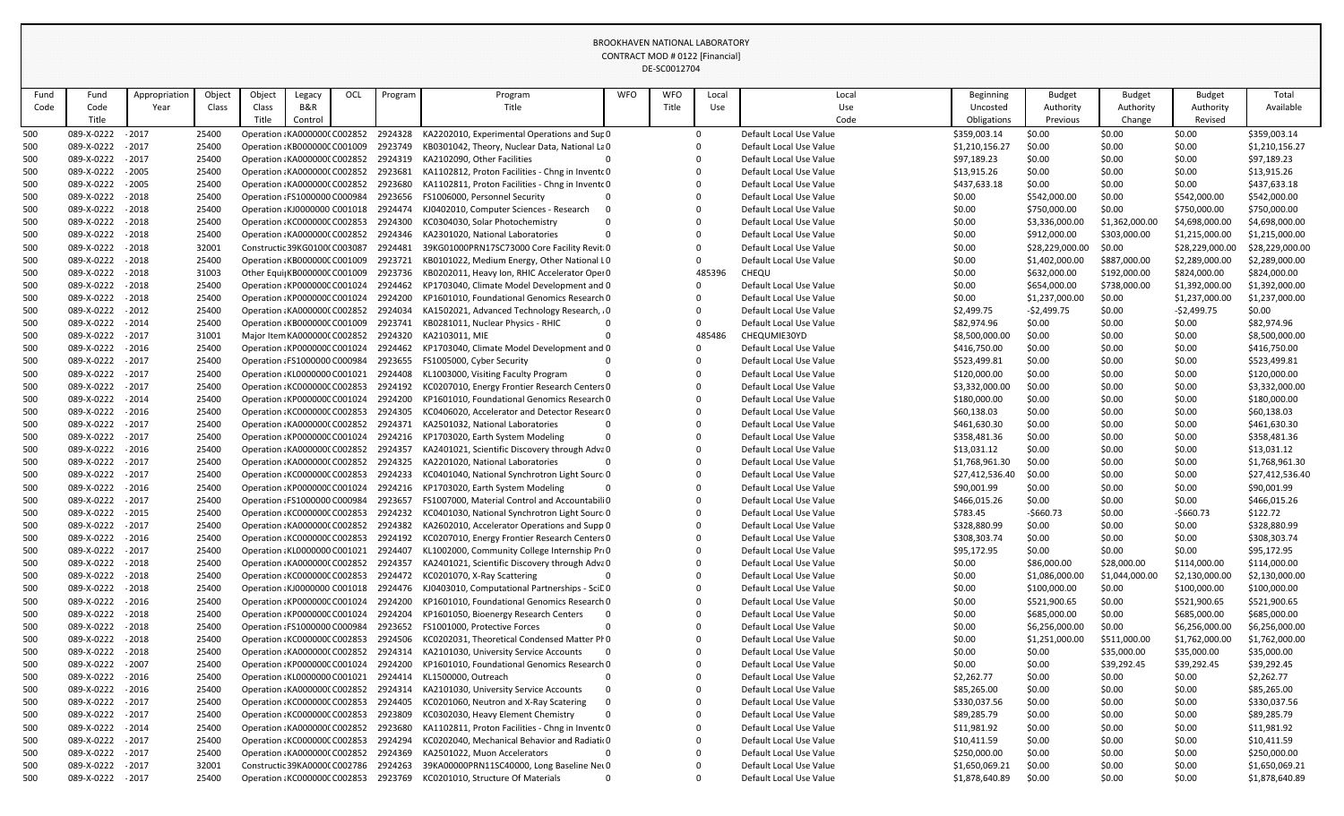|      |                   |               |        |        |                               |     |         |                                                                      |            | DE-SCOULZ/04 |        |                         |                  |                 |                |                 |                 |
|------|-------------------|---------------|--------|--------|-------------------------------|-----|---------|----------------------------------------------------------------------|------------|--------------|--------|-------------------------|------------------|-----------------|----------------|-----------------|-----------------|
| Fund | Fund              | Appropriatior | Object | Object | Legacy                        | OCL | Program | Program                                                              | <b>WFO</b> | <b>WFO</b>   | Local  | Local                   | <b>Beginning</b> | <b>Budget</b>   | <b>Budget</b>  | <b>Budget</b>   | Total           |
| Code | Code              | Year          | Class  | Class  | B&R                           |     |         | Title                                                                |            | Title        | Use    | Use                     | Uncosted         | Authority       | Authority      | Authority       | Available       |
|      | Title             |               |        | Title  | Control                       |     |         |                                                                      |            |              |        | Code                    | Obligations      | Previous        | Change         | Revised         |                 |
| 500  | 089-X-0222        | - 2017        | 25400  |        | Operation : KA0000000 C002852 |     | 2924328 | KA2202010, Experimental Operations and Sup 0                         |            |              |        | Default Local Use Value | \$359,003.14     | \$0.00          | \$0.00         | \$0.00          | \$359,003.14    |
| 500  | 089-X-0222        | $-2017$       | 25400  |        | Operation: KB000000C C001009  |     | 2923749 | KB0301042, Theory, Nuclear Data, National LaO                        |            |              |        | Default Local Use Value | \$1,210,156.27   | \$0.00          | \$0.00         | \$0.00          | \$1,210,156.27  |
| 500  | 089-X-0222 - 2017 |               | 25400  |        | Operation: KA0000000 C002852  |     | 2924319 | KA2102090, Other Facilities                                          |            |              |        | Default Local Use Value | \$97,189.23      | \$0.00          | \$0.00         | \$0.00          | \$97,189.23     |
| 500  | 089-X-0222        | $-2005$       | 25400  |        | Operation: KA0000000 C002852  |     | 2923681 | KA1102812, Proton Facilities - Chng in Invento 0                     |            |              |        | Default Local Use Value | \$13,915.26      | \$0.00          | \$0.00         | \$0.00          | \$13,915.26     |
| 500  | 089-X-0222        | $-2005$       | 25400  |        | Operation: KA0000000 C002852  |     | 2923680 | KA1102811, Proton Facilities - Chng in Invento 0                     |            |              |        | Default Local Use Value | \$437,633.18     | \$0.00          | \$0.00         | \$0.00          | \$437,633.18    |
| 500  | 089-X-0222        | $-2018$       | 25400  |        | Operation : FS1000000 C000984 |     | 2923656 | FS1006000, Personnel Security                                        |            |              |        | Default Local Use Value | \$0.00           | \$542,000.00    | \$0.00         | \$542,000.00    | \$542,000.00    |
| 500  | 089-X-0222        | $-2018$       | 25400  |        | Operation : KJ0000000 C001018 |     | 2924474 | KJ0402010, Computer Sciences - Research                              |            |              |        | Default Local Use Value | \$0.00           | \$750,000.00    | \$0.00         | \$750,000.00    | \$750,000.00    |
| 500  | 089-X-0222        | $-2018$       | 25400  |        | Operation: KC000000C C002853  |     | 2924300 | KC0304030, Solar Photochemistry                                      |            |              |        | Default Local Use Value | \$0.00           | \$3,336,000.00  | \$1,362,000.00 | \$4,698,000.00  | \$4,698,000.00  |
| 500  | 089-X-0222        | $-2018$       | 25400  |        | Operation : KA0000000 C002852 |     | 2924346 | KA2301020, National Laboratories                                     |            |              |        | Default Local Use Value | \$0.00           | \$912,000.00    | \$303,000.00   | \$1,215,000.00  | \$1,215,000.00  |
| 500  | 089-X-0222        | $-2018$       | 32001  |        | Constructic 39KG0100(C003087  |     | 2924481 | 39KG01000PRN17SC73000 Core Facility Revit 0                          |            |              |        | Default Local Use Value | \$0.00           | \$28,229,000.00 | \$0.00         | \$28,229,000.00 | \$28,229,000.00 |
| 500  | 089-X-0222        | $-2018$       | 25400  |        | Operation : KB000000C C001009 |     | 2923721 | KB0101022, Medium Energy, Other National LO                          |            |              |        | Default Local Use Value | \$0.00           | \$1,402,000.00  | \$887,000.00   | \$2,289,000.00  | \$2,289,000.00  |
| 500  | 089-X-0222        | $-2018$       | 31003  |        | Other Equi KB000000C C001009  |     | 2923736 | KB0202011, Heavy Ion, RHIC Accelerator Oper 0                        |            |              | 485396 | <b>CHEQU</b>            | \$0.00           | \$632,000.00    | \$192,000.00   | \$824,000.00    | \$824,000.00    |
| 500  | 089-X-0222        | $-2018$       | 25400  |        | Operation : KP000000C C001024 |     | 2924462 | KP1703040, Climate Model Development and 0                           |            |              |        | Default Local Use Value | \$0.00           | \$654,000.00    | \$738,000.00   | \$1,392,000.00  | \$1,392,000.00  |
| 500  | 089-X-0222        | $-2018$       | 25400  |        | Operation: KP000000C C001024  |     | 2924200 | KP1601010, Foundational Genomics Research 0                          |            |              |        | Default Local Use Value | \$0.00           | \$1,237,000.00  | \$0.00         | \$1,237,000.00  | \$1,237,000.00  |
| 500  | 089-X-0222        | $-2012$       | 25400  |        | Operation: KA0000000 C002852  |     | 2924034 | KA1502021, Advanced Technology Research, 0                           |            |              |        | Default Local Use Value | \$2,499.75       | $-$ \$2,499.75  | \$0.00         | $-52,499.75$    | \$0.00          |
| 500  | 089-X-0222 - 2014 |               | 25400  |        | Operation: KB000000C C001009  |     | 2923741 | KB0281011, Nuclear Physics - RHIC                                    |            |              |        | Default Local Use Value | \$82,974.96      | \$0.00          | \$0.00         | \$0.00          | \$82,974.96     |
| 500  | 089-X-0222        | $-2017$       | 31001  |        | Major Item KA0000000 C002852  |     | 2924320 | KA2103011, MIE                                                       |            |              | 485486 | CHEQUMIE30YD            | \$8,500,000.00   | \$0.00          | \$0.00         | \$0.00          | \$8,500,000.00  |
| 500  | 089-X-0222        | $-2016$       | 25400  |        | Operation: KP000000C C001024  |     | 2924462 | KP1703040, Climate Model Development and 0                           |            |              |        | Default Local Use Value | \$416,750.00     | \$0.00          | \$0.00         | \$0.00          | \$416,750.00    |
| 500  | 089-X-0222 - 2017 |               | 25400  |        | Operation : FS1000000 C000984 |     | 2923655 | FS1005000, Cyber Security                                            |            |              |        | Default Local Use Value | \$523,499.81     | \$0.00          | \$0.00         | \$0.00          | \$523,499.81    |
| 500  | 089-X-0222        | $-2017$       | 25400  |        | Operation : KL0000000 C001021 |     | 2924408 | KL1003000, Visiting Faculty Program                                  |            |              |        | Default Local Use Value | \$120,000.00     | \$0.00          | \$0.00         | \$0.00          | \$120,000.00    |
| 500  | 089-X-0222        | $-2017$       | 25400  |        | Operation: KC000000C C002853  |     | 2924192 | KC0207010, Energy Frontier Research Centers 0                        |            |              |        | Default Local Use Value | \$3,332,000.00   | \$0.00          | \$0.00         | \$0.00          | \$3,332,000.00  |
| 500  | 089-X-0222        | $-2014$       | 25400  |        | Operation: KP000000C C001024  |     | 2924200 | KP1601010, Foundational Genomics Research 0                          |            |              |        | Default Local Use Value | \$180,000.00     | \$0.00          | \$0.00         | \$0.00          | \$180,000.00    |
| 500  | 089-X-0222        | $-2016$       | 25400  |        | Operation: KC000000C C002853  |     | 2924305 | KC0406020, Accelerator and Detector Researc 0                        |            |              |        | Default Local Use Value | \$60,138.03      | \$0.00          | \$0.00         | \$0.00          | \$60,138.03     |
| 500  | 089-X-0222 - 2017 |               | 25400  |        | Operation: KA0000000 C002852  |     | 2924371 | KA2501032, National Laboratories                                     |            |              |        | Default Local Use Value | \$461,630.30     | \$0.00          | \$0.00         | \$0.00          | \$461,630.30    |
| 500  | 089-X-0222        | $-2017$       | 25400  |        | Operation: KP000000C C001024  |     | 2924216 | KP1703020, Earth System Modeling                                     |            |              |        | Default Local Use Value | \$358,481.36     | \$0.00          | \$0.00         | \$0.00          | \$358,481.36    |
| 500  | 089-X-0222 - 2016 |               | 25400  |        | Operation : KA0000000 C002852 |     | 2924357 | KA2401021, Scientific Discovery through Adva 0                       |            |              |        | Default Local Use Value | \$13,031.12      | \$0.00          | \$0.00         | \$0.00          | \$13,031.12     |
| 500  | 089-X-0222 - 2017 |               | 25400  |        |                               |     |         | Operation KA0000000 C002852 2924325 KA2201020, National Laboratories |            |              |        | Default Local Use Value | \$1,768,961.30   | \$0.00          | \$0.00         | \$0.00          | \$1,768,961.30  |
| 500  | 089-X-0222        | $-2017$       | 25400  |        | Operation : KC000000C C002853 |     | 2924233 | KC0401040, National Synchrotron Light Sourc 0                        |            |              |        | Default Local Use Value | \$27,412,536.40  | \$0.00          | \$0.00         | \$0.00          | \$27,412,536.40 |
| 500  | 089-X-0222        | $-2016$       | 25400  |        | Operation: KP000000C C001024  |     | 2924216 | KP1703020, Earth System Modeling                                     |            |              |        | Default Local Use Value | \$90,001.99      | \$0.00          | \$0.00         | \$0.00          | \$90,001.99     |
| 500  | 089-X-0222        | $-2017$       | 25400  |        | Operation : FS1000000 C000984 |     | 2923657 | FS1007000, Material Control and Accountabili0                        |            |              |        | Default Local Use Value | \$466,015.26     | \$0.00          | \$0.00         | \$0.00          | \$466,015.26    |
| 500  | 089-X-0222        | $-2015$       | 25400  |        | Operation: KC000000C C002853  |     | 2924232 | KC0401030, National Synchrotron Light Sourc 0                        |            |              |        | Default Local Use Value | \$783.45         | $-$660.73$      | \$0.00         | $-$660.73$      | \$122.72        |
| 500  | 089-X-0222        | $-2017$       | 25400  |        | Operation: KA0000000 C002852  |     | 2924382 | KA2602010, Accelerator Operations and Supp 0                         |            |              |        | Default Local Use Value | \$328,880.99     | \$0.00          | \$0.00         | \$0.00          | \$328,880.99    |
| 500  | 089-X-0222        | $-2016$       | 25400  |        | Operation : KC000000C C002853 |     | 2924192 | KC0207010, Energy Frontier Research Centers 0                        |            |              |        | Default Local Use Value | \$308,303.74     | \$0.00          | \$0.00         | \$0.00          | \$308,303.74    |
| 500  | 089-X-0222        | $-2017$       | 25400  |        | Operation : KL0000000 C001021 |     | 2924407 | KL1002000, Community College Internship ProO                         |            |              |        | Default Local Use Value | \$95,172.95      | \$0.00          | \$0.00         | \$0.00          | \$95,172.95     |
| 500  | 089-X-0222        | $-2018$       | 25400  |        | Operation: KA0000000 C002852  |     | 2924357 | KA2401021, Scientific Discovery through Adva 0                       |            |              |        | Default Local Use Value | \$0.00           | \$86,000.00     | \$28,000.00    | \$114,000.00    | \$114,000.00    |
| 500  | 089-X-0222        | $-2018$       | 25400  |        | Operation : KC000000C C002853 |     | 2924472 | KC0201070, X-Ray Scattering                                          |            |              |        | Default Local Use Value | \$0.00           | \$1,086,000.00  | \$1,044,000.0  | \$2,130,000.00  | \$2,130,000.00  |
| 500  | 089-X-0222        | $-2018$       | 25400  |        | Operation : KJ0000000 C001018 |     | 2924476 | KJ0403010, Computational Partnerships - SciD0                        |            |              |        | Default Local Use Value | \$0.00           | \$100,000.00    | \$0.00         | \$100,000.00    | \$100,000.00    |
| 500  | 089-X-0222        | $-2016$       | 25400  |        | Operation : KP000000C C001024 |     | 2924200 | KP1601010, Foundational Genomics Research 0                          |            |              |        | Default Local Use Value | \$0.00           | \$521,900.65    | \$0.00         | \$521,900.65    | \$521,900.65    |
| 500  | 089-X-0222        | $-2018$       | 25400  |        | Operation: KP000000C C001024  |     | 2924204 | KP1601050, Bioenergy Research Centers                                |            |              |        | Default Local Use Value | \$0.00           | \$685,000.00    | \$0.00         | \$685,000.00    | \$685,000.00    |
| 500  | 089-X-0222        | $-2018$       | 25400  |        | Operation : FS1000000 C000984 |     | 2923652 | FS1001000, Protective Forces                                         |            |              |        | Default Local Use Value | \$0.00           | \$6,256,000.00  | \$0.00         | \$6,256,000.00  | \$6,256,000.00  |
| 500  | 089-X-0222        | $-2018$       | 25400  |        | Operation : KC000000C C002853 |     | 2924506 | KC0202031, Theoretical Condensed Matter Pr 0                         |            |              |        | Default Local Use Value | \$0.00           | \$1,251,000.00  | \$511,000.00   | \$1,762,000.00  | \$1,762,000.00  |
| 500  | 089-X-0222 - 2018 |               | 25400  |        | Operation: KA0000000 C002852  |     | 2924314 | KA2101030, University Service Accounts                               |            |              |        | Default Local Use Value | \$0.00           | \$0.00          | \$35,000.00    | \$35,000.00     | \$35,000.00     |
| 500  | 089-X-0222        | $-2007$       | 25400  |        | Operation: KP000000C C001024  |     | 2924200 | KP1601010, Foundational Genomics Research 0                          |            |              |        | Default Local Use Value | \$0.00           | \$0.00          | \$39,292.45    | \$39,292.45     | \$39,292.45     |
| 500  | 089-X-0222        | $-2016$       | 25400  |        | Operation : KL0000000 C001021 |     | 2924414 | KL1500000, Outreach                                                  |            |              |        | Default Local Use Value | \$2,262.77       | \$0.00          | \$0.00         | \$0.00          | \$2,262.77      |
| 500  | 089-X-0222        | $-2016$       | 25400  |        | Operation: KA0000000 C002852  |     | 2924314 | KA2101030, University Service Accounts                               |            |              |        | Default Local Use Value | \$85,265.00      | \$0.00          | \$0.00         | \$0.00          | \$85,265.00     |
| 500  | 089-X-0222        | $-2017$       | 25400  |        | Operation : KC000000C C002853 |     | 2924405 | KC0201060, Neutron and X-Ray Scatering                               |            |              |        | Default Local Use Value | \$330,037.56     | \$0.00          | \$0.00         | \$0.00          | \$330,037.56    |
| 500  | 089-X-0222        | $-2017$       | 25400  |        | Operation: KC000000C C002853  |     | 2923809 | KC0302030, Heavy Element Chemistry                                   |            |              |        | Default Local Use Value | \$89,285.79      | \$0.00          | \$0.00         | \$0.00          | \$89,285.79     |
| 500  | 089-X-0222        | $-2014$       | 25400  |        | Operation: KA0000000 C002852  |     | 2923680 | KA1102811, Proton Facilities - Chng in Invento 0                     |            |              |        | Default Local Use Value | \$11,981.92      | \$0.00          | \$0.00         | \$0.00          | \$11,981.92     |
| 500  | 089-X-0222        | $-2017$       | 25400  |        | Operation : KC000000C C002853 |     | 2924294 | KC0202040, Mechanical Behavior and Radiatio0                         |            |              |        | Default Local Use Value | \$10,411.59      | \$0.00          | \$0.00         | \$0.00          | \$10,411.59     |
| 500  | 089-X-0222        | $-2017$       | 25400  |        | Operation: KA0000000 C002852  |     | 2924369 | KA2501022, Muon Accelerators                                         |            |              |        | Default Local Use Value | \$250,000.00     | \$0.00          | \$0.00         | \$0.00          | \$250,000.00    |
| 500  | 089-X-0222        | $-2017$       | 32001  |        | Constructic 39KA00000 C002786 |     | 2924263 | 39KA00000PRN11SC40000, Long Baseline Net 0                           |            |              |        | Default Local Use Value | \$1,650,069.21   | \$0.00          | \$0.00         | \$0.00          | \$1,650,069.21  |
| 500  | 089-X-0222        | $-2017$       | 25400  |        | Operation: KC000000C C002853  |     | 2923769 | KC0201010, Structure Of Materials                                    |            |              |        | Default Local Use Value | \$1,878,640.89   | \$0.00          | \$0.00         | \$0.00          | \$1,878,640.89  |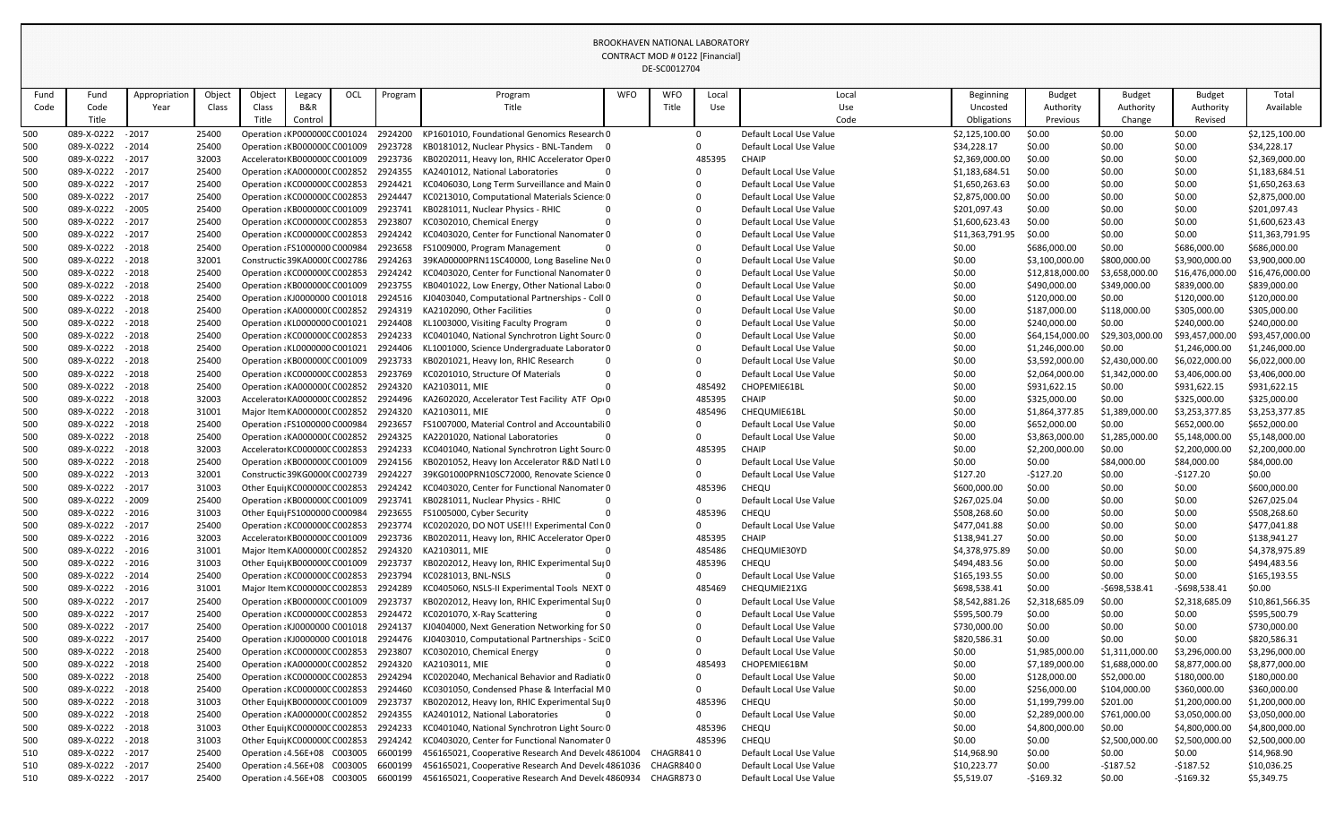|      |                   |               |        |        |                                       |     |         |                                                                                  |            | DL-JUUUIZ7U4 |            |                         |                  |                 |                 |                 |                 |
|------|-------------------|---------------|--------|--------|---------------------------------------|-----|---------|----------------------------------------------------------------------------------|------------|--------------|------------|-------------------------|------------------|-----------------|-----------------|-----------------|-----------------|
| Fund | Fund              | Appropriation | Object | Object | Legacy                                | OCL | Program | Program                                                                          | <b>WFO</b> | <b>WFO</b>   | Local      | Local                   | <b>Beginning</b> | <b>Budget</b>   | <b>Budget</b>   | <b>Budget</b>   | Total           |
| Code | Code              | Year          | Class  | Class  | <b>B&amp;R</b>                        |     |         | Title                                                                            |            | Title        | <b>Use</b> | Use                     | Uncosted         | Authority       | Authority       | Authority       | Available       |
|      | Title             |               |        | Title  | Control                               |     |         |                                                                                  |            |              |            | Code                    | Obligations      | Previous        | Change          | Revised         |                 |
| 500  | 089-X-0222        | $-2017$       | 25400  |        | Operation : KP000000C C001024         |     | 2924200 | KP1601010, Foundational Genomics Research 0                                      |            |              |            | Default Local Use Value | \$2,125,100.00   | \$0.00          | \$0.00          | \$0.00          | \$2,125,100.00  |
| 500  | 089-X-0222 - 2014 |               | 25400  |        | Operation: KB000000C C001009          |     | 2923728 | KB0181012, Nuclear Physics - BNL-Tandem 0                                        |            |              |            | Default Local Use Value | \$34,228.17      | \$0.00          | \$0.00          | \$0.00          | \$34,228.17     |
| 500  | 089-X-0222        | $-2017$       | 32003  |        | Accelerator KB000000C C001009         |     | 2923736 | KB0202011, Heavy Ion, RHIC Accelerator Oper 0                                    |            |              | 485395     | CHAIP                   | \$2,369,000.00   | \$0.00          | \$0.00          | \$0.00          | \$2,369,000.00  |
| 500  | 089-X-0222        | $-2017$       | 25400  |        | Operation : KA0000000 C002852         |     | 2924355 | KA2401012, National Laboratories                                                 |            |              |            | Default Local Use Value | \$1,183,684.51   | \$0.00          | \$0.00          | \$0.00          | \$1,183,684.51  |
| 500  | 089-X-0222        | $-2017$       | 25400  |        | Operation: KC000000C C002853          |     | 2924421 | KC0406030, Long Term Surveillance and Main 0                                     |            |              |            | Default Local Use Value | \$1,650,263.63   | \$0.00          | \$0.00          | \$0.00          | \$1,650,263.63  |
| 500  | 089-X-0222        | $-2017$       | 25400  |        | Operation: KC000000C C002853          |     | 2924447 | KC0213010, Computational Materials Science: 0                                    |            |              |            | Default Local Use Value | \$2,875,000.00   | \$0.00          | \$0.00          | \$0.00          | \$2,875,000.00  |
| 500  | 089-X-0222        | $-2005$       | 25400  |        | Operation: KB000000C C001009          |     | 2923741 | KB0281011, Nuclear Physics - RHIC                                                |            |              |            | Default Local Use Value | \$201,097.43     | \$0.00          | \$0.00          | \$0.00          | \$201,097.43    |
| 500  | 089-X-0222        | $-2017$       | 25400  |        | Operation : KC000000C C002853 2923807 |     |         | KC0302010, Chemical Energy                                                       |            |              |            | Default Local Use Value | \$1,600,623.43   | \$0.00          | \$0.00          | \$0.00          | \$1,600,623.43  |
| 500  | 089-X-0222        | $-2017$       | 25400  |        | Operation : KC000000C C002853         |     | 2924242 | KC0403020, Center for Functional Nanomater 0                                     |            |              |            | Default Local Use Value | \$11,363,791.95  | \$0.00          | \$0.00          | \$0.00          | \$11,363,791.95 |
| 500  | 089-X-0222        | $-2018$       | 25400  |        | Operation : FS1000000 C000984         |     | 2923658 | FS1009000, Program Management                                                    |            |              |            | Default Local Use Value | \$0.00           | \$686,000.00    | \$0.00          | \$686,000.00    | \$686,000.00    |
| 500  | 089-X-0222        | $-2018$       | 32001  |        | Constructic 39KA00000 C002786         |     | 2924263 | 39KA00000PRN11SC40000, Long Baseline Net 0                                       |            |              |            | Default Local Use Value | \$0.00           | \$3,100,000.00  | \$800,000.00    | \$3,900,000.00  | \$3,900,000.00  |
| 500  | 089-X-0222        | $-2018$       | 25400  |        | Operation : KC000000C C002853         |     | 2924242 | KC0403020, Center for Functional Nanomater 0                                     |            |              |            | Default Local Use Value | \$0.00           | \$12,818,000.00 | \$3,658,000.00  | \$16,476,000.00 | \$16,476,000.00 |
| 500  | 089-X-0222        | $-2018$       | 25400  |        | Operation: KB000000C C001009          |     | 2923755 | KB0401022, Low Energy, Other National Labor0                                     |            |              |            | Default Local Use Value | \$0.00           | \$490,000.00    | \$349,000.00    | \$839,000.00    | \$839,000.00    |
| 500  | 089-X-0222 - 2018 |               | 25400  |        | Operation : KJ0000000 C001018 2924516 |     |         | KJ0403040, Computational Partnerships - Coll 0                                   |            |              |            | Default Local Use Value | \$0.00           | \$120,000.00    | \$0.00          | \$120,000.00    | \$120,000.00    |
| 500  | 089-X-0222        | $-2018$       | 25400  |        | Operation : KA0000000 C002852         |     | 2924319 | KA2102090, Other Facilities                                                      |            |              |            | Default Local Use Value | \$0.00           | \$187,000.00    | \$118,000.00    | \$305,000.00    | \$305,000.00    |
| 500  | 089-X-0222        | $-2018$       | 25400  |        | Operation : KL0000000 C001021         |     | 2924408 | KL1003000, Visiting Faculty Program                                              |            |              |            | Default Local Use Value | \$0.00           | \$240,000.00    | \$0.00          | \$240,000.00    | \$240,000.00    |
| 500  | 089-X-0222 - 2018 |               | 25400  |        | Operation : KC000000C C002853 2924233 |     |         | KC0401040, National Synchrotron Light Sourc 0                                    |            |              |            | Default Local Use Value | \$0.00           | \$64,154,000.00 | \$29,303,000.00 | \$93,457,000.00 | \$93,457,000.00 |
| 500  | 089-X-0222        | $-2018$       | 25400  |        | Operation : KL0000000 C001021         |     | 2924406 | KL1001000, Science Undergraduate Laborator 0                                     |            |              |            | Default Local Use Value | \$0.00           | \$1,246,000.00  | \$0.00          | \$1,246,000.00  | \$1,246,000.00  |
| 500  | 089-X-0222 - 2018 |               | 25400  |        | Operation: KB000000C C001009          |     | 2923733 | KB0201021, Heavy Ion, RHIC Research                                              |            |              |            | Default Local Use Value | \$0.00           | \$3,592,000.00  | \$2,430,000.00  | \$6,022,000.00  | \$6,022,000.00  |
| 500  | 089-X-0222        | $-2018$       | 25400  |        | Operation : KC000000C C002853         |     | 2923769 | KC0201010, Structure Of Materials                                                |            |              |            | Default Local Use Value | \$0.00           | \$2,064,000.00  | \$1,342,000.00  | \$3,406,000.00  | \$3,406,000.00  |
| 500  | 089-X-0222        | $-2018$       | 25400  |        | Operation : KA0000000 C002852         |     | 2924320 | KA2103011, MIE                                                                   |            |              | 485492     | CHOPEMIE61BL            | \$0.00           | \$931,622.15    | \$0.00          | \$931,622.15    | \$931,622.15    |
| 500  | 089-X-0222 - 2018 |               | 32003  |        | Accelerator KA0000000 C002852         |     | 2924496 | KA2602020, Accelerator Test Facility ATF Op(0                                    |            |              | 485395     | <b>CHAIP</b>            | \$0.00           | \$325,000.00    | \$0.00          | \$325,000.00    | \$325,000.00    |
| 500  | 089-X-0222        | $-2018$       | 31001  |        | Major Item KA0000000 C002852          |     | 2924320 | KA2103011, MIE                                                                   |            |              | 485496     | CHEQUMIE61BL            | \$0.00           | \$1,864,377.85  | \$1,389,000.00  | \$3,253,377.85  | \$3,253,377.85  |
| 500  | 089-X-0222        | $-2018$       | 25400  |        | Operation : FS1000000 C000984         |     | 2923657 | FS1007000, Material Control and Accountabili 0                                   |            |              |            | Default Local Use Value | \$0.00           | \$652,000.00    | \$0.00          | \$652,000.00    | \$652,000.00    |
| 500  | 089-X-0222        | $-2018$       | 25400  |        | Operation : KA0000000 C002852         |     | 2924325 | KA2201020, National Laboratories                                                 |            |              |            | Default Local Use Value | \$0.00           | \$3,863,000.00  | \$1,285,000.00  | \$5,148,000.00  | \$5,148,000.00  |
| 500  | 089-X-0222        | $-2018$       | 32003  |        | Accelerator KC000000C C002853         |     | 2924233 | KC0401040, National Synchrotron Light Sourc 0                                    |            |              | 485395     | <b>CHAIP</b>            | \$0.00           | \$2,200,000.00  | \$0.00          | \$2,200,000.00  | \$2,200,000.00  |
| 500  | 089-X-0222 - 2018 |               | 25400  |        |                                       |     |         | Operation KB000000C C001009 2924156 KB0201052, Heavy Ion Accelerator R&D Natl L0 |            |              |            | Default Local Use Value | \$0.00           | \$0.00          | \$84,000.00     | \$84,000.00     | \$84,000.00     |
| 500  | 089-X-0222 - 2013 |               | 32001  |        | Constructic 39KG0000(C002739 2924227  |     |         | 39KG01000PRN10SC72000, Renovate Science 0                                        |            |              |            | Default Local Use Value | \$127.20         | $-5127.20$      | \$0.00          | $-5127.20$      | \$0.00          |
| 500  | 089-X-0222 -2017  |               | 31003  |        | Other Equi KC000000C C002853 2924242  |     |         | KC0403020, Center for Functional Nanomater 0                                     |            |              | 485396     | <b>CHEQU</b>            | \$600,000.00     | \$0.00          | \$0.00          | \$0.00          | \$600,000.00    |
| 500  | 089-X-0222        | $-2009$       | 25400  |        | Operation: KB000000C C001009          |     | 2923741 | KB0281011, Nuclear Physics - RHIC                                                |            |              |            | Default Local Use Value | \$267,025.04     | \$0.00          | \$0.00          | \$0.00          | \$267,025.04    |
| 500  | 089-X-0222 - 2016 |               | 31003  |        | Other Equi  FS1000000 C000984         |     | 2923655 | FS1005000, Cyber Security                                                        |            |              | 485396     | <b>CHEQU</b>            | \$508,268.60     | \$0.00          | \$0.00          | \$0.00          | \$508,268.60    |
| 500  | 089-X-0222 - 2017 |               | 25400  |        | Operation : KC000000C C002853         |     | 2923774 | KC0202020, DO NOT USE!!! Experimental Con 0                                      |            |              |            | Default Local Use Value | \$477,041.88     | \$0.00          | \$0.00          | \$0.00          | \$477,041.88    |
| 500  | 089-X-0222 - 2016 |               | 32003  |        | Accelerator KB000000C C001009         |     | 2923736 | KB0202011, Heavy Ion, RHIC Accelerator Oper 0                                    |            |              | 485395     | <b>CHAIP</b>            | \$138,941.27     | \$0.00          | \$0.00          | \$0.00          | \$138,941.27    |
| 500  | 089-X-0222 - 2016 |               | 31001  |        | Major Item KA0000000 C002852 2924320  |     |         | KA2103011, MIE                                                                   |            |              | 485486     | CHEQUMIE30YD            | \$4,378,975.89   | \$0.00          | \$0.00          | \$0.00          | \$4,378,975.89  |
| 500  | 089-X-0222 - 2016 |               | 31003  |        | Other Equi KB000000C C001009          |     | 2923737 | KB0202012, Heavy Ion, RHIC Experimental Sul 0                                    |            |              | 485396     | <b>CHEQU</b>            | \$494,483.56     | \$0.00          | \$0.00          | \$0.00          | \$494,483.56    |
| 500  | 089-X-0222 - 2014 |               | 25400  |        | Operation : KC000000C C002853 2923794 |     |         | KC0281013, BNL-NSLS                                                              |            |              |            | Default Local Use Value | \$165,193.55     | \$0.00          | \$0.00          | \$0.00          | \$165,193.55    |
| 500  | 089-X-0222 - 2016 |               | 31001  |        | Major Item KC000000C C002853 2924289  |     |         | KC0405060, NSLS-II Experimental Tools NEXT 0                                     |            |              | 485469     | CHEQUMIE21XG            | \$698,538.41     | \$0.00          | $-5698,538.41$  | $-5698,538.41$  | \$0.00          |
| 500  | 089-X-0222        | $-2017$       | 25400  |        | Operation: KB000000C C001009          |     | 2923737 | KB0202012, Heavy Ion, RHIC Experimental Sul 0                                    |            |              |            | Default Local Use Value | \$8,542,881.26   | \$2,318,685.09  | \$0.00          | \$2,318,685.09  | \$10,861,566.35 |
| 500  | 089-X-0222 - 2017 |               | 25400  |        | Operation : KC000000C C002853         |     | 2924472 | KC0201070, X-Ray Scattering                                                      |            |              |            | Default Local Use Value | \$595,500.79     | \$0.00          | \$0.00          | \$0.00          | \$595,500.79    |
| 500  | 089-X-0222 - 2017 |               | 25400  |        | Operation KJ0000000 C001018 2924137   |     |         | KJ0404000, Next Generation Networking for SO                                     |            |              |            | Default Local Use Value | \$730,000.00     | \$0.00          | \$0.00          | \$0.00          | \$730,000.00    |
| 500  | 089-X-0222 - 2017 |               | 25400  |        | Operation : KJ0000000 C001018 2924476 |     |         | KJ0403010, Computational Partnerships - SciD0                                    |            |              |            | Default Local Use Value | \$820,586.31     | \$0.00          | \$0.00          | \$0.00          | \$820,586.31    |
| 500  | 089-X-0222 - 2018 |               | 25400  |        | Operation: KC000000C C002853 2923807  |     |         | KC0302010, Chemical Energy                                                       |            |              |            | Default Local Use Value | \$0.00           | \$1,985,000.00  | \$1,311,000.00  | \$3,296,000.00  | \$3,296,000.00  |
| 500  | 089-X-0222 - 2018 |               | 25400  |        | Operation : KA0000000 C002852 2924320 |     |         | KA2103011, MIE                                                                   |            |              | 485493     | CHOPEMIE61BM            | \$0.00           | \$7,189,000.00  | \$1,688,000.00  | \$8,877,000.00  | \$8,877,000.00  |
| 500  | 089-X-0222 - 2018 |               | 25400  |        | Operation : KC000000C C002853         |     | 2924294 | KC0202040, Mechanical Behavior and Radiatio0                                     |            |              |            | Default Local Use Value | \$0.00           | \$128,000.00    | \$52,000.00     | \$180,000.00    | \$180,000.00    |
| 500  | 089-X-0222 - 2018 |               | 25400  |        | Operation KC000000C C002853 2924460   |     |         | KC0301050, Condensed Phase & Interfacial MO                                      |            |              |            | Default Local Use Value | \$0.00           | \$256,000.00    | \$104,000.00    | \$360,000.00    | \$360,000.00    |
| 500  | 089-X-0222        | $-2018$       | 31003  |        | Other Equi KB000000C C001009          |     | 2923737 | KB0202012, Heavy Ion, RHIC Experimental Sul 0                                    |            |              | 485396     | <b>CHEQU</b>            | \$0.00           | \$1,199,799.00  | \$201.00        | \$1,200,000.00  | \$1,200,000.00  |
| 500  | 089-X-0222 - 2018 |               | 25400  |        | Operation : KA0000000 C002852 2924355 |     |         | KA2401012, National Laboratories                                                 |            |              |            | Default Local Use Value | \$0.00           | \$2,289,000.00  | \$761,000.00    | \$3,050,000.00  | \$3,050,000.00  |
| 500  | 089-X-0222 - 2018 |               | 31003  |        | Other Equi  KC000000C C002853         |     | 2924233 | KC0401040, National Synchrotron Light Sourc 0                                    |            |              | 485396     | CHEQU                   | \$0.00           | \$4,800,000.00  | \$0.00          | \$4,800,000.00  | \$4,800,000.00  |
| 500  | 089-X-0222 - 2018 |               | 31003  |        | Other Equi KC000000C C002853 2924242  |     |         | KC0403020, Center for Functional Nanomater 0                                     |            |              | 485396     | <b>CHEQU</b>            | \$0.00           | \$0.00          | \$2,500,000.00  | \$2,500,000.00  | \$2,500,000.00  |
| 510  | 089-X-0222 - 2017 |               | 25400  |        | Operation: 4.56E+08 C003005 6600199   |     |         | 456165021, Cooperative Research And Devel 4861004                                |            | CHAGR8410    |            | Default Local Use Value | \$14,968.90      | \$0.00          | \$0.00          | \$0.00          | \$14,968.90     |
| 510  | 089-X-0222 - 2017 |               | 25400  |        | Operation: 4.56E+08 C003005 6600199   |     |         | 456165021, Cooperative Research And Devel 4861036 CHAGR8400                      |            |              |            | Default Local Use Value | \$10,223.77      | \$0.00          | -\$187.52       | -\$187.52       | \$10,036.25     |
| 510  | 089-X-0222 - 2017 |               | 25400  |        | Operation: 4.56E+08 C003005           |     | 6600199 | 456165021, Cooperative Research And Devel 4860934                                |            | CHAGR8730    |            | Default Local Use Value | \$5,519.07       | -\$169.32       | \$0.00          | $-$169.32$      | \$5,349.75      |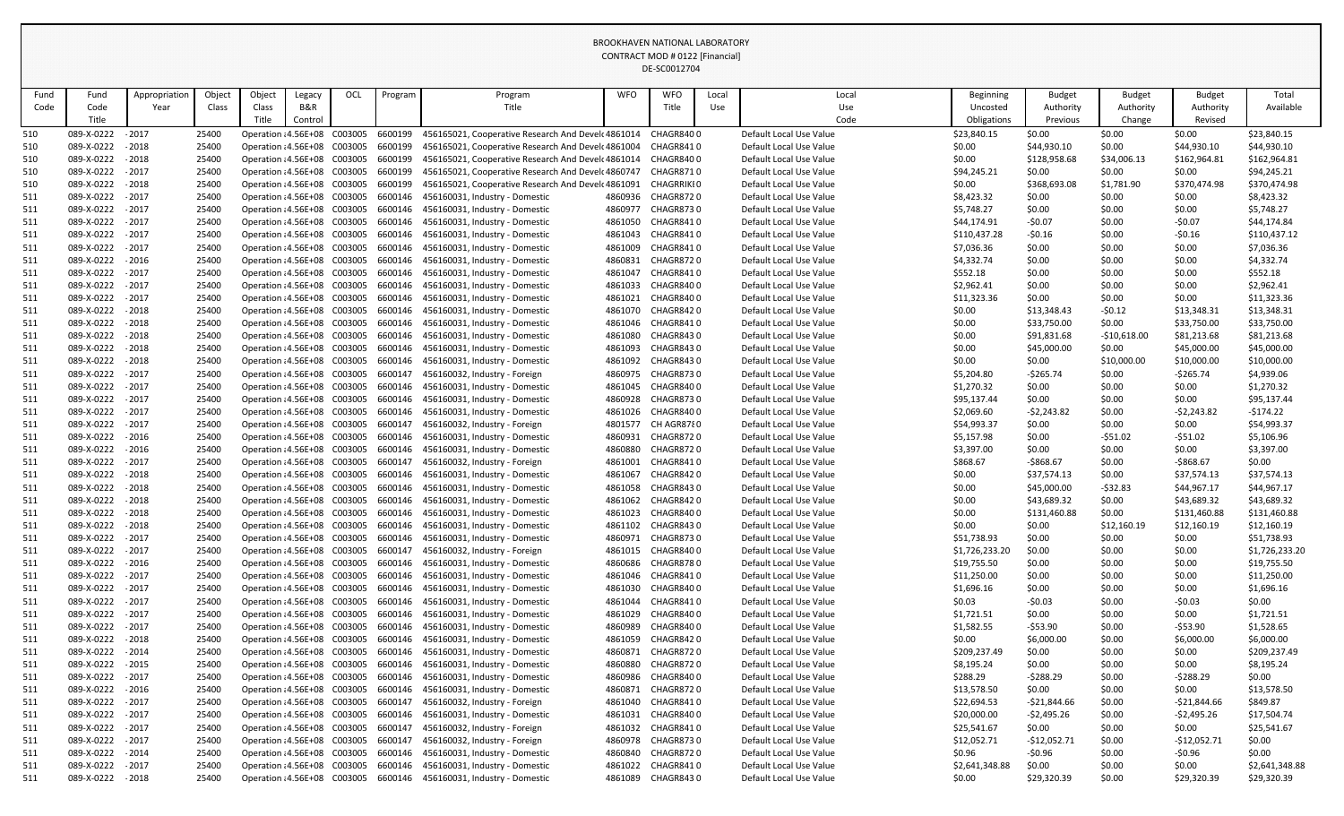|            |                                        |               |                |                              |                                                            |                                                                     |         |                                                                     |                    | DE-3COUTZ704                  |       |                                                    |                  |                             |                     |                            |                            |
|------------|----------------------------------------|---------------|----------------|------------------------------|------------------------------------------------------------|---------------------------------------------------------------------|---------|---------------------------------------------------------------------|--------------------|-------------------------------|-------|----------------------------------------------------|------------------|-----------------------------|---------------------|----------------------------|----------------------------|
| Fund       | Fund                                   | Appropriation | Object         | Object                       | Legacy                                                     | OCL                                                                 | Program | Program                                                             | <b>WFO</b>         | <b>WFO</b>                    | Local | Local                                              | Beginning        | <b>Budget</b>               | <b>Budget</b>       | <b>Budget</b>              | Total                      |
| Code       | Code                                   | Year          | Class          | Class                        | B&R                                                        |                                                                     |         | Title                                                               |                    | Title                         | Use   | Use                                                | Uncosted         | Authority                   | Authority           | Authority                  | Available                  |
|            | Title                                  |               |                | Title                        | Control                                                    |                                                                     |         |                                                                     |                    |                               |       | Code                                               | Obligations      | Previous                    | Change              | Revised                    |                            |
| 510        | 089-X-0222                             | $-2017$       | 25400          |                              | Operation: 4.56E+08 C003005                                |                                                                     | 6600199 | 456165021, Cooperative Research And Devel 4861014 CHAGR8400         |                    |                               |       | Default Local Use Value                            | \$23,840.15      | \$0.00                      | \$0.00              | \$0.00                     | \$23,840.15                |
| 510        | 089-X-0222                             | $-2018$       | 25400          |                              | Operation: 4.56E+08 C003005                                |                                                                     | 6600199 | 456165021, Cooperative Research And Devel 4861004                   |                    | CHAGR8410                     |       | Default Local Use Value                            | \$0.00           | \$44,930.10                 | \$0.00              | \$44,930.10                | \$44,930.10                |
| 510        | 089-X-0222                             | $-2018$       | 25400          |                              | Operation: 4.56E+08 C003005                                |                                                                     | 6600199 | 456165021, Cooperative Research And Devel 4861014                   |                    | CHAGR8400                     |       | Default Local Use Value                            | \$0.00           | \$128,958.68                | \$34,006.13         | \$162,964.81               | \$162,964.81               |
| 510        | 089-X-0222 - 2017                      |               | 25400          |                              | Operation: 4.56E+08 C003005                                |                                                                     | 6600199 | 456165021, Cooperative Research And Devel 4860747                   |                    | CHAGR8710                     |       | Default Local Use Value                            | \$94,245.21      | \$0.00                      | \$0.00              | \$0.00                     | \$94,245.21                |
| 510        | 089-X-0222                             | $-2018$       | 25400          |                              | Operation: 4.56E+08 C003005                                |                                                                     | 6600199 | 456165021, Cooperative Research And Devel 4861091                   |                    | CHAGRRIKI 0                   |       | Default Local Use Value                            | \$0.00           | \$368,693.08                | \$1,781.90          | \$370,474.98               | \$370,474.98               |
| 511        | 089-X-0222 - 2017                      |               | 25400          |                              | Operation: 4.56E+08 C003005                                |                                                                     | 6600146 | 456160031, Industry - Domestic                                      |                    | 4860936 CHAGR8720             |       | Default Local Use Value                            | \$8,423.32       | \$0.00                      | \$0.00              | \$0.00                     | \$8,423.32                 |
| 511        | 089-X-0222                             | $-2017$       | 25400          |                              | Operation: 4.56E+08 C003005                                |                                                                     | 6600146 | 456160031, Industry - Domestic                                      | 4860977            | CHAGR8730                     |       | Default Local Use Value                            | \$5,748.27       | \$0.00                      | \$0.00              | \$0.00                     | \$5,748.27                 |
| 511        | 089-X-0222                             | $-2017$       | 25400          |                              | Operation: 4.56E+08 C003005                                |                                                                     | 6600146 | 456160031, Industry - Domestic                                      | 4861050            | CHAGR8410                     |       | Default Local Use Value                            | \$44,174.91      | $-50.07$                    | \$0.00              | $-50.07$                   | \$44,174.84                |
| 511        | 089-X-0222 - 2017                      |               | 25400          |                              | Operation: 4.56E+08 C003005                                |                                                                     | 6600146 | 456160031, Industry - Domestic                                      |                    | 4861043 CHAGR8410             |       | Default Local Use Value                            | \$110,437.28     | $-50.16$                    | \$0.00              | $-50.16$                   | \$110,437.12               |
| 511        | 089-X-0222                             | $-2017$       | 25400          |                              | Operation: 4.56E+08 C003005                                |                                                                     | 6600146 | 456160031, Industry - Domestic                                      | 4861009            | <b>CHAGR8410</b>              |       | Default Local Use Value                            | \$7,036.36       | \$0.00                      | \$0.00              | \$0.00                     | \$7,036.36                 |
| 511        | 089-X-0222                             | $-2016$       | 25400          |                              | Operation: 4.56E+08 C003005                                |                                                                     | 6600146 | 456160031, Industry - Domestic                                      | 4860831            | CHAGR8720                     |       | Default Local Use Value                            | \$4,332.74       | \$0.00                      | \$0.00              | \$0.00                     | \$4,332.74                 |
| 511        | 089-X-0222                             | $-2017$       | 25400          |                              | Operation: 4.56E+08 C003005                                |                                                                     | 6600146 | 456160031, Industry - Domestic                                      | 4861047            | CHAGR8410                     |       | Default Local Use Value                            | \$552.18         | \$0.00                      | \$0.00              | \$0.00                     | \$552.18                   |
| 511        | 089-X-0222                             | $-2017$       | 25400          |                              | Operation: 4.56E+08 C003005                                |                                                                     | 6600146 | 456160031, Industry - Domestic                                      | 4861033            | CHAGR8400                     |       | Default Local Use Value                            | \$2,962.41       | \$0.00                      | \$0.00              | \$0.00                     | \$2,962.41                 |
| 511        | 089-X-0222                             | $-2017$       | 25400          |                              | Operation: 4.56E+08 C003005                                |                                                                     | 6600146 | 456160031, Industry - Domestic                                      | 4861021            | CHAGR8400                     |       | Default Local Use Value                            | \$11,323.36      | \$0.00                      | \$0.00              | \$0.00                     | \$11,323.36                |
| 511        | 089-X-0222                             | $-2018$       | 25400          |                              | Operation: 4.56E+08 C003005                                |                                                                     | 6600146 | 456160031, Industry - Domestic                                      | 4861070            | CHAGR8420                     |       | Default Local Use Value                            | \$0.00           | \$13,348.43                 | $-50.12$            | \$13,348.31                | \$13,348.31                |
| 511        | 089-X-0222                             | $-2018$       | 25400          |                              | Operation: 4.56E+08 C003005                                |                                                                     | 6600146 | 456160031, Industry - Domestic                                      | 4861046            | CHAGR8410                     |       | Default Local Use Value                            | \$0.00           | \$33,750.00                 | \$0.00              | \$33,750.00                | \$33,750.00                |
| 511        | 089-X-0222                             | $-2018$       | 25400          |                              | Operation: 4.56E+08 C003005                                |                                                                     | 6600146 | 456160031, Industry - Domestic                                      | 4861080            | CHAGR8430                     |       | Default Local Use Value                            | \$0.00           | \$91,831.68                 | $-510,618.00$       | \$81,213.68                | \$81,213.68                |
| 511        | 089-X-0222                             | $-2018$       | 25400          |                              | Operation: 4.56E+08 C003005                                |                                                                     | 6600146 | 456160031, Industry - Domestic                                      | 4861093            | CHAGR8430                     |       | Default Local Use Value                            | \$0.00           | \$45,000.00                 | \$0.00              | \$45,000.00                | \$45,000.00                |
| 511        | 089-X-0222                             | $-2018$       | 25400          |                              | Operation: 4.56E+08 C003005                                |                                                                     | 6600146 | 456160031, Industry - Domestic                                      | 4861092            | CHAGR8430                     |       | Default Local Use Value                            | \$0.00           | \$0.00                      | \$10,000.00         | \$10,000.00                | \$10,000.00                |
| 511        | 089-X-0222                             | $-2017$       | 25400          |                              | Operation: 4.56E+08 C003005                                |                                                                     | 6600147 | 456160032, Industry - Foreign                                       | 4860975            | CHAGR8730                     |       | Default Local Use Value                            | \$5,204.80       | $-5265.74$                  | \$0.00              | $-5265.74$                 | \$4,939.06                 |
| 511        | 089-X-0222                             | $-2017$       | 25400          |                              | Operation: 4.56E+08 C003005                                |                                                                     | 6600146 | 456160031, Industry - Domestic                                      | 4861045            | CHAGR8400                     |       | Default Local Use Value                            | \$1,270.32       | \$0.00                      | \$0.00              | \$0.00                     | \$1,270.32                 |
| 511        | 089-X-0222 - 2017                      |               | 25400          |                              | Operation: 4.56E+08 C003005                                |                                                                     | 6600146 | 456160031, Industry - Domestic                                      | 4860928            | CHAGR8730                     |       | Default Local Use Value                            | \$95,137.44      | \$0.00                      | \$0.00              | \$0.00                     | \$95,137.44                |
| 511        | 089-X-0222                             | $-2017$       | 25400          |                              | Operation: 4.56E+08 C003005                                |                                                                     | 6600146 | 456160031, Industry - Domestic                                      | 4861026            | CHAGR8400                     |       | Default Local Use Value                            | \$2,069.60       | $-52,243.82$                | \$0.00              | $-52,243.82$               | $-5174.22$                 |
| 511        | 089-X-0222                             | $-2017$       | 25400          |                              | Operation: 4.56E+08 C003005                                |                                                                     | 6600147 | 456160032, Industry - Foreign                                       | 4801577            | CH AGR8780                    |       | Default Local Use Value                            | \$54,993.37      | \$0.00                      | \$0.00              | \$0.00                     | \$54,993.37                |
| 511        | 089-X-0222<br>089-X-0222 - 2016        | $-2016$       | 25400<br>25400 |                              | Operation: 4.56E+08 C003005<br>Operation: 4.56E+08 C003005 |                                                                     | 6600146 | 456160031, Industry - Domestic                                      | 4860931<br>4860880 | CHAGR8720<br><b>CHAGR8720</b> |       | Default Local Use Value                            | \$5,157.98       | \$0.00                      | $-551.02$           | $-551.02$                  | \$5,106.96                 |
| 511        |                                        |               |                |                              |                                                            |                                                                     | 6600146 | 456160031, Industry - Domestic                                      |                    |                               |       | Default Local Use Value                            | \$3,397.00       | \$0.00                      | \$0.00              | \$0.00                     | \$3,397.00                 |
| 511        | 089-X-0222 - 2017                      |               | 25400          |                              |                                                            |                                                                     |         | Operation: 4.56E+08 C003005 6600147 456160032, Industry - Foreign   |                    | 4861001 CHAGR8410             |       | Default Local Use Value                            | \$868.67         | $-$868.67$                  | \$0.00              | $-$868.67$                 | \$0.00                     |
| 511        | 089-X-0222 - 2018<br>089-X-0222 - 2018 |               | 25400<br>25400 |                              |                                                            | Operation : 4.56E+08 C003005 6600146<br>Operation: 4.56E+08 C003005 | 6600146 | 456160031, Industry - Domestic<br>456160031, Industry - Domestic    | 4861067<br>4861058 | CHAGR8420<br>CHAGR8430        |       | Default Local Use Value<br>Default Local Use Value | \$0.00           | \$37,574.13                 | \$0.00<br>$-532.83$ | \$37,574.13<br>\$44,967.17 | \$37,574.13<br>\$44,967.17 |
| 511<br>511 | 089-X-0222                             | $-2018$       | 25400          |                              | Operation: 4.56E+08 C003005                                |                                                                     | 6600146 | 456160031, Industry - Domestic                                      | 4861062            | CHAGR8420                     |       | Default Local Use Value                            | \$0.00           | \$45,000.00                 |                     | \$43,689.32                | \$43,689.32                |
| 511        | 089-X-0222 - 2018                      |               | 25400          | Operation : 4.56E+08 C003005 |                                                            |                                                                     | 6600146 | 456160031, Industry - Domestic                                      | 4861023            | CHAGR8400                     |       | Default Local Use Value                            | \$0.00<br>\$0.00 | \$43,689.32<br>\$131,460.88 | \$0.00<br>\$0.00    | \$131,460.88               | \$131,460.88               |
| 511        | 089-X-0222 - 2018                      |               | 25400          |                              |                                                            | Operation: 4.56E+08 C003005                                         | 6600146 | 456160031, Industry - Domestic                                      | 4861102            | CHAGR8430                     |       | Default Local Use Value                            | \$0.00           | \$0.00                      | \$12,160.19         | \$12,160.19                | \$12,160.19                |
| 511        | 089-X-0222                             | $-2017$       | 25400          |                              |                                                            | Operation: 4.56E+08 C003005                                         | 6600146 | 456160031, Industry - Domestic                                      | 4860971            | CHAGR8730                     |       | Default Local Use Value                            | \$51,738.93      | \$0.00                      | \$0.00              | \$0.00                     | \$51,738.93                |
| 511        | 089-X-0222 - 2017                      |               | 25400          |                              | Operation: 4.56E+08 C003005                                |                                                                     | 6600147 | 456160032, Industry - Foreign                                       | 4861015            | CHAGR8400                     |       | Default Local Use Value                            | \$1,726,233.20   | \$0.00                      | \$0.00              | \$0.00                     | \$1,726,233.20             |
| 511        | 089-X-0222                             | $-2016$       | 25400          |                              | Operation: 4.56E+08 C003005                                |                                                                     | 6600146 | 456160031, Industry - Domestic                                      | 4860686            | CHAGR8780                     |       | Default Local Use Value                            | \$19,755.50      | \$0.00                      | \$0.00              | \$0.00                     | \$19,755.50                |
| 511        | 089-X-0222 - 2017                      |               | 25400          |                              |                                                            | Operation: 4.56E+08 C003005                                         | 6600146 | 456160031, Industry - Domestic                                      |                    | 4861046 CHAGR8410             |       | Default Local Use Value                            | \$11,250.00      | \$0.00                      | \$0.00              | \$0.00                     | \$11,250.00                |
| 511        | 089-X-0222 - 2017                      |               | 25400          |                              |                                                            | Operation: 4.56E+08 C003005                                         | 6600146 | 456160031, Industry - Domestic                                      | 4861030            | CHAGR8400                     |       | Default Local Use Value                            | \$1,696.16       | \$0.00                      | \$0.00              | \$0.00                     | \$1,696.16                 |
| 511        | 089-X-0222                             | $-2017$       | 25400          |                              | Operation: 4.56E+08 C003005                                |                                                                     | 6600146 | 456160031, Industry - Domestic                                      | 4861044            | CHAGR8410                     |       | Default Local Use Value                            | \$0.03           | $-50.03$                    | \$0.00              | $-50.03$                   | \$0.00                     |
| 511        | 089-X-0222 - 2017                      |               | 25400          |                              | Operation: 4.56E+08 C003005                                |                                                                     | 6600146 | 456160031, Industry - Domestic                                      | 4861029            | CHAGR8400                     |       | Default Local Use Value                            | \$1,721.51       | \$0.00                      | \$0.00              | \$0.00                     | \$1,721.51                 |
| 511        | 089-X-0222                             | $-2017$       | 25400          |                              | Operation: 4.56E+08 C003005                                |                                                                     | 6600146 | 456160031, Industry - Domestic                                      | 4860989            | CHAGR8400                     |       | Default Local Use Value                            | \$1,582.55       | $-553.90$                   | \$0.00              | $-553.90$                  | \$1,528.65                 |
| 511        | 089-X-0222 - 2018                      |               | 25400          |                              |                                                            | Operation : 4.56E+08 C003005                                        | 6600146 | 456160031, Industry - Domestic                                      | 4861059            | CHAGR8420                     |       | Default Local Use Value                            | \$0.00           | \$6,000.00                  | \$0.00              | \$6,000.00                 | \$6,000.00                 |
| 511        | 089-X-0222 - 2014                      |               | 25400          |                              |                                                            | Operation: 4.56E+08 C003005                                         | 6600146 | 456160031, Industry - Domestic                                      | 4860871            | CHAGR8720                     |       | Default Local Use Value                            | \$209,237.49     | \$0.00                      | \$0.00              | \$0.00                     | \$209,237.49               |
| 511        | 089-X-0222                             | $-2015$       | 25400          |                              | Operation: 4.56E+08 C003005                                |                                                                     | 6600146 | 456160031, Industry - Domestic                                      | 4860880            | CHAGR8720                     |       | Default Local Use Value                            | \$8,195.24       | \$0.00                      | \$0.00              | \$0.00                     | \$8,195.24                 |
| 511        | 089-X-0222 - 2017                      |               | 25400          |                              |                                                            | Operation: 4.56E+08 C003005                                         | 6600146 | 456160031, Industry - Domestic                                      | 4860986            | CHAGR8400                     |       | Default Local Use Value                            | \$288.29         | $-5288.29$                  | \$0.00              | -\$288.29                  | \$0.00                     |
| 511        | 089-X-0222                             | $-2016$       | 25400          |                              | Operation: 4.56E+08 C003005                                |                                                                     | 6600146 | 456160031, Industry - Domestic                                      | 4860871            | CHAGR8720                     |       | Default Local Use Value                            | \$13,578.50      | \$0.00                      | \$0.00              | \$0.00                     | \$13,578.50                |
| 511        | 089-X-0222 - 2017                      |               | 25400          |                              |                                                            | Operation : 4.56E+08 C003005                                        | 6600147 | 456160032, Industry - Foreign                                       | 4861040            | CHAGR8410                     |       | Default Local Use Value                            | \$22,694.53      | $-521,844.66$               | \$0.00              | $-521,844.66$              | \$849.87                   |
| 511        | 089-X-0222 - 2017                      |               | 25400          |                              |                                                            | Operation: 4.56E+08 C003005                                         | 6600146 | 456160031, Industry - Domestic                                      | 4861031            | CHAGR8400                     |       | Default Local Use Value                            | \$20,000.00      | $-52,495.26$                | \$0.00              | $-52,495.26$               | \$17,504.74                |
| 511        | 089-X-0222 - 2017                      |               | 25400          |                              | Operation: 4.56E+08 C003005                                |                                                                     | 6600147 | 456160032, Industry - Foreign                                       | 4861032            | CHAGR8410                     |       | Default Local Use Value                            | \$25,541.67      | \$0.00                      | \$0.00              | \$0.00                     | \$25,541.67                |
| 511        | 089-X-0222 - 2017                      |               | 25400          |                              | Operation: 4.56E+08 C003005                                |                                                                     | 6600147 | 456160032, Industry - Foreign                                       | 4860978            | CHAGR8730                     |       | Default Local Use Value                            | \$12,052.71      | $-$12,052.71$               | \$0.00              | $-$12,052.71$              | \$0.00                     |
| 511        | 089-X-0222                             | $-2014$       | 25400          |                              | Operation: 4.56E+08 C003005                                |                                                                     | 6600146 | 456160031, Industry - Domestic                                      | 4860840            | CHAGR8720                     |       | Default Local Use Value                            | \$0.96           | $-50.96$                    | \$0.00              | $-50.96$                   | \$0.00                     |
| 511        | 089-X-0222 - 2017                      |               | 25400          |                              |                                                            | Operation: 4.56E+08 C003005                                         | 6600146 | 456160031, Industry - Domestic                                      | 4861022            | CHAGR8410                     |       | Default Local Use Value                            | \$2,641,348.88   | \$0.00                      | \$0.00              | \$0.00                     | \$2,641,348.88             |
| 511        | 089-X-0222 - 2018                      |               | 25400          |                              |                                                            |                                                                     |         | Operation : 4.56E+08 C003005 6600146 456160031, Industry - Domestic | 4861089            | CHAGR8430                     |       | Default Local Use Value                            | \$0.00           | \$29,320.39                 | \$0.00              | \$29,320.39                | \$29,320.39                |
|            |                                        |               |                |                              |                                                            |                                                                     |         |                                                                     |                    |                               |       |                                                    |                  |                             |                     |                            |                            |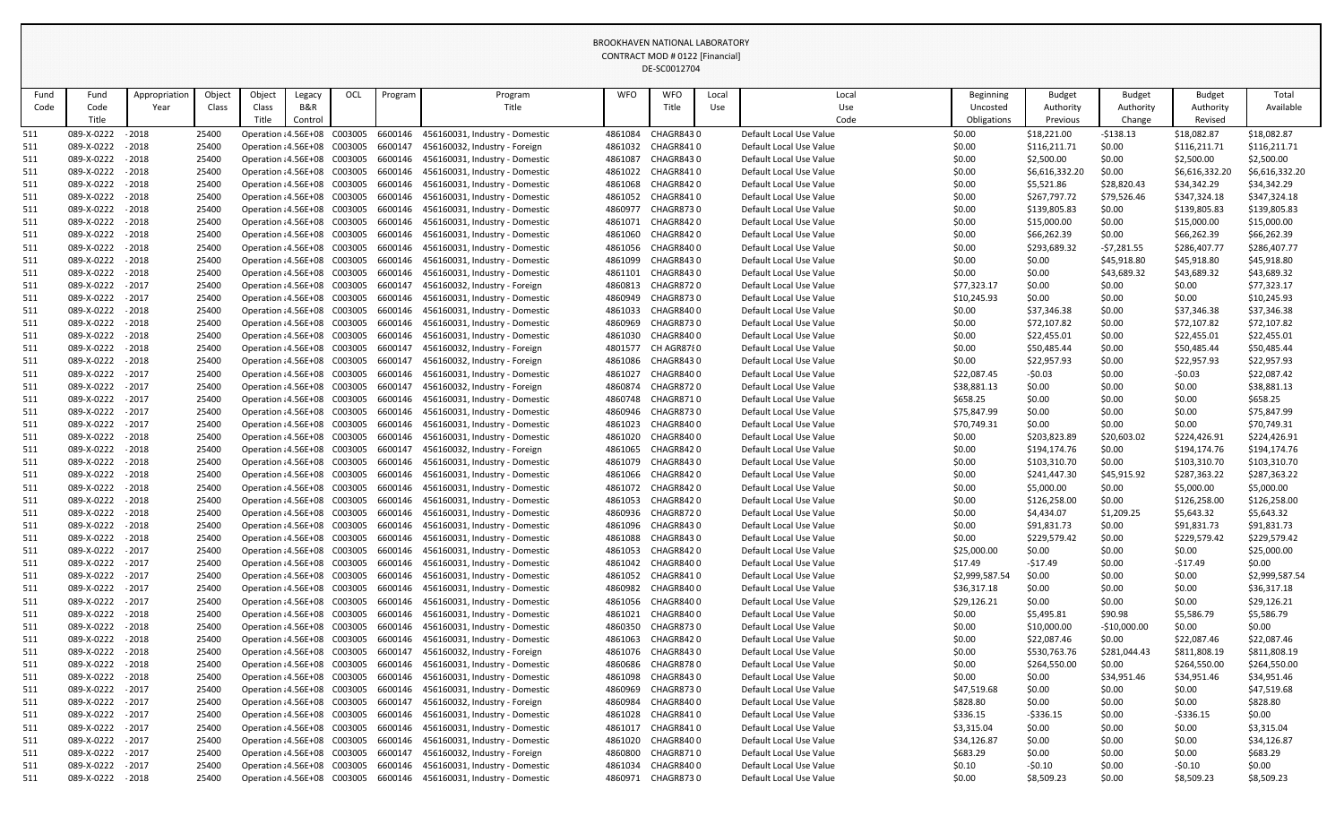| Fund | Fund              | Appropriation | Object | Object                       | Legacy                       | OCL | Program | Program                                | <b>WFO</b> | <b>WFO</b>        | Local      | Local                   | <b>Beginning</b> | <b>Budget</b>  | <b>Budget</b> | <b>Budget</b>  | Total          |
|------|-------------------|---------------|--------|------------------------------|------------------------------|-----|---------|----------------------------------------|------------|-------------------|------------|-------------------------|------------------|----------------|---------------|----------------|----------------|
| Code | Code              | Year          | Class  | Class                        | B&R                          |     |         | Title                                  |            | Title             | <b>Use</b> | Use                     | Uncosted         | Authority      | Authority     | Authority      | Available      |
|      | Title             |               |        | Title                        | Control                      |     |         |                                        |            |                   |            | Code                    | Obligations      | Previous       | Change        | Revised        |                |
| 511  | 089-X-0222        | $-2018$       | 25400  |                              | Operation: 4.56E+08 C003005  |     |         | 6600146 456160031, Industry - Domestic | 4861084    | CHAGR8430         |            | Default Local Use Value | \$0.00           | \$18,221.00    | $-5138.13$    | \$18,082.87    | \$18,082.87    |
| 511  | 089-X-0222        | $-2018$       | 25400  |                              | Operation : 4.56E+08 C003005 |     | 6600147 | 456160032, Industry - Foreign          | 4861032    | CHAGR8410         |            | Default Local Use Value | \$0.00           | \$116,211.71   | \$0.00        | \$116,211.71   | \$116,211.71   |
| 511  | 089-X-0222        | $-2018$       | 25400  |                              | Operation: 4.56E+08 C003005  |     | 6600146 | 456160031, Industry - Domestic         | 4861087    | CHAGR8430         |            | Default Local Use Value | \$0.00           | \$2,500.00     | \$0.00        | \$2,500.00     | \$2,500.00     |
| 511  | 089-X-0222        | $-2018$       | 25400  |                              | Operation : 4.56E+08 C003005 |     | 6600146 | 456160031, Industry - Domestic         | 4861022    | CHAGR8410         |            | Default Local Use Value | \$0.00           | \$6,616,332.20 | \$0.00        | \$6,616,332.20 | \$6,616,332.20 |
| 511  | 089-X-0222 - 2018 |               | 25400  |                              | Operation : 4.56E+08 C003005 |     | 6600146 | 456160031, Industry - Domestic         | 4861068    | CHAGR8420         |            | Default Local Use Value | \$0.00           | \$5,521.86     | \$28,820.43   | \$34,342.29    | \$34,342.29    |
| 511  | 089-X-0222        | $-2018$       | 25400  |                              | Operation : 4.56E+08 C003005 |     | 6600146 | 456160031, Industry - Domestic         | 4861052    | CHAGR8410         |            | Default Local Use Value | \$0.00           | \$267,797.72   | \$79,526.46   | \$347,324.18   | \$347,324.18   |
| 511  | 089-X-0222 - 2018 |               | 25400  |                              | Operation: 4.56E+08 C003005  |     | 6600146 | 456160031, Industry - Domestic         | 4860977    | CHAGR8730         |            | Default Local Use Value | \$0.00           | \$139,805.83   | \$0.00        | \$139,805.83   | \$139,805.83   |
| 511  | 089-X-0222 - 2018 |               | 25400  |                              | Operation : 4.56E+08 C003005 |     | 6600146 | 456160031, Industry - Domestic         | 4861071    | CHAGR842 0        |            | Default Local Use Value | \$0.00           | \$15,000.00    | \$0.00        | \$15,000.00    | \$15,000.00    |
| 511  | 089-X-0222        | $-2018$       | 25400  |                              | Operation: 4.56E+08 C003005  |     | 6600146 | 456160031, Industry - Domestic         | 4861060    | CHAGR8420         |            | Default Local Use Value | \$0.00           | \$66,262.39    | \$0.00        | \$66,262.39    | \$66,262.39    |
| 511  | 089-X-0222 - 2018 |               | 25400  |                              | Operation : 4.56E+08 C003005 |     | 6600146 | 456160031, Industry - Domestic         |            | 4861056 CHAGR8400 |            | Default Local Use Value | \$0.00           | \$293,689.32   | $-57,281.55$  | \$286,407.77   | \$286,407.77   |
| 511  | 089-X-0222        | $-2018$       | 25400  |                              | Operation: 4.56E+08 C003005  |     | 6600146 | 456160031, Industry - Domestic         | 4861099    | CHAGR8430         |            | Default Local Use Value | \$0.00           | \$0.00         | \$45,918.80   | \$45,918.80    | \$45,918.80    |
| 511  | 089-X-0222        | $-2018$       | 25400  |                              | Operation : 4.56E+08 C003005 |     | 6600146 | 456160031, Industry - Domestic         | 4861101    | CHAGR8430         |            | Default Local Use Value | \$0.00           | \$0.00         | \$43,689.32   | \$43,689.32    | \$43,689.32    |
| 511  | 089-X-0222        | $-2017$       | 25400  |                              | Operation: 4.56E+08 C003005  |     | 6600147 | 456160032, Industry - Foreign          | 4860813    | CHAGR8720         |            | Default Local Use Value | \$77,323.17      | \$0.00         | \$0.00        | \$0.00         | \$77,323.17    |
| 511  | 089-X-0222 - 2017 |               | 25400  |                              | Operation : 4.56E+08 C003005 |     | 6600146 | 456160031, Industry - Domestic         | 4860949    | CHAGR8730         |            | Default Local Use Value | \$10,245.93      | \$0.00         | \$0.00        | \$0.00         | \$10,245.93    |
| 511  | 089-X-0222        | $-2018$       | 25400  |                              | Operation: 4.56E+08 C003005  |     | 6600146 | 456160031, Industry - Domestic         | 4861033    | CHAGR8400         |            | Default Local Use Value | \$0.00           | \$37,346.38    | \$0.00        | \$37,346.38    | \$37,346.38    |
| 511  | 089-X-0222        | $-2018$       | 25400  |                              | Operation: 4.56E+08 C003005  |     | 6600146 | 456160031, Industry - Domestic         | 4860969    | CHAGR8730         |            | Default Local Use Value | \$0.00           | \$72,107.82    | \$0.00        | \$72,107.82    | \$72,107.82    |
| 511  | 089-X-0222        | $-2018$       | 25400  |                              | Operation: 4.56E+08 C003005  |     | 6600146 | 456160031, Industry - Domestic         | 4861030    | CHAGR8400         |            | Default Local Use Value | \$0.00           | \$22,455.01    | \$0.00        | \$22,455.01    | \$22,455.01    |
| 511  | 089-X-0222        | $-2018$       | 25400  |                              | Operation: 4.56E+08 C003005  |     | 6600147 | 456160032, Industry - Foreign          | 4801577    | CH AGR8780        |            | Default Local Use Value | \$0.00           | \$50,485.44    | \$0.00        | \$50,485.44    | \$50,485.44    |
| 511  | 089-X-0222        | $-2018$       | 25400  |                              | Operation: 4.56E+08 C003005  |     | 6600147 | 456160032, Industry - Foreign          | 4861086    | CHAGR8430         |            | Default Local Use Value | \$0.00           | \$22,957.93    | \$0.00        | \$22,957.93    | \$22,957.93    |
| 511  | 089-X-0222        | $-2017$       | 25400  |                              | Operation: 4.56E+08 C003005  |     | 6600146 | 456160031, Industry - Domestic         | 4861027    | CHAGR8400         |            | Default Local Use Value | \$22,087.45      | $-50.03$       | \$0.00        | $-50.03$       | \$22,087.42    |
| 511  | 089-X-0222        | $-2017$       | 25400  |                              | Operation: 4.56E+08 C003005  |     | 6600147 | 456160032, Industry - Foreign          | 4860874    | CHAGR8720         |            | Default Local Use Value | \$38,881.13      | \$0.00         | \$0.00        | \$0.00         | \$38,881.13    |
| 511  | 089-X-0222        | $-2017$       | 25400  |                              | Operation: 4.56E+08 C003005  |     | 6600146 | 456160031, Industry - Domestic         | 4860748    | CHAGR8710         |            | Default Local Use Value | \$658.25         | \$0.00         | \$0.00        | \$0.00         | \$658.25       |
| 511  | 089-X-0222        | $-2017$       | 25400  |                              | Operation: 4.56E+08 C003005  |     | 6600146 | 456160031, Industry - Domestic         | 4860946    | CHAGR8730         |            | Default Local Use Value | \$75,847.99      | \$0.00         | \$0.00        | \$0.00         | \$75,847.99    |
| 511  | 089-X-0222 - 2017 |               | 25400  |                              | Operation: 4.56E+08 C003005  |     | 6600146 | 456160031, Industry - Domestic         | 4861023    | CHAGR8400         |            | Default Local Use Value | \$70,749.31      | \$0.00         | \$0.00        | \$0.00         | \$70,749.31    |
| 511  | 089-X-0222        | $-2018$       | 25400  |                              | Operation: 4.56E+08 C003005  |     | 6600146 | 456160031, Industry - Domestic         |            | 4861020 CHAGR8400 |            | Default Local Use Value | \$0.00           | \$203,823.89   | \$20,603.02   | \$224,426.91   | \$224,426.91   |
| 511  | 089-X-0222 - 2018 |               | 25400  |                              | Operation: 4.56E+08 C003005  |     | 6600147 | 456160032, Industry - Foreign          | 4861065    | CHAGR8420         |            | Default Local Use Value | \$0.00           | \$194,174.76   | \$0.00        | \$194,174.76   | \$194,174.76   |
| 511  | 089-X-0222 - 2018 |               | 25400  |                              | Operation: 4.56E+08 C003005  |     |         | 6600146 456160031, Industry - Domestic | 4861079    | CHAGR8430         |            | Default Local Use Value | \$0.00           | \$103,310.70   | \$0.00        | \$103,310.70   | \$103,310.70   |
| 511  | 089-X-0222        | - 2018        | 25400  |                              | Operation: 4.56E+08 C003005  |     | 6600146 | 456160031, Industry - Domestic         | 4861066    | CHAGR8420         |            | Default Local Use Value | \$0.00           | \$241,447.30   | \$45,915.92   | \$287,363.22   | \$287,363.22   |
| 511  | 089-X-0222 - 2018 |               | 25400  |                              | Operation: 4.56E+08 C003005  |     | 6600146 | 456160031, Industry - Domestic         |            | 4861072 CHAGR8420 |            | Default Local Use Value | \$0.00           | \$5,000.00     | \$0.00        | \$5,000.00     | \$5,000.00     |
| 511  | 089-X-0222 - 2018 |               | 25400  |                              | Operation: 4.56E+08 C003005  |     | 6600146 | 456160031, Industry - Domestic         | 4861053    | CHAGR8420         |            | Default Local Use Value | \$0.00           | \$126,258.00   | \$0.00        | \$126,258.00   | \$126,258.00   |
| 511  | 089-X-0222 - 2018 |               | 25400  |                              | Operation: 4.56E+08 C003005  |     | 6600146 | 456160031, Industry - Domestic         | 4860936    | CHAGR8720         |            | Default Local Use Value | \$0.00           | \$4,434.07     | \$1,209.25    | \$5,643.32     | \$5,643.32     |
| 511  | 089-X-0222 - 2018 |               | 25400  |                              | Operation: 4.56E+08 C003005  |     | 6600146 | 456160031, Industry - Domestic         |            | 4861096 CHAGR8430 |            | Default Local Use Value | \$0.00           | \$91,831.73    | \$0.00        | \$91,831.73    | \$91,831.73    |
| 511  | 089-X-0222 - 2018 |               | 25400  |                              | Operation: 4.56E+08 C003005  |     | 6600146 | 456160031, Industry - Domestic         | 4861088    | CHAGR8430         |            | Default Local Use Value | \$0.00           | \$229,579.42   | \$0.00        | \$229,579.42   | \$229,579.42   |
| 511  | 089-X-0222 - 2017 |               | 25400  |                              | Operation: 4.56E+08 C003005  |     | 6600146 | 456160031, Industry - Domestic         | 4861053    | CHAGR8420         |            | Default Local Use Value | \$25,000.00      | \$0.00         | \$0.00        | \$0.00         | \$25,000.00    |
| 511  | 089-X-0222 - 2017 |               | 25400  |                              | Operation: 4.56E+08 C003005  |     | 6600146 | 456160031, Industry - Domestic         | 4861042    | CHAGR8400         |            | Default Local Use Value | \$17.49          | -\$17.49       | \$0.00        | $-517.49$      | \$0.00         |
| 511  | 089-X-0222 - 2017 |               | 25400  |                              | Operation: 4.56E+08 C003005  |     | 6600146 | 456160031, Industry - Domestic         | 4861052    | CHAGR8410         |            | Default Local Use Value | \$2,999,587.54   | \$0.00         | \$0.00        | \$0.00         | \$2,999,587.54 |
| 511  | 089-X-0222 - 2017 |               | 25400  |                              | Operation: 4.56E+08 C003005  |     | 6600146 | 456160031, Industry - Domestic         | 4860982    | CHAGR8400         |            | Default Local Use Value | \$36,317.18      | \$0.00         | \$0.00        | \$0.00         | \$36,317.18    |
| 511  | 089-X-0222 - 2017 |               | 25400  |                              | Operation: 4.56E+08 C003005  |     | 6600146 | 456160031, Industry - Domestic         |            | 4861056 CHAGR8400 |            | Default Local Use Value | \$29,126.21      | \$0.00         | \$0.00        | \$0.00         | \$29,126.21    |
| 511  | 089-X-0222 - 2018 |               | 25400  |                              | Operation: 4.56E+08 C003005  |     | 6600146 | 456160031, Industry - Domestic         | 4861021    | CHAGR8400         |            | Default Local Use Value | \$0.00           | \$5,495.81     | \$90.98       | \$5,586.79     | \$5,586.79     |
| 511  | 089-X-0222 - 2018 |               | 25400  |                              | Operation: 4.56E+08 C003005  |     | 6600146 | 456160031, Industry - Domestic         | 4860350    | CHAGR8730         |            | Default Local Use Value | \$0.00           | \$10,000.00    | $-$10,000.00$ | \$0.00         | \$0.00         |
| 511  | 089-X-0222        | $-2018$       | 25400  |                              | Operation: 4.56E+08 C003005  |     | 6600146 | 456160031, Industry - Domestic         | 4861063    | CHAGR8420         |            | Default Local Use Value | \$0.00           | \$22,087.46    | \$0.00        | \$22,087.46    | \$22,087.46    |
| 511  | 089-X-0222 - 2018 |               | 25400  |                              | Operation: 4.56E+08 C003005  |     | 6600147 | 456160032, Industry - Foreign          |            | 4861076 CHAGR8430 |            | Default Local Use Value | \$0.00           | \$530,763.76   | \$281,044.43  | \$811,808.19   | \$811,808.19   |
| 511  | 089-X-0222 - 2018 |               | 25400  |                              | Operation: 4.56E+08 C003005  |     | 6600146 | 456160031, Industry - Domestic         | 4860686    | CHAGR8780         |            | Default Local Use Value | \$0.00           | \$264,550.00   | \$0.00        | \$264,550.00   | \$264,550.00   |
| 511  | 089-X-0222        | $-2018$       | 25400  |                              | Operation: 4.56E+08 C003005  |     | 6600146 | 456160031, Industry - Domestic         | 4861098    | CHAGR8430         |            | Default Local Use Value | \$0.00           | \$0.00         | \$34,951.46   | \$34,951.46    | \$34,951.46    |
| 511  | 089-X-0222 - 2017 |               | 25400  |                              | Operation: 4.56E+08 C003005  |     | 6600146 | 456160031, Industry - Domestic         | 4860969    | CHAGR8730         |            | Default Local Use Value | \$47,519.68      | \$0.00         | \$0.00        | \$0.00         | \$47,519.68    |
| 511  | 089-X-0222        | $-2017$       | 25400  |                              | Operation: 4.56E+08 C003005  |     | 6600147 | 456160032, Industry - Foreign          | 4860984    | CHAGR8400         |            | Default Local Use Value | \$828.80         | \$0.00         | \$0.00        | \$0.00         | \$828.80       |
| 511  | 089-X-0222 - 2017 |               | 25400  | Operation : 4.56E+08 C003005 |                              |     | 6600146 | 456160031, Industry - Domestic         | 4861028    | CHAGR8410         |            | Default Local Use Value | \$336.15         | $-5336.15$     | \$0.00        | -\$336.15      | \$0.00         |
| 511  | 089-X-0222 - 2017 |               | 25400  |                              | Operation: 4.56E+08 C003005  |     | 6600146 | 456160031, Industry - Domestic         | 4861017    | CHAGR8410         |            | Default Local Use Value | \$3,315.04       | \$0.00         | \$0.00        | \$0.00         | \$3,315.04     |
| 511  | 089-X-0222        | $-2017$       | 25400  |                              | Operation: 4.56E+08 C003005  |     | 6600146 | 456160031, Industry - Domestic         | 4861020    | CHAGR8400         |            | Default Local Use Value | \$34,126.87      | \$0.00         | \$0.00        | \$0.00         | \$34,126.87    |
| 511  | 089-X-0222 - 2017 |               | 25400  |                              | Operation: 4.56E+08 C003005  |     | 6600147 | 456160032, Industry - Foreign          | 4860800    | CHAGR8710         |            | Default Local Use Value | \$683.29         | \$0.00         | \$0.00        | \$0.00         | \$683.29       |
| 511  | 089-X-0222        | $-2017$       | 25400  |                              | Operation: 4.56E+08 C003005  |     | 6600146 | 456160031, Industry - Domestic         | 4861034    | CHAGR8400         |            | Default Local Use Value | \$0.10           | -\$0.10        | \$0.00        | $-50.10$       | \$0.00         |
| 511  | 089-X-0222 - 2018 |               | 25400  |                              | Operation: 4.56E+08 C003005  |     |         | 6600146 456160031, Industry - Domestic |            | 4860971 CHAGR8730 |            | Default Local Use Value | \$0.00           | \$8,509.23     | \$0.00        | \$8,509.23     | \$8,509.23     |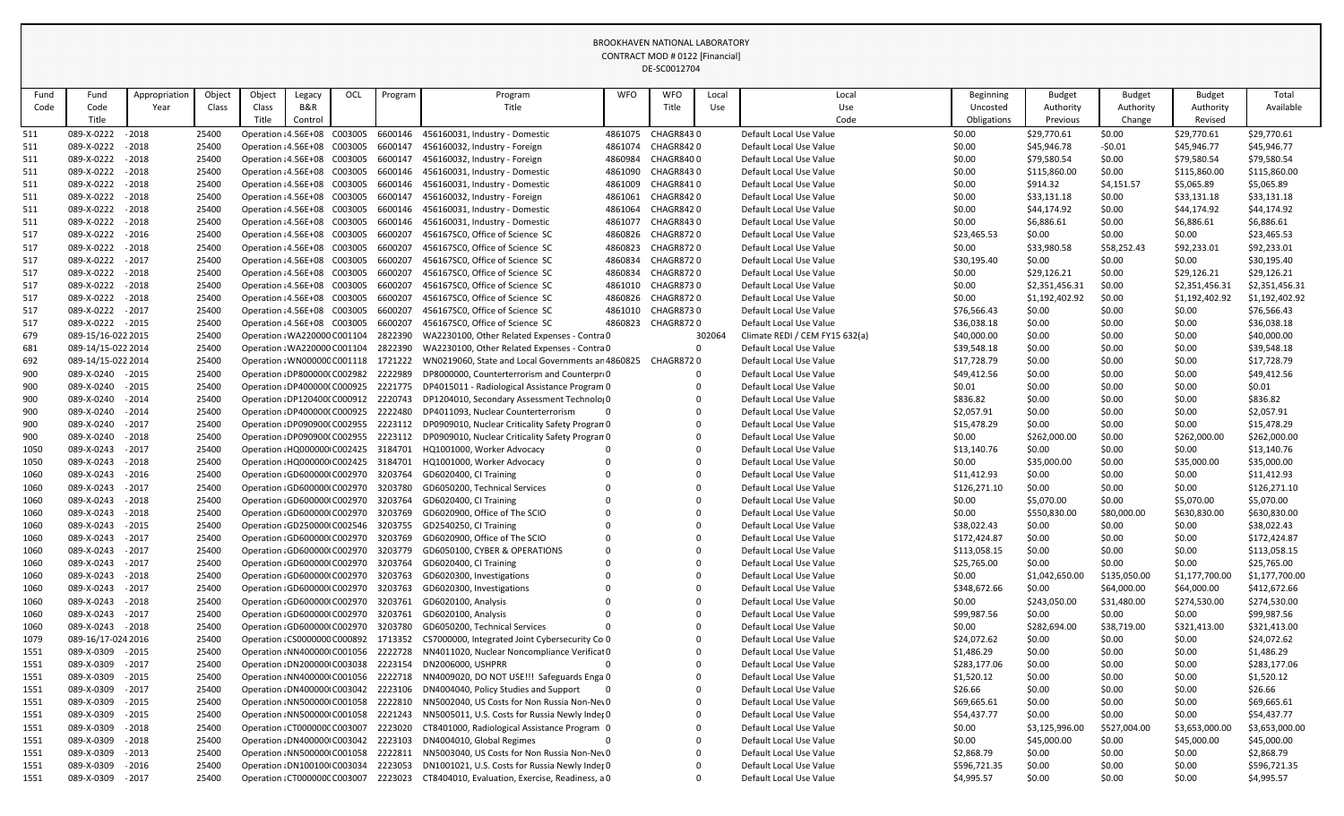| Object<br>Total<br>Appropriation<br>Object<br>OCL<br><b>WFO</b><br><b>WFO</b><br><b>Budget</b><br><b>Budget</b><br>Fund<br>Fund<br>Program<br>Program<br>Local<br>Local<br><b>Beginning</b><br><b>Budget</b><br>Legacy<br>B&R<br>Title<br>Title<br>Use<br>Code<br>Class<br>Class<br>Authority<br>Authority<br>Authority<br>Available<br>Code<br>Year<br>Use<br>Uncosted<br>Title<br>Title<br>Code<br>Control<br><b>Obligations</b><br>Previous<br>Change<br>Revised<br>4861075<br>CHAGR8430<br>\$29,770.61<br>\$29,770.61<br>089-X-0222<br>$-2018$<br>25400<br>Operation : 4.56E+08 C003005<br>6600146<br>456160031, Industry - Domestic<br>Default Local Use Value<br>\$0.00<br>\$0.00<br>\$29,770.61<br>$-2018$<br>CHAGR8420<br>\$45,946.78<br>\$45,946.77<br>089-X-0222<br>25400<br>Operation : 4.56E+08 C003005<br>6600147<br>456160032, Industry - Foreign<br>4861074<br>Default Local Use Value<br>\$0.00<br>$-50.01$<br>\$45,946.77<br>089-X-0222<br>$-2018$<br>\$79,580.54<br>25400<br>Operation : 4.56E+08 C003005<br>6600147<br>456160032, Industry - Foreign<br>4860984<br>CHAGR8400<br>\$0.00<br>\$79,580.54<br>\$79,580.54<br>Default Local Use Value<br>\$0.00<br>089-X-0222 - 2018<br>Operation : 4.56E+08 C003005<br>6600146<br>4861090<br>CHAGR8430<br>\$115,860.00<br>25400<br>456160031, Industry - Domestic<br>Default Local Use Value<br>\$0.00<br>\$0.00<br>\$115,860.00<br>\$115,860.00<br>$-2018$<br>Operation : 4.56E+08 C003005<br>6600146<br>4861009<br>CHAGR8410<br>\$914.32<br>\$5,065.89<br>\$5,065.89<br>089-X-0222<br>25400<br>456160031, Industry - Domestic<br>Default Local Use Value<br>\$0.00<br>\$4,151.57<br>089-X-0222 - 2018<br>25400<br>Operation : 4.56E+08 C003005<br>6600147<br>4861061<br>CHAGR8420<br>\$33,131.18<br>\$33,131.18<br>456160032, Industry - Foreign<br>Default Local Use Value<br>\$0.00<br>\$0.00<br>\$33,131.18<br>089-X-0222<br>$-2018$<br>\$44,174.92<br>25400<br>Operation : 4.56E+08 C003005<br>6600146<br>456160031, Industry - Domestic<br>4861064<br>CHAGR8420<br>Default Local Use Value<br>\$0.00<br>\$0.00<br>\$44,174.92<br>\$44,174.92<br>$-2018$<br>089-X-0222<br>25400<br>Operation : 4.56E+08 C003005<br>6600146<br>456160031, Industry - Domestic<br>4861077<br><b>CHAGR8430</b><br>\$0.00<br>\$6,886.61<br>\$0.00<br>\$6,886.61<br>\$6,886.61<br>Default Local Use Value<br>089-X-0222 - 2016<br>Operation: 4.56E+08 C003005<br>6600207<br>456167SC0, Office of Science SC<br>4860826<br>CHAGR8720<br>\$0.00<br>\$0.00<br>\$23,465.53<br>25400<br>Default Local Use Value<br>\$23,465.53<br>\$0.00<br>$-2018$<br>4860823<br>\$92,233.01<br>089-X-0222<br>25400<br>Operation : 4.56E+08 C003005<br>6600207<br>456167SC0, Office of Science SC<br>CHAGR8720<br>\$92,233.01<br>Default Local Use Value<br>\$0.00<br>\$33,980.58<br>\$58,252.43<br>$-2017$<br>517<br>089-X-0222<br>25400<br>Operation : 4.56E+08 C003005<br>6600207<br>456167SC0, Office of Science SC<br>4860834<br><b>CHAGR8720</b><br>\$0.00<br>\$0.00<br>\$0.00<br>\$30,195.40<br>Default Local Use Value<br>\$30,195.40<br>089-X-0222<br>Operation : 4.56E+08 C003005<br>6600207<br>456167SC0, Office of Science SC<br>4860834<br>CHAGR8720<br>\$29,126.21<br>\$29,126.21<br>\$29,126.21<br>$-2018$<br>25400<br>Default Local Use Value<br>\$0.00<br>\$0.00<br>089-X-0222<br>$-2018$<br>25400<br>Operation : 4.56E+08 C003005<br>6600207<br>456167SC0, Office of Science SC<br>4861010<br><b>CHAGR8730</b><br>\$2,351,456.31<br>\$0.00<br>\$2,351,456.31<br>Default Local Use Value<br>\$0.00<br>\$2,351,456.31<br>089-X-0222<br>$-2018$<br>25400<br>Operation : 4.56E+08 C003005<br>6600207<br>456167SC0, Office of Science SC<br>4860826<br>CHAGR8720<br>\$0.00<br>\$1,192,402.92<br>\$0.00<br>\$1,192,402.92<br>Default Local Use Value<br>\$1,192,402.92<br>$-2017$<br>Operation : 4.56E+08 C003005<br>6600207<br>456167SC0, Office of Science SC<br>4861010<br>CHAGR8730<br>\$0.00<br>\$0.00<br>\$76,566.43<br>089-X-0222<br>25400<br>Default Local Use Value<br>\$76,566.43<br>\$0.00<br>089-X-0222 - 2015<br>25400<br>Operation : 4.56E+08 C003005<br>6600207<br>456167SC0, Office of Science SC<br>4860823<br>CHAGR8720<br>\$36,038.18<br>\$0.00<br>\$36,038.18<br>Default Local Use Value<br>\$0.00<br>\$0.00<br>089-15/16-022 2015<br>25400<br>Operation : WA220000 C001104<br>2822390<br>WA2230100, Other Related Expenses - Contra 0<br>302064<br>Climate REDI / CEM FY15 632(a)<br>\$40,000.00<br>\$40,000.00<br>\$0.00<br>\$0.00<br>\$0.00<br>2822390<br>\$0.00<br>\$0.00<br>\$0.00<br>\$39,548.18<br>089-14/15-022 2014<br>25400<br>Operation : WA220000 C001104<br>WA2230100, Other Related Expenses - Contra 0<br>Default Local Use Value<br>\$39,548.18<br>089-14/15-022 2014<br>25400<br>1721222<br>CHAGR8720<br>\$17,728.79<br>\$0.00<br>\$0.00<br>\$0.00<br>\$17,728.79<br>692<br>Operation: WN00000C C001118<br>WN0219060, State and Local Governments an 4860825<br>Default Local Use Value<br>900<br>089-X-0240 - 2015<br>25400<br>Operation : DP800000(C002982<br>2222989<br>DP8000000, Counterterrorism and Counterpro0<br>Default Local Use Value<br>\$49,412.56<br>\$0.00<br>\$0.00<br>\$0.00<br>\$49,412.56<br>900<br>089-X-0240<br>$-2015$<br>25400<br>\$0.00<br>\$0.00<br>\$0.00<br>\$0.01<br>Operation : DP400000(C000925<br>2221775<br>DP4015011 - Radiological Assistance Program 0<br>Default Local Use Value<br>\$0.01<br>\$836.82<br>900<br>089-X-0240<br>$-2014$<br>25400<br>Operation : DP120400(C000912<br>2220743<br>\$836.82<br>DP1204010, Secondary Assessment Technolog0<br>Default Local Use Value<br>\$0.00<br>\$0.00<br>\$0.00<br>089-X-0240<br>$-2014$<br>DP4011093, Nuclear Counterterrorism<br>\$0.00<br>\$0.00<br>\$0.00<br>\$2,057.91<br>900<br>25400<br>Operation : DP400000(C000925<br>2222480<br>Default Local Use Value<br>\$2,057.91<br>$-2017$<br>\$15,478.29<br>900<br>089-X-0240<br>25400<br>2223112<br>\$15,478.29<br>\$0.00<br>\$0.00<br>\$0.00<br>Operation : DP090900(C002955<br>DP0909010, Nuclear Criticality Safety Progran 0<br>Default Local Use Value<br>900<br>$-2018$<br>25400<br>2223112<br>DP0909010, Nuclear Criticality Safety Progran 0<br>\$262,000.00<br>089-X-0240<br>Operation : DP090900(C002955<br>Default Local Use Value<br>\$0.00<br>\$262,000.00<br>\$0.00<br>\$262,000.00<br>089-X-0243<br>$-2017$<br>25400<br>3184701<br>\$0.00<br>\$0.00<br>\$0.00<br>\$13,140.76<br>1050<br>Operation : HQ000000 C002425<br>HQ1001000, Worker Advocacy<br>Default Local Use Value<br>\$13,140.76<br>Operation : HQ000000 C002425 3184701 HQ1001000, Worker Advocacy<br>\$35,000.00<br>\$35,000.00<br>\$35,000.00<br>089-X-0243 - 2018<br>25400<br>\$0.00<br>\$0.00<br>Default Local Use Value<br>1050<br>\$0.00<br>089-X-0243 - 2016<br>Operation : GD600000 C002970 3203764<br>GD6020400, CI Training<br>Default Local Use Value<br>\$11,412.93<br>\$0.00<br>\$0.00<br>\$11,412.93<br>1060<br>25400<br>$-2017$<br>089-X-0243<br>25400<br>3203780<br>\$126,271.10<br>\$0.00<br>\$0.00<br>\$0.00<br>\$126,271.10<br>1060<br>Operation : GD600000 C002970<br>GD6050200, Technical Services<br>Default Local Use Value<br>\$5,070.00<br>089-X-0243<br>$-2018$<br>25400<br>3203764<br>\$5,070.00<br>1060<br>Operation : GD600000 C002970<br>GD6020400, CI Training<br>Default Local Use Value<br>\$0.00<br>\$5,070.00<br>\$0.00<br>3203769<br>GD6020900, Office of The SCIO<br>089-X-0243<br>$-2018$<br>25400<br>Operation : GD600000 C002970<br>Default Local Use Value<br>\$0.00<br>\$550,830.00<br>\$80,000.00<br>\$630,830.00<br>\$630,830.00<br>1060<br>089-X-0243<br>$-2015$<br>25400<br>\$38,022.43<br>\$0.00<br>\$38,022.43<br>1060<br>Operation : GD250000 C002546 3203755<br>GD2540250, CI Training<br>Default Local Use Value<br>\$0.00<br>\$0.00<br>GD6020900, Office of The SCIO<br>089-X-0243<br>$-2017$<br>25400<br>Operation : GD600000 C002970<br>3203769<br>Default Local Use Value<br>\$172,424.87<br>\$0.00<br>\$0.00<br>\$0.00<br>\$172,424.87<br>1060<br>$-2017$<br>089-X-0243<br>25400<br>3203779<br>\$113,058.15<br>\$0.00<br>\$0.00<br>\$0.00<br>1060<br>Operation : GD600000 C002970<br>GD6050100, CYBER & OPERATIONS<br>Default Local Use Value<br>\$113,058.15<br>25400<br>\$0.00<br>\$25,765.00<br>1060<br>089-X-0243<br>$-2017$<br>Operation: GD600000 C002970<br>3203764<br>GD6020400, CI Training<br>Default Local Use Value<br>\$25,765.00<br>\$0.00<br>\$0.00<br>089-X-0243<br>$-2018$<br>3203763<br>GD6020300, Investigations<br>\$1,177,700.00<br>\$1,177,700.00<br>25400<br>Operation : GD600000 C002970<br>Default Local Use Value<br>\$0.00<br>\$1,042,650.00<br>\$135,050.00<br>1060<br>089-X-0243<br>$-2017$<br>25400<br>Operation : GD600000 C002970<br>3203763<br>GD6020300, Investigations<br>\$348,672.66<br>\$0.00<br>\$64,000.00<br>\$64,000.00<br>\$412,672.66<br>1060<br>Default Local Use Value<br>\$274,530.00<br>089-X-0243<br>$-2018$<br>25400<br>Operation : GD600000 C002970<br>3203761<br>GD6020100, Analysis<br>Default Local Use Value<br>\$0.00<br>\$243,050.00<br>\$31,480.00<br>\$274,530.00<br>1060<br>089-X-0243<br>$-2017$<br>25400<br>3203761<br>\$0.00<br>\$0.00<br>\$99,987.56<br>1060<br>Operation : GD600000 C002970<br>GD6020100, Analysis<br>Default Local Use Value<br>\$99,987.56<br>\$0.00<br>089-X-0243<br>25400<br>3203780<br>\$282,694.00<br>1060<br>$-2018$<br>Operation : GD600000 C002970<br>GD6050200, Technical Services<br>Default Local Use Value<br>\$0.00<br>\$38,719.00<br>\$321,413.00<br>\$321,413.00<br>\$0.00<br>\$0.00<br>089-16/17-024 2016<br>25400<br>Operation: CS0000000 C000892<br>1713352<br>CS7000000, Integrated Joint Cybersecurity Co 0<br>Default Local Use Value<br>\$24,072.62<br>\$0.00<br>\$24,072.62<br>089-X-0309 - 2015<br>25400<br>2222728<br>NN4011020, Nuclear Noncompliance Verificat 0<br>\$1,486.29<br>\$0.00<br>\$0.00<br>\$0.00<br>\$1,486.29<br>1551<br>Operation : NN400000 C001056<br>Default Local Use Value<br>089-X-0309<br>$-2017$<br>25400<br>2223154<br>DN2006000, USHPRR<br>\$283,177.06<br>\$0.00<br>\$283,177.06<br>1551<br>Operation : DN200000 C003038<br>Default Local Use Value<br>\$0.00<br>\$0.00<br>$-2015$<br>25400<br>NN4009020, DO NOT USE!!! Safeguards Enga 0<br>\$0.00<br>\$1,520.12<br>1551<br>089-X-0309<br>Operation : NN400000 C001056<br>2222718<br>Default Local Use Value<br>\$1,520.12<br>\$0.00<br>\$0.00<br>089-X-0309<br>$-2017$<br>25400<br>Operation : DN400000 C003042<br>2223106<br>DN4004040, Policy Studies and Support<br>\$26.66<br>\$26.66<br>1551<br>Default Local Use Value<br>\$0.00<br>\$0.00<br>\$0.00<br>NN5002040, US Costs for Non Russia Non-Nev0<br>\$0.00<br>089-X-0309<br>$-2015$<br>25400<br>Operation: NN500000 C001058<br>2222810<br>Default Local Use Value<br>\$69,665.61<br>\$0.00<br>\$0.00<br>\$69,665.61<br>1551<br>089-X-0309<br>$-2015$<br>25400<br>NN5005011, U.S. Costs for Russia Newly Inder 0<br>\$54,437.77<br>\$0.00<br>\$0.00<br>\$0.00<br>\$54,437.77<br>1551<br>Operation : NN500000 C001058<br>2221243<br>Default Local Use Value<br>1551<br>089-X-0309<br>$-2018$<br>25400<br>CT8401000, Radiological Assistance Program 0<br>\$527,004.00<br>\$3,653,000.00<br>\$3,653,000.00<br>Operation : CT000000C C003007<br>2223020<br>Default Local Use Value<br>\$0.00<br>\$3,125,996.00<br>1551<br>089-X-0309<br>$-2018$<br>25400<br>Operation : DN400000 C003042<br>2223103<br>DN4004010, Global Regimes<br>Default Local Use Value<br>\$0.00<br>\$45,000.00<br>\$0.00<br>\$45,000.00<br>\$45,000.00<br>089-X-0309<br>25400<br>2222811<br>NN5003040, US Costs for Non Russia Non-Nev0<br>\$2,868.79<br>1551<br>$-2013$<br>Operation : NN500000 C001058<br>Default Local Use Value<br>\$2,868.79<br>\$0.00<br>\$0.00<br>\$0.00<br>089-X-0309<br>$-2016$<br>DN1001021, U.S. Costs for Russia Newly Inder 0<br>\$0.00<br>1551<br>25400<br>Operation : DN100100 C003034<br>2223053<br>Default Local Use Value<br>\$596,721.35<br>\$0.00<br>\$0.00<br>\$596,721.35<br>$-2017$<br>2223023<br>\$0.00<br>\$0.00<br>\$4,995.57<br>089-X-0309<br>25400<br>Operation: CT000000C C003007<br>CT8404010, Evaluation, Exercise, Readiness, a 0<br>Default Local Use Value<br>\$4,995.57<br>\$0.00<br>1551 |      |  |  |  |  | DE-3CUU1Z7U4 |  |  |  |  |
|----------------------------------------------------------------------------------------------------------------------------------------------------------------------------------------------------------------------------------------------------------------------------------------------------------------------------------------------------------------------------------------------------------------------------------------------------------------------------------------------------------------------------------------------------------------------------------------------------------------------------------------------------------------------------------------------------------------------------------------------------------------------------------------------------------------------------------------------------------------------------------------------------------------------------------------------------------------------------------------------------------------------------------------------------------------------------------------------------------------------------------------------------------------------------------------------------------------------------------------------------------------------------------------------------------------------------------------------------------------------------------------------------------------------------------------------------------------------------------------------------------------------------------------------------------------------------------------------------------------------------------------------------------------------------------------------------------------------------------------------------------------------------------------------------------------------------------------------------------------------------------------------------------------------------------------------------------------------------------------------------------------------------------------------------------------------------------------------------------------------------------------------------------------------------------------------------------------------------------------------------------------------------------------------------------------------------------------------------------------------------------------------------------------------------------------------------------------------------------------------------------------------------------------------------------------------------------------------------------------------------------------------------------------------------------------------------------------------------------------------------------------------------------------------------------------------------------------------------------------------------------------------------------------------------------------------------------------------------------------------------------------------------------------------------------------------------------------------------------------------------------------------------------------------------------------------------------------------------------------------------------------------------------------------------------------------------------------------------------------------------------------------------------------------------------------------------------------------------------------------------------------------------------------------------------------------------------------------------------------------------------------------------------------------------------------------------------------------------------------------------------------------------------------------------------------------------------------------------------------------------------------------------------------------------------------------------------------------------------------------------------------------------------------------------------------------------------------------------------------------------------------------------------------------------------------------------------------------------------------------------------------------------------------------------------------------------------------------------------------------------------------------------------------------------------------------------------------------------------------------------------------------------------------------------------------------------------------------------------------------------------------------------------------------------------------------------------------------------------------------------------------------------------------------------------------------------------------------------------------------------------------------------------------------------------------------------------------------------------------------------------------------------------------------------------------------------------------------------------------------------------------------------------------------------------------------------------------------------------------------------------------------------------------------------------------------------------------------------------------------------------------------------------------------------------------------------------------------------------------------------------------------------------------------------------------------------------------------------------------------------------------------------------------------------------------------------------------------------------------------------------------------------------------------------------------------------------------------------------------------------------------------------------------------------------------------------------------------------------------------------------------------------------------------------------------------------------------------------------------------------------------------------------------------------------------------------------------------------------------------------------------------------------------------------------------------------------------------------------------------------------------------------------------------------------------------------------------------------------------------------------------------------------------------------------------------------------------------------------------------------------------------------------------------------------------------------------------------------------------------------------------------------------------------------------------------------------------------------------------------------------------------------------------------------------------------------------------------------------------------------------------------------------------------------------------------------------------------------------------------------------------------------------------------------------------------------------------------------------------------------------------------------------------------------------------------------------------------------------------------------------------------------------------------------------------------------------------------------------------------------------------------------------------------------------------------------------------------------------------------------------------------------------------------------------------------------------------------------------------------------------------------------------------------------------------------------------------------------------------------------------------------------------------------------------------------------------------------------------------------------------------------------------------------------------------------------------------------------------------------------------------------------------------------------------------------------------------------------------------------------------------------------------------------------------------------------------------------------------------------------------------------------------------------------------------------------------------------------------------------------------------------------------------------------------------------------------------------------------------------------------------------------------------------------------------------------------------------------------------------------------------------------------------------------------------------------------------------------------------------------------------------------------------------------------------------------------------------------------------------------------------------------------------------------------------------------------------------------------------------------------------------------------------------------------------------------------------------------------------------------------------------------------------------------------------------------------------------------------------------------------------------------------------------------------------------------------------------------------------------------------------------------------------------------------------------------------------------------------------------------------------------------------------------------------------------------------------------------------------------------------------------------------------------------------------------------------------------------------------------------------------------------------------------------------------------------------------------------------------------------------------------------------------------------------------------------------------------------------------------------------------------------------------------------------------------------------------------------------------------------------------------------------------------------------------------------------------------------------------------------------------------------------------------------------------------------------------------------------------------------------------------------------------------------------------------------------------------------------------------------------------------------------------------------------------------------------------------------------------------------------------------------------------------------------------------------------------------------------------------------------------------------------------------------------------------------------------------------------------------------------------------------------------------------------------------------------------------------------------------------------------------------------------------------------------------------------------------------------------------------------------------------------------------------------------------------------------------------------------------------------------------------------------------------------------------------------------------------------------------------------------------------------------------------------------------------------------------------------------------------------------------------------------------------------------------------------------------------------------------------------------------------------------------------------------------------------------------------------------------------------------------------------------------------------------------------------------------------------------------------------------------------------------------------------------------------------------------------------------------------------------------------------------------------------------------------------------------|------|--|--|--|--|--------------|--|--|--|--|
|                                                                                                                                                                                                                                                                                                                                                                                                                                                                                                                                                                                                                                                                                                                                                                                                                                                                                                                                                                                                                                                                                                                                                                                                                                                                                                                                                                                                                                                                                                                                                                                                                                                                                                                                                                                                                                                                                                                                                                                                                                                                                                                                                                                                                                                                                                                                                                                                                                                                                                                                                                                                                                                                                                                                                                                                                                                                                                                                                                                                                                                                                                                                                                                                                                                                                                                                                                                                                                                                                                                                                                                                                                                                                                                                                                                                                                                                                                                                                                                                                                                                                                                                                                                                                                                                                                                                                                                                                                                                                                                                                                                                                                                                                                                                                                                                                                                                                                                                                                                                                                                                                                                                                                                                                                                                                                                                                                                                                                                                                                                                                                                                                                                                                                                                                                                                                                                                                                                                                                                                                                                                                                                                                                                                                                                                                                                                                                                                                                                                                                                                                                                                                                                                                                                                                                                                                                                                                                                                                                                                                                                                                                                                                                                                                                                                                                                                                                                                                                                                                                                                                                                                                                                                                                                                                                                                                                                                                                                                                                                                                                                                                                                                                                                                                                                                                                                                                                                                                                                                                                                                                                                                                                                                                                                                                                                                                                                                                                                                                                                                                                                                                                                                                                                                                                                                                                                                                                                                                                                                                                                                                                                                                                                                                                                                                                                                                                                                                                                                                                                                                                                                                                                                                                                                                                                                                                                                                                                                                                                                                                                                                                                                                                                                                                                                                                                                                                                                                                                                                                                                                                                                                                                                                                                                                                                                                                                                                                                                                                                                                                                                                                                                                                                                                                                                                                                                                                                                                                                                                                                                                                                                                                                                                                                                                      |      |  |  |  |  |              |  |  |  |  |
|                                                                                                                                                                                                                                                                                                                                                                                                                                                                                                                                                                                                                                                                                                                                                                                                                                                                                                                                                                                                                                                                                                                                                                                                                                                                                                                                                                                                                                                                                                                                                                                                                                                                                                                                                                                                                                                                                                                                                                                                                                                                                                                                                                                                                                                                                                                                                                                                                                                                                                                                                                                                                                                                                                                                                                                                                                                                                                                                                                                                                                                                                                                                                                                                                                                                                                                                                                                                                                                                                                                                                                                                                                                                                                                                                                                                                                                                                                                                                                                                                                                                                                                                                                                                                                                                                                                                                                                                                                                                                                                                                                                                                                                                                                                                                                                                                                                                                                                                                                                                                                                                                                                                                                                                                                                                                                                                                                                                                                                                                                                                                                                                                                                                                                                                                                                                                                                                                                                                                                                                                                                                                                                                                                                                                                                                                                                                                                                                                                                                                                                                                                                                                                                                                                                                                                                                                                                                                                                                                                                                                                                                                                                                                                                                                                                                                                                                                                                                                                                                                                                                                                                                                                                                                                                                                                                                                                                                                                                                                                                                                                                                                                                                                                                                                                                                                                                                                                                                                                                                                                                                                                                                                                                                                                                                                                                                                                                                                                                                                                                                                                                                                                                                                                                                                                                                                                                                                                                                                                                                                                                                                                                                                                                                                                                                                                                                                                                                                                                                                                                                                                                                                                                                                                                                                                                                                                                                                                                                                                                                                                                                                                                                                                                                                                                                                                                                                                                                                                                                                                                                                                                                                                                                                                                                                                                                                                                                                                                                                                                                                                                                                                                                                                                                                                                                                                                                                                                                                                                                                                                                                                                                                                                                                                                                                      |      |  |  |  |  |              |  |  |  |  |
|                                                                                                                                                                                                                                                                                                                                                                                                                                                                                                                                                                                                                                                                                                                                                                                                                                                                                                                                                                                                                                                                                                                                                                                                                                                                                                                                                                                                                                                                                                                                                                                                                                                                                                                                                                                                                                                                                                                                                                                                                                                                                                                                                                                                                                                                                                                                                                                                                                                                                                                                                                                                                                                                                                                                                                                                                                                                                                                                                                                                                                                                                                                                                                                                                                                                                                                                                                                                                                                                                                                                                                                                                                                                                                                                                                                                                                                                                                                                                                                                                                                                                                                                                                                                                                                                                                                                                                                                                                                                                                                                                                                                                                                                                                                                                                                                                                                                                                                                                                                                                                                                                                                                                                                                                                                                                                                                                                                                                                                                                                                                                                                                                                                                                                                                                                                                                                                                                                                                                                                                                                                                                                                                                                                                                                                                                                                                                                                                                                                                                                                                                                                                                                                                                                                                                                                                                                                                                                                                                                                                                                                                                                                                                                                                                                                                                                                                                                                                                                                                                                                                                                                                                                                                                                                                                                                                                                                                                                                                                                                                                                                                                                                                                                                                                                                                                                                                                                                                                                                                                                                                                                                                                                                                                                                                                                                                                                                                                                                                                                                                                                                                                                                                                                                                                                                                                                                                                                                                                                                                                                                                                                                                                                                                                                                                                                                                                                                                                                                                                                                                                                                                                                                                                                                                                                                                                                                                                                                                                                                                                                                                                                                                                                                                                                                                                                                                                                                                                                                                                                                                                                                                                                                                                                                                                                                                                                                                                                                                                                                                                                                                                                                                                                                                                                                                                                                                                                                                                                                                                                                                                                                                                                                                                                                                                      |      |  |  |  |  |              |  |  |  |  |
|                                                                                                                                                                                                                                                                                                                                                                                                                                                                                                                                                                                                                                                                                                                                                                                                                                                                                                                                                                                                                                                                                                                                                                                                                                                                                                                                                                                                                                                                                                                                                                                                                                                                                                                                                                                                                                                                                                                                                                                                                                                                                                                                                                                                                                                                                                                                                                                                                                                                                                                                                                                                                                                                                                                                                                                                                                                                                                                                                                                                                                                                                                                                                                                                                                                                                                                                                                                                                                                                                                                                                                                                                                                                                                                                                                                                                                                                                                                                                                                                                                                                                                                                                                                                                                                                                                                                                                                                                                                                                                                                                                                                                                                                                                                                                                                                                                                                                                                                                                                                                                                                                                                                                                                                                                                                                                                                                                                                                                                                                                                                                                                                                                                                                                                                                                                                                                                                                                                                                                                                                                                                                                                                                                                                                                                                                                                                                                                                                                                                                                                                                                                                                                                                                                                                                                                                                                                                                                                                                                                                                                                                                                                                                                                                                                                                                                                                                                                                                                                                                                                                                                                                                                                                                                                                                                                                                                                                                                                                                                                                                                                                                                                                                                                                                                                                                                                                                                                                                                                                                                                                                                                                                                                                                                                                                                                                                                                                                                                                                                                                                                                                                                                                                                                                                                                                                                                                                                                                                                                                                                                                                                                                                                                                                                                                                                                                                                                                                                                                                                                                                                                                                                                                                                                                                                                                                                                                                                                                                                                                                                                                                                                                                                                                                                                                                                                                                                                                                                                                                                                                                                                                                                                                                                                                                                                                                                                                                                                                                                                                                                                                                                                                                                                                                                                                                                                                                                                                                                                                                                                                                                                                                                                                                                                                                      | 511  |  |  |  |  |              |  |  |  |  |
|                                                                                                                                                                                                                                                                                                                                                                                                                                                                                                                                                                                                                                                                                                                                                                                                                                                                                                                                                                                                                                                                                                                                                                                                                                                                                                                                                                                                                                                                                                                                                                                                                                                                                                                                                                                                                                                                                                                                                                                                                                                                                                                                                                                                                                                                                                                                                                                                                                                                                                                                                                                                                                                                                                                                                                                                                                                                                                                                                                                                                                                                                                                                                                                                                                                                                                                                                                                                                                                                                                                                                                                                                                                                                                                                                                                                                                                                                                                                                                                                                                                                                                                                                                                                                                                                                                                                                                                                                                                                                                                                                                                                                                                                                                                                                                                                                                                                                                                                                                                                                                                                                                                                                                                                                                                                                                                                                                                                                                                                                                                                                                                                                                                                                                                                                                                                                                                                                                                                                                                                                                                                                                                                                                                                                                                                                                                                                                                                                                                                                                                                                                                                                                                                                                                                                                                                                                                                                                                                                                                                                                                                                                                                                                                                                                                                                                                                                                                                                                                                                                                                                                                                                                                                                                                                                                                                                                                                                                                                                                                                                                                                                                                                                                                                                                                                                                                                                                                                                                                                                                                                                                                                                                                                                                                                                                                                                                                                                                                                                                                                                                                                                                                                                                                                                                                                                                                                                                                                                                                                                                                                                                                                                                                                                                                                                                                                                                                                                                                                                                                                                                                                                                                                                                                                                                                                                                                                                                                                                                                                                                                                                                                                                                                                                                                                                                                                                                                                                                                                                                                                                                                                                                                                                                                                                                                                                                                                                                                                                                                                                                                                                                                                                                                                                                                                                                                                                                                                                                                                                                                                                                                                                                                                                                                                                      | 511  |  |  |  |  |              |  |  |  |  |
|                                                                                                                                                                                                                                                                                                                                                                                                                                                                                                                                                                                                                                                                                                                                                                                                                                                                                                                                                                                                                                                                                                                                                                                                                                                                                                                                                                                                                                                                                                                                                                                                                                                                                                                                                                                                                                                                                                                                                                                                                                                                                                                                                                                                                                                                                                                                                                                                                                                                                                                                                                                                                                                                                                                                                                                                                                                                                                                                                                                                                                                                                                                                                                                                                                                                                                                                                                                                                                                                                                                                                                                                                                                                                                                                                                                                                                                                                                                                                                                                                                                                                                                                                                                                                                                                                                                                                                                                                                                                                                                                                                                                                                                                                                                                                                                                                                                                                                                                                                                                                                                                                                                                                                                                                                                                                                                                                                                                                                                                                                                                                                                                                                                                                                                                                                                                                                                                                                                                                                                                                                                                                                                                                                                                                                                                                                                                                                                                                                                                                                                                                                                                                                                                                                                                                                                                                                                                                                                                                                                                                                                                                                                                                                                                                                                                                                                                                                                                                                                                                                                                                                                                                                                                                                                                                                                                                                                                                                                                                                                                                                                                                                                                                                                                                                                                                                                                                                                                                                                                                                                                                                                                                                                                                                                                                                                                                                                                                                                                                                                                                                                                                                                                                                                                                                                                                                                                                                                                                                                                                                                                                                                                                                                                                                                                                                                                                                                                                                                                                                                                                                                                                                                                                                                                                                                                                                                                                                                                                                                                                                                                                                                                                                                                                                                                                                                                                                                                                                                                                                                                                                                                                                                                                                                                                                                                                                                                                                                                                                                                                                                                                                                                                                                                                                                                                                                                                                                                                                                                                                                                                                                                                                                                                                                                                      | 511  |  |  |  |  |              |  |  |  |  |
|                                                                                                                                                                                                                                                                                                                                                                                                                                                                                                                                                                                                                                                                                                                                                                                                                                                                                                                                                                                                                                                                                                                                                                                                                                                                                                                                                                                                                                                                                                                                                                                                                                                                                                                                                                                                                                                                                                                                                                                                                                                                                                                                                                                                                                                                                                                                                                                                                                                                                                                                                                                                                                                                                                                                                                                                                                                                                                                                                                                                                                                                                                                                                                                                                                                                                                                                                                                                                                                                                                                                                                                                                                                                                                                                                                                                                                                                                                                                                                                                                                                                                                                                                                                                                                                                                                                                                                                                                                                                                                                                                                                                                                                                                                                                                                                                                                                                                                                                                                                                                                                                                                                                                                                                                                                                                                                                                                                                                                                                                                                                                                                                                                                                                                                                                                                                                                                                                                                                                                                                                                                                                                                                                                                                                                                                                                                                                                                                                                                                                                                                                                                                                                                                                                                                                                                                                                                                                                                                                                                                                                                                                                                                                                                                                                                                                                                                                                                                                                                                                                                                                                                                                                                                                                                                                                                                                                                                                                                                                                                                                                                                                                                                                                                                                                                                                                                                                                                                                                                                                                                                                                                                                                                                                                                                                                                                                                                                                                                                                                                                                                                                                                                                                                                                                                                                                                                                                                                                                                                                                                                                                                                                                                                                                                                                                                                                                                                                                                                                                                                                                                                                                                                                                                                                                                                                                                                                                                                                                                                                                                                                                                                                                                                                                                                                                                                                                                                                                                                                                                                                                                                                                                                                                                                                                                                                                                                                                                                                                                                                                                                                                                                                                                                                                                                                                                                                                                                                                                                                                                                                                                                                                                                                                                                                                      | 511  |  |  |  |  |              |  |  |  |  |
|                                                                                                                                                                                                                                                                                                                                                                                                                                                                                                                                                                                                                                                                                                                                                                                                                                                                                                                                                                                                                                                                                                                                                                                                                                                                                                                                                                                                                                                                                                                                                                                                                                                                                                                                                                                                                                                                                                                                                                                                                                                                                                                                                                                                                                                                                                                                                                                                                                                                                                                                                                                                                                                                                                                                                                                                                                                                                                                                                                                                                                                                                                                                                                                                                                                                                                                                                                                                                                                                                                                                                                                                                                                                                                                                                                                                                                                                                                                                                                                                                                                                                                                                                                                                                                                                                                                                                                                                                                                                                                                                                                                                                                                                                                                                                                                                                                                                                                                                                                                                                                                                                                                                                                                                                                                                                                                                                                                                                                                                                                                                                                                                                                                                                                                                                                                                                                                                                                                                                                                                                                                                                                                                                                                                                                                                                                                                                                                                                                                                                                                                                                                                                                                                                                                                                                                                                                                                                                                                                                                                                                                                                                                                                                                                                                                                                                                                                                                                                                                                                                                                                                                                                                                                                                                                                                                                                                                                                                                                                                                                                                                                                                                                                                                                                                                                                                                                                                                                                                                                                                                                                                                                                                                                                                                                                                                                                                                                                                                                                                                                                                                                                                                                                                                                                                                                                                                                                                                                                                                                                                                                                                                                                                                                                                                                                                                                                                                                                                                                                                                                                                                                                                                                                                                                                                                                                                                                                                                                                                                                                                                                                                                                                                                                                                                                                                                                                                                                                                                                                                                                                                                                                                                                                                                                                                                                                                                                                                                                                                                                                                                                                                                                                                                                                                                                                                                                                                                                                                                                                                                                                                                                                                                                                                                                                      | 511  |  |  |  |  |              |  |  |  |  |
|                                                                                                                                                                                                                                                                                                                                                                                                                                                                                                                                                                                                                                                                                                                                                                                                                                                                                                                                                                                                                                                                                                                                                                                                                                                                                                                                                                                                                                                                                                                                                                                                                                                                                                                                                                                                                                                                                                                                                                                                                                                                                                                                                                                                                                                                                                                                                                                                                                                                                                                                                                                                                                                                                                                                                                                                                                                                                                                                                                                                                                                                                                                                                                                                                                                                                                                                                                                                                                                                                                                                                                                                                                                                                                                                                                                                                                                                                                                                                                                                                                                                                                                                                                                                                                                                                                                                                                                                                                                                                                                                                                                                                                                                                                                                                                                                                                                                                                                                                                                                                                                                                                                                                                                                                                                                                                                                                                                                                                                                                                                                                                                                                                                                                                                                                                                                                                                                                                                                                                                                                                                                                                                                                                                                                                                                                                                                                                                                                                                                                                                                                                                                                                                                                                                                                                                                                                                                                                                                                                                                                                                                                                                                                                                                                                                                                                                                                                                                                                                                                                                                                                                                                                                                                                                                                                                                                                                                                                                                                                                                                                                                                                                                                                                                                                                                                                                                                                                                                                                                                                                                                                                                                                                                                                                                                                                                                                                                                                                                                                                                                                                                                                                                                                                                                                                                                                                                                                                                                                                                                                                                                                                                                                                                                                                                                                                                                                                                                                                                                                                                                                                                                                                                                                                                                                                                                                                                                                                                                                                                                                                                                                                                                                                                                                                                                                                                                                                                                                                                                                                                                                                                                                                                                                                                                                                                                                                                                                                                                                                                                                                                                                                                                                                                                                                                                                                                                                                                                                                                                                                                                                                                                                                                                                                                                      | 511  |  |  |  |  |              |  |  |  |  |
|                                                                                                                                                                                                                                                                                                                                                                                                                                                                                                                                                                                                                                                                                                                                                                                                                                                                                                                                                                                                                                                                                                                                                                                                                                                                                                                                                                                                                                                                                                                                                                                                                                                                                                                                                                                                                                                                                                                                                                                                                                                                                                                                                                                                                                                                                                                                                                                                                                                                                                                                                                                                                                                                                                                                                                                                                                                                                                                                                                                                                                                                                                                                                                                                                                                                                                                                                                                                                                                                                                                                                                                                                                                                                                                                                                                                                                                                                                                                                                                                                                                                                                                                                                                                                                                                                                                                                                                                                                                                                                                                                                                                                                                                                                                                                                                                                                                                                                                                                                                                                                                                                                                                                                                                                                                                                                                                                                                                                                                                                                                                                                                                                                                                                                                                                                                                                                                                                                                                                                                                                                                                                                                                                                                                                                                                                                                                                                                                                                                                                                                                                                                                                                                                                                                                                                                                                                                                                                                                                                                                                                                                                                                                                                                                                                                                                                                                                                                                                                                                                                                                                                                                                                                                                                                                                                                                                                                                                                                                                                                                                                                                                                                                                                                                                                                                                                                                                                                                                                                                                                                                                                                                                                                                                                                                                                                                                                                                                                                                                                                                                                                                                                                                                                                                                                                                                                                                                                                                                                                                                                                                                                                                                                                                                                                                                                                                                                                                                                                                                                                                                                                                                                                                                                                                                                                                                                                                                                                                                                                                                                                                                                                                                                                                                                                                                                                                                                                                                                                                                                                                                                                                                                                                                                                                                                                                                                                                                                                                                                                                                                                                                                                                                                                                                                                                                                                                                                                                                                                                                                                                                                                                                                                                                                                                                      | 511  |  |  |  |  |              |  |  |  |  |
|                                                                                                                                                                                                                                                                                                                                                                                                                                                                                                                                                                                                                                                                                                                                                                                                                                                                                                                                                                                                                                                                                                                                                                                                                                                                                                                                                                                                                                                                                                                                                                                                                                                                                                                                                                                                                                                                                                                                                                                                                                                                                                                                                                                                                                                                                                                                                                                                                                                                                                                                                                                                                                                                                                                                                                                                                                                                                                                                                                                                                                                                                                                                                                                                                                                                                                                                                                                                                                                                                                                                                                                                                                                                                                                                                                                                                                                                                                                                                                                                                                                                                                                                                                                                                                                                                                                                                                                                                                                                                                                                                                                                                                                                                                                                                                                                                                                                                                                                                                                                                                                                                                                                                                                                                                                                                                                                                                                                                                                                                                                                                                                                                                                                                                                                                                                                                                                                                                                                                                                                                                                                                                                                                                                                                                                                                                                                                                                                                                                                                                                                                                                                                                                                                                                                                                                                                                                                                                                                                                                                                                                                                                                                                                                                                                                                                                                                                                                                                                                                                                                                                                                                                                                                                                                                                                                                                                                                                                                                                                                                                                                                                                                                                                                                                                                                                                                                                                                                                                                                                                                                                                                                                                                                                                                                                                                                                                                                                                                                                                                                                                                                                                                                                                                                                                                                                                                                                                                                                                                                                                                                                                                                                                                                                                                                                                                                                                                                                                                                                                                                                                                                                                                                                                                                                                                                                                                                                                                                                                                                                                                                                                                                                                                                                                                                                                                                                                                                                                                                                                                                                                                                                                                                                                                                                                                                                                                                                                                                                                                                                                                                                                                                                                                                                                                                                                                                                                                                                                                                                                                                                                                                                                                                                                                                                      | 511  |  |  |  |  |              |  |  |  |  |
|                                                                                                                                                                                                                                                                                                                                                                                                                                                                                                                                                                                                                                                                                                                                                                                                                                                                                                                                                                                                                                                                                                                                                                                                                                                                                                                                                                                                                                                                                                                                                                                                                                                                                                                                                                                                                                                                                                                                                                                                                                                                                                                                                                                                                                                                                                                                                                                                                                                                                                                                                                                                                                                                                                                                                                                                                                                                                                                                                                                                                                                                                                                                                                                                                                                                                                                                                                                                                                                                                                                                                                                                                                                                                                                                                                                                                                                                                                                                                                                                                                                                                                                                                                                                                                                                                                                                                                                                                                                                                                                                                                                                                                                                                                                                                                                                                                                                                                                                                                                                                                                                                                                                                                                                                                                                                                                                                                                                                                                                                                                                                                                                                                                                                                                                                                                                                                                                                                                                                                                                                                                                                                                                                                                                                                                                                                                                                                                                                                                                                                                                                                                                                                                                                                                                                                                                                                                                                                                                                                                                                                                                                                                                                                                                                                                                                                                                                                                                                                                                                                                                                                                                                                                                                                                                                                                                                                                                                                                                                                                                                                                                                                                                                                                                                                                                                                                                                                                                                                                                                                                                                                                                                                                                                                                                                                                                                                                                                                                                                                                                                                                                                                                                                                                                                                                                                                                                                                                                                                                                                                                                                                                                                                                                                                                                                                                                                                                                                                                                                                                                                                                                                                                                                                                                                                                                                                                                                                                                                                                                                                                                                                                                                                                                                                                                                                                                                                                                                                                                                                                                                                                                                                                                                                                                                                                                                                                                                                                                                                                                                                                                                                                                                                                                                                                                                                                                                                                                                                                                                                                                                                                                                                                                                                                                                      | 517  |  |  |  |  |              |  |  |  |  |
|                                                                                                                                                                                                                                                                                                                                                                                                                                                                                                                                                                                                                                                                                                                                                                                                                                                                                                                                                                                                                                                                                                                                                                                                                                                                                                                                                                                                                                                                                                                                                                                                                                                                                                                                                                                                                                                                                                                                                                                                                                                                                                                                                                                                                                                                                                                                                                                                                                                                                                                                                                                                                                                                                                                                                                                                                                                                                                                                                                                                                                                                                                                                                                                                                                                                                                                                                                                                                                                                                                                                                                                                                                                                                                                                                                                                                                                                                                                                                                                                                                                                                                                                                                                                                                                                                                                                                                                                                                                                                                                                                                                                                                                                                                                                                                                                                                                                                                                                                                                                                                                                                                                                                                                                                                                                                                                                                                                                                                                                                                                                                                                                                                                                                                                                                                                                                                                                                                                                                                                                                                                                                                                                                                                                                                                                                                                                                                                                                                                                                                                                                                                                                                                                                                                                                                                                                                                                                                                                                                                                                                                                                                                                                                                                                                                                                                                                                                                                                                                                                                                                                                                                                                                                                                                                                                                                                                                                                                                                                                                                                                                                                                                                                                                                                                                                                                                                                                                                                                                                                                                                                                                                                                                                                                                                                                                                                                                                                                                                                                                                                                                                                                                                                                                                                                                                                                                                                                                                                                                                                                                                                                                                                                                                                                                                                                                                                                                                                                                                                                                                                                                                                                                                                                                                                                                                                                                                                                                                                                                                                                                                                                                                                                                                                                                                                                                                                                                                                                                                                                                                                                                                                                                                                                                                                                                                                                                                                                                                                                                                                                                                                                                                                                                                                                                                                                                                                                                                                                                                                                                                                                                                                                                                                                                                                      | 517  |  |  |  |  |              |  |  |  |  |
|                                                                                                                                                                                                                                                                                                                                                                                                                                                                                                                                                                                                                                                                                                                                                                                                                                                                                                                                                                                                                                                                                                                                                                                                                                                                                                                                                                                                                                                                                                                                                                                                                                                                                                                                                                                                                                                                                                                                                                                                                                                                                                                                                                                                                                                                                                                                                                                                                                                                                                                                                                                                                                                                                                                                                                                                                                                                                                                                                                                                                                                                                                                                                                                                                                                                                                                                                                                                                                                                                                                                                                                                                                                                                                                                                                                                                                                                                                                                                                                                                                                                                                                                                                                                                                                                                                                                                                                                                                                                                                                                                                                                                                                                                                                                                                                                                                                                                                                                                                                                                                                                                                                                                                                                                                                                                                                                                                                                                                                                                                                                                                                                                                                                                                                                                                                                                                                                                                                                                                                                                                                                                                                                                                                                                                                                                                                                                                                                                                                                                                                                                                                                                                                                                                                                                                                                                                                                                                                                                                                                                                                                                                                                                                                                                                                                                                                                                                                                                                                                                                                                                                                                                                                                                                                                                                                                                                                                                                                                                                                                                                                                                                                                                                                                                                                                                                                                                                                                                                                                                                                                                                                                                                                                                                                                                                                                                                                                                                                                                                                                                                                                                                                                                                                                                                                                                                                                                                                                                                                                                                                                                                                                                                                                                                                                                                                                                                                                                                                                                                                                                                                                                                                                                                                                                                                                                                                                                                                                                                                                                                                                                                                                                                                                                                                                                                                                                                                                                                                                                                                                                                                                                                                                                                                                                                                                                                                                                                                                                                                                                                                                                                                                                                                                                                                                                                                                                                                                                                                                                                                                                                                                                                                                                                                                                      |      |  |  |  |  |              |  |  |  |  |
|                                                                                                                                                                                                                                                                                                                                                                                                                                                                                                                                                                                                                                                                                                                                                                                                                                                                                                                                                                                                                                                                                                                                                                                                                                                                                                                                                                                                                                                                                                                                                                                                                                                                                                                                                                                                                                                                                                                                                                                                                                                                                                                                                                                                                                                                                                                                                                                                                                                                                                                                                                                                                                                                                                                                                                                                                                                                                                                                                                                                                                                                                                                                                                                                                                                                                                                                                                                                                                                                                                                                                                                                                                                                                                                                                                                                                                                                                                                                                                                                                                                                                                                                                                                                                                                                                                                                                                                                                                                                                                                                                                                                                                                                                                                                                                                                                                                                                                                                                                                                                                                                                                                                                                                                                                                                                                                                                                                                                                                                                                                                                                                                                                                                                                                                                                                                                                                                                                                                                                                                                                                                                                                                                                                                                                                                                                                                                                                                                                                                                                                                                                                                                                                                                                                                                                                                                                                                                                                                                                                                                                                                                                                                                                                                                                                                                                                                                                                                                                                                                                                                                                                                                                                                                                                                                                                                                                                                                                                                                                                                                                                                                                                                                                                                                                                                                                                                                                                                                                                                                                                                                                                                                                                                                                                                                                                                                                                                                                                                                                                                                                                                                                                                                                                                                                                                                                                                                                                                                                                                                                                                                                                                                                                                                                                                                                                                                                                                                                                                                                                                                                                                                                                                                                                                                                                                                                                                                                                                                                                                                                                                                                                                                                                                                                                                                                                                                                                                                                                                                                                                                                                                                                                                                                                                                                                                                                                                                                                                                                                                                                                                                                                                                                                                                                                                                                                                                                                                                                                                                                                                                                                                                                                                                                                                                      | 517  |  |  |  |  |              |  |  |  |  |
|                                                                                                                                                                                                                                                                                                                                                                                                                                                                                                                                                                                                                                                                                                                                                                                                                                                                                                                                                                                                                                                                                                                                                                                                                                                                                                                                                                                                                                                                                                                                                                                                                                                                                                                                                                                                                                                                                                                                                                                                                                                                                                                                                                                                                                                                                                                                                                                                                                                                                                                                                                                                                                                                                                                                                                                                                                                                                                                                                                                                                                                                                                                                                                                                                                                                                                                                                                                                                                                                                                                                                                                                                                                                                                                                                                                                                                                                                                                                                                                                                                                                                                                                                                                                                                                                                                                                                                                                                                                                                                                                                                                                                                                                                                                                                                                                                                                                                                                                                                                                                                                                                                                                                                                                                                                                                                                                                                                                                                                                                                                                                                                                                                                                                                                                                                                                                                                                                                                                                                                                                                                                                                                                                                                                                                                                                                                                                                                                                                                                                                                                                                                                                                                                                                                                                                                                                                                                                                                                                                                                                                                                                                                                                                                                                                                                                                                                                                                                                                                                                                                                                                                                                                                                                                                                                                                                                                                                                                                                                                                                                                                                                                                                                                                                                                                                                                                                                                                                                                                                                                                                                                                                                                                                                                                                                                                                                                                                                                                                                                                                                                                                                                                                                                                                                                                                                                                                                                                                                                                                                                                                                                                                                                                                                                                                                                                                                                                                                                                                                                                                                                                                                                                                                                                                                                                                                                                                                                                                                                                                                                                                                                                                                                                                                                                                                                                                                                                                                                                                                                                                                                                                                                                                                                                                                                                                                                                                                                                                                                                                                                                                                                                                                                                                                                                                                                                                                                                                                                                                                                                                                                                                                                                                                                                                                      | 517  |  |  |  |  |              |  |  |  |  |
|                                                                                                                                                                                                                                                                                                                                                                                                                                                                                                                                                                                                                                                                                                                                                                                                                                                                                                                                                                                                                                                                                                                                                                                                                                                                                                                                                                                                                                                                                                                                                                                                                                                                                                                                                                                                                                                                                                                                                                                                                                                                                                                                                                                                                                                                                                                                                                                                                                                                                                                                                                                                                                                                                                                                                                                                                                                                                                                                                                                                                                                                                                                                                                                                                                                                                                                                                                                                                                                                                                                                                                                                                                                                                                                                                                                                                                                                                                                                                                                                                                                                                                                                                                                                                                                                                                                                                                                                                                                                                                                                                                                                                                                                                                                                                                                                                                                                                                                                                                                                                                                                                                                                                                                                                                                                                                                                                                                                                                                                                                                                                                                                                                                                                                                                                                                                                                                                                                                                                                                                                                                                                                                                                                                                                                                                                                                                                                                                                                                                                                                                                                                                                                                                                                                                                                                                                                                                                                                                                                                                                                                                                                                                                                                                                                                                                                                                                                                                                                                                                                                                                                                                                                                                                                                                                                                                                                                                                                                                                                                                                                                                                                                                                                                                                                                                                                                                                                                                                                                                                                                                                                                                                                                                                                                                                                                                                                                                                                                                                                                                                                                                                                                                                                                                                                                                                                                                                                                                                                                                                                                                                                                                                                                                                                                                                                                                                                                                                                                                                                                                                                                                                                                                                                                                                                                                                                                                                                                                                                                                                                                                                                                                                                                                                                                                                                                                                                                                                                                                                                                                                                                                                                                                                                                                                                                                                                                                                                                                                                                                                                                                                                                                                                                                                                                                                                                                                                                                                                                                                                                                                                                                                                                                                                                                                      | 517  |  |  |  |  |              |  |  |  |  |
|                                                                                                                                                                                                                                                                                                                                                                                                                                                                                                                                                                                                                                                                                                                                                                                                                                                                                                                                                                                                                                                                                                                                                                                                                                                                                                                                                                                                                                                                                                                                                                                                                                                                                                                                                                                                                                                                                                                                                                                                                                                                                                                                                                                                                                                                                                                                                                                                                                                                                                                                                                                                                                                                                                                                                                                                                                                                                                                                                                                                                                                                                                                                                                                                                                                                                                                                                                                                                                                                                                                                                                                                                                                                                                                                                                                                                                                                                                                                                                                                                                                                                                                                                                                                                                                                                                                                                                                                                                                                                                                                                                                                                                                                                                                                                                                                                                                                                                                                                                                                                                                                                                                                                                                                                                                                                                                                                                                                                                                                                                                                                                                                                                                                                                                                                                                                                                                                                                                                                                                                                                                                                                                                                                                                                                                                                                                                                                                                                                                                                                                                                                                                                                                                                                                                                                                                                                                                                                                                                                                                                                                                                                                                                                                                                                                                                                                                                                                                                                                                                                                                                                                                                                                                                                                                                                                                                                                                                                                                                                                                                                                                                                                                                                                                                                                                                                                                                                                                                                                                                                                                                                                                                                                                                                                                                                                                                                                                                                                                                                                                                                                                                                                                                                                                                                                                                                                                                                                                                                                                                                                                                                                                                                                                                                                                                                                                                                                                                                                                                                                                                                                                                                                                                                                                                                                                                                                                                                                                                                                                                                                                                                                                                                                                                                                                                                                                                                                                                                                                                                                                                                                                                                                                                                                                                                                                                                                                                                                                                                                                                                                                                                                                                                                                                                                                                                                                                                                                                                                                                                                                                                                                                                                                                                                                                      | 517  |  |  |  |  |              |  |  |  |  |
|                                                                                                                                                                                                                                                                                                                                                                                                                                                                                                                                                                                                                                                                                                                                                                                                                                                                                                                                                                                                                                                                                                                                                                                                                                                                                                                                                                                                                                                                                                                                                                                                                                                                                                                                                                                                                                                                                                                                                                                                                                                                                                                                                                                                                                                                                                                                                                                                                                                                                                                                                                                                                                                                                                                                                                                                                                                                                                                                                                                                                                                                                                                                                                                                                                                                                                                                                                                                                                                                                                                                                                                                                                                                                                                                                                                                                                                                                                                                                                                                                                                                                                                                                                                                                                                                                                                                                                                                                                                                                                                                                                                                                                                                                                                                                                                                                                                                                                                                                                                                                                                                                                                                                                                                                                                                                                                                                                                                                                                                                                                                                                                                                                                                                                                                                                                                                                                                                                                                                                                                                                                                                                                                                                                                                                                                                                                                                                                                                                                                                                                                                                                                                                                                                                                                                                                                                                                                                                                                                                                                                                                                                                                                                                                                                                                                                                                                                                                                                                                                                                                                                                                                                                                                                                                                                                                                                                                                                                                                                                                                                                                                                                                                                                                                                                                                                                                                                                                                                                                                                                                                                                                                                                                                                                                                                                                                                                                                                                                                                                                                                                                                                                                                                                                                                                                                                                                                                                                                                                                                                                                                                                                                                                                                                                                                                                                                                                                                                                                                                                                                                                                                                                                                                                                                                                                                                                                                                                                                                                                                                                                                                                                                                                                                                                                                                                                                                                                                                                                                                                                                                                                                                                                                                                                                                                                                                                                                                                                                                                                                                                                                                                                                                                                                                                                                                                                                                                                                                                                                                                                                                                                                                                                                                                                                                      | 517  |  |  |  |  |              |  |  |  |  |
|                                                                                                                                                                                                                                                                                                                                                                                                                                                                                                                                                                                                                                                                                                                                                                                                                                                                                                                                                                                                                                                                                                                                                                                                                                                                                                                                                                                                                                                                                                                                                                                                                                                                                                                                                                                                                                                                                                                                                                                                                                                                                                                                                                                                                                                                                                                                                                                                                                                                                                                                                                                                                                                                                                                                                                                                                                                                                                                                                                                                                                                                                                                                                                                                                                                                                                                                                                                                                                                                                                                                                                                                                                                                                                                                                                                                                                                                                                                                                                                                                                                                                                                                                                                                                                                                                                                                                                                                                                                                                                                                                                                                                                                                                                                                                                                                                                                                                                                                                                                                                                                                                                                                                                                                                                                                                                                                                                                                                                                                                                                                                                                                                                                                                                                                                                                                                                                                                                                                                                                                                                                                                                                                                                                                                                                                                                                                                                                                                                                                                                                                                                                                                                                                                                                                                                                                                                                                                                                                                                                                                                                                                                                                                                                                                                                                                                                                                                                                                                                                                                                                                                                                                                                                                                                                                                                                                                                                                                                                                                                                                                                                                                                                                                                                                                                                                                                                                                                                                                                                                                                                                                                                                                                                                                                                                                                                                                                                                                                                                                                                                                                                                                                                                                                                                                                                                                                                                                                                                                                                                                                                                                                                                                                                                                                                                                                                                                                                                                                                                                                                                                                                                                                                                                                                                                                                                                                                                                                                                                                                                                                                                                                                                                                                                                                                                                                                                                                                                                                                                                                                                                                                                                                                                                                                                                                                                                                                                                                                                                                                                                                                                                                                                                                                                                                                                                                                                                                                                                                                                                                                                                                                                                                                                                                                                      | 679  |  |  |  |  |              |  |  |  |  |
|                                                                                                                                                                                                                                                                                                                                                                                                                                                                                                                                                                                                                                                                                                                                                                                                                                                                                                                                                                                                                                                                                                                                                                                                                                                                                                                                                                                                                                                                                                                                                                                                                                                                                                                                                                                                                                                                                                                                                                                                                                                                                                                                                                                                                                                                                                                                                                                                                                                                                                                                                                                                                                                                                                                                                                                                                                                                                                                                                                                                                                                                                                                                                                                                                                                                                                                                                                                                                                                                                                                                                                                                                                                                                                                                                                                                                                                                                                                                                                                                                                                                                                                                                                                                                                                                                                                                                                                                                                                                                                                                                                                                                                                                                                                                                                                                                                                                                                                                                                                                                                                                                                                                                                                                                                                                                                                                                                                                                                                                                                                                                                                                                                                                                                                                                                                                                                                                                                                                                                                                                                                                                                                                                                                                                                                                                                                                                                                                                                                                                                                                                                                                                                                                                                                                                                                                                                                                                                                                                                                                                                                                                                                                                                                                                                                                                                                                                                                                                                                                                                                                                                                                                                                                                                                                                                                                                                                                                                                                                                                                                                                                                                                                                                                                                                                                                                                                                                                                                                                                                                                                                                                                                                                                                                                                                                                                                                                                                                                                                                                                                                                                                                                                                                                                                                                                                                                                                                                                                                                                                                                                                                                                                                                                                                                                                                                                                                                                                                                                                                                                                                                                                                                                                                                                                                                                                                                                                                                                                                                                                                                                                                                                                                                                                                                                                                                                                                                                                                                                                                                                                                                                                                                                                                                                                                                                                                                                                                                                                                                                                                                                                                                                                                                                                                                                                                                                                                                                                                                                                                                                                                                                                                                                                                                                                      | 681  |  |  |  |  |              |  |  |  |  |
|                                                                                                                                                                                                                                                                                                                                                                                                                                                                                                                                                                                                                                                                                                                                                                                                                                                                                                                                                                                                                                                                                                                                                                                                                                                                                                                                                                                                                                                                                                                                                                                                                                                                                                                                                                                                                                                                                                                                                                                                                                                                                                                                                                                                                                                                                                                                                                                                                                                                                                                                                                                                                                                                                                                                                                                                                                                                                                                                                                                                                                                                                                                                                                                                                                                                                                                                                                                                                                                                                                                                                                                                                                                                                                                                                                                                                                                                                                                                                                                                                                                                                                                                                                                                                                                                                                                                                                                                                                                                                                                                                                                                                                                                                                                                                                                                                                                                                                                                                                                                                                                                                                                                                                                                                                                                                                                                                                                                                                                                                                                                                                                                                                                                                                                                                                                                                                                                                                                                                                                                                                                                                                                                                                                                                                                                                                                                                                                                                                                                                                                                                                                                                                                                                                                                                                                                                                                                                                                                                                                                                                                                                                                                                                                                                                                                                                                                                                                                                                                                                                                                                                                                                                                                                                                                                                                                                                                                                                                                                                                                                                                                                                                                                                                                                                                                                                                                                                                                                                                                                                                                                                                                                                                                                                                                                                                                                                                                                                                                                                                                                                                                                                                                                                                                                                                                                                                                                                                                                                                                                                                                                                                                                                                                                                                                                                                                                                                                                                                                                                                                                                                                                                                                                                                                                                                                                                                                                                                                                                                                                                                                                                                                                                                                                                                                                                                                                                                                                                                                                                                                                                                                                                                                                                                                                                                                                                                                                                                                                                                                                                                                                                                                                                                                                                                                                                                                                                                                                                                                                                                                                                                                                                                                                                                                                      |      |  |  |  |  |              |  |  |  |  |
|                                                                                                                                                                                                                                                                                                                                                                                                                                                                                                                                                                                                                                                                                                                                                                                                                                                                                                                                                                                                                                                                                                                                                                                                                                                                                                                                                                                                                                                                                                                                                                                                                                                                                                                                                                                                                                                                                                                                                                                                                                                                                                                                                                                                                                                                                                                                                                                                                                                                                                                                                                                                                                                                                                                                                                                                                                                                                                                                                                                                                                                                                                                                                                                                                                                                                                                                                                                                                                                                                                                                                                                                                                                                                                                                                                                                                                                                                                                                                                                                                                                                                                                                                                                                                                                                                                                                                                                                                                                                                                                                                                                                                                                                                                                                                                                                                                                                                                                                                                                                                                                                                                                                                                                                                                                                                                                                                                                                                                                                                                                                                                                                                                                                                                                                                                                                                                                                                                                                                                                                                                                                                                                                                                                                                                                                                                                                                                                                                                                                                                                                                                                                                                                                                                                                                                                                                                                                                                                                                                                                                                                                                                                                                                                                                                                                                                                                                                                                                                                                                                                                                                                                                                                                                                                                                                                                                                                                                                                                                                                                                                                                                                                                                                                                                                                                                                                                                                                                                                                                                                                                                                                                                                                                                                                                                                                                                                                                                                                                                                                                                                                                                                                                                                                                                                                                                                                                                                                                                                                                                                                                                                                                                                                                                                                                                                                                                                                                                                                                                                                                                                                                                                                                                                                                                                                                                                                                                                                                                                                                                                                                                                                                                                                                                                                                                                                                                                                                                                                                                                                                                                                                                                                                                                                                                                                                                                                                                                                                                                                                                                                                                                                                                                                                                                                                                                                                                                                                                                                                                                                                                                                                                                                                                                                                                      |      |  |  |  |  |              |  |  |  |  |
|                                                                                                                                                                                                                                                                                                                                                                                                                                                                                                                                                                                                                                                                                                                                                                                                                                                                                                                                                                                                                                                                                                                                                                                                                                                                                                                                                                                                                                                                                                                                                                                                                                                                                                                                                                                                                                                                                                                                                                                                                                                                                                                                                                                                                                                                                                                                                                                                                                                                                                                                                                                                                                                                                                                                                                                                                                                                                                                                                                                                                                                                                                                                                                                                                                                                                                                                                                                                                                                                                                                                                                                                                                                                                                                                                                                                                                                                                                                                                                                                                                                                                                                                                                                                                                                                                                                                                                                                                                                                                                                                                                                                                                                                                                                                                                                                                                                                                                                                                                                                                                                                                                                                                                                                                                                                                                                                                                                                                                                                                                                                                                                                                                                                                                                                                                                                                                                                                                                                                                                                                                                                                                                                                                                                                                                                                                                                                                                                                                                                                                                                                                                                                                                                                                                                                                                                                                                                                                                                                                                                                                                                                                                                                                                                                                                                                                                                                                                                                                                                                                                                                                                                                                                                                                                                                                                                                                                                                                                                                                                                                                                                                                                                                                                                                                                                                                                                                                                                                                                                                                                                                                                                                                                                                                                                                                                                                                                                                                                                                                                                                                                                                                                                                                                                                                                                                                                                                                                                                                                                                                                                                                                                                                                                                                                                                                                                                                                                                                                                                                                                                                                                                                                                                                                                                                                                                                                                                                                                                                                                                                                                                                                                                                                                                                                                                                                                                                                                                                                                                                                                                                                                                                                                                                                                                                                                                                                                                                                                                                                                                                                                                                                                                                                                                                                                                                                                                                                                                                                                                                                                                                                                                                                                                                                                                      |      |  |  |  |  |              |  |  |  |  |
|                                                                                                                                                                                                                                                                                                                                                                                                                                                                                                                                                                                                                                                                                                                                                                                                                                                                                                                                                                                                                                                                                                                                                                                                                                                                                                                                                                                                                                                                                                                                                                                                                                                                                                                                                                                                                                                                                                                                                                                                                                                                                                                                                                                                                                                                                                                                                                                                                                                                                                                                                                                                                                                                                                                                                                                                                                                                                                                                                                                                                                                                                                                                                                                                                                                                                                                                                                                                                                                                                                                                                                                                                                                                                                                                                                                                                                                                                                                                                                                                                                                                                                                                                                                                                                                                                                                                                                                                                                                                                                                                                                                                                                                                                                                                                                                                                                                                                                                                                                                                                                                                                                                                                                                                                                                                                                                                                                                                                                                                                                                                                                                                                                                                                                                                                                                                                                                                                                                                                                                                                                                                                                                                                                                                                                                                                                                                                                                                                                                                                                                                                                                                                                                                                                                                                                                                                                                                                                                                                                                                                                                                                                                                                                                                                                                                                                                                                                                                                                                                                                                                                                                                                                                                                                                                                                                                                                                                                                                                                                                                                                                                                                                                                                                                                                                                                                                                                                                                                                                                                                                                                                                                                                                                                                                                                                                                                                                                                                                                                                                                                                                                                                                                                                                                                                                                                                                                                                                                                                                                                                                                                                                                                                                                                                                                                                                                                                                                                                                                                                                                                                                                                                                                                                                                                                                                                                                                                                                                                                                                                                                                                                                                                                                                                                                                                                                                                                                                                                                                                                                                                                                                                                                                                                                                                                                                                                                                                                                                                                                                                                                                                                                                                                                                                                                                                                                                                                                                                                                                                                                                                                                                                                                                                                                                                      |      |  |  |  |  |              |  |  |  |  |
|                                                                                                                                                                                                                                                                                                                                                                                                                                                                                                                                                                                                                                                                                                                                                                                                                                                                                                                                                                                                                                                                                                                                                                                                                                                                                                                                                                                                                                                                                                                                                                                                                                                                                                                                                                                                                                                                                                                                                                                                                                                                                                                                                                                                                                                                                                                                                                                                                                                                                                                                                                                                                                                                                                                                                                                                                                                                                                                                                                                                                                                                                                                                                                                                                                                                                                                                                                                                                                                                                                                                                                                                                                                                                                                                                                                                                                                                                                                                                                                                                                                                                                                                                                                                                                                                                                                                                                                                                                                                                                                                                                                                                                                                                                                                                                                                                                                                                                                                                                                                                                                                                                                                                                                                                                                                                                                                                                                                                                                                                                                                                                                                                                                                                                                                                                                                                                                                                                                                                                                                                                                                                                                                                                                                                                                                                                                                                                                                                                                                                                                                                                                                                                                                                                                                                                                                                                                                                                                                                                                                                                                                                                                                                                                                                                                                                                                                                                                                                                                                                                                                                                                                                                                                                                                                                                                                                                                                                                                                                                                                                                                                                                                                                                                                                                                                                                                                                                                                                                                                                                                                                                                                                                                                                                                                                                                                                                                                                                                                                                                                                                                                                                                                                                                                                                                                                                                                                                                                                                                                                                                                                                                                                                                                                                                                                                                                                                                                                                                                                                                                                                                                                                                                                                                                                                                                                                                                                                                                                                                                                                                                                                                                                                                                                                                                                                                                                                                                                                                                                                                                                                                                                                                                                                                                                                                                                                                                                                                                                                                                                                                                                                                                                                                                                                                                                                                                                                                                                                                                                                                                                                                                                                                                                                                                                      |      |  |  |  |  |              |  |  |  |  |
|                                                                                                                                                                                                                                                                                                                                                                                                                                                                                                                                                                                                                                                                                                                                                                                                                                                                                                                                                                                                                                                                                                                                                                                                                                                                                                                                                                                                                                                                                                                                                                                                                                                                                                                                                                                                                                                                                                                                                                                                                                                                                                                                                                                                                                                                                                                                                                                                                                                                                                                                                                                                                                                                                                                                                                                                                                                                                                                                                                                                                                                                                                                                                                                                                                                                                                                                                                                                                                                                                                                                                                                                                                                                                                                                                                                                                                                                                                                                                                                                                                                                                                                                                                                                                                                                                                                                                                                                                                                                                                                                                                                                                                                                                                                                                                                                                                                                                                                                                                                                                                                                                                                                                                                                                                                                                                                                                                                                                                                                                                                                                                                                                                                                                                                                                                                                                                                                                                                                                                                                                                                                                                                                                                                                                                                                                                                                                                                                                                                                                                                                                                                                                                                                                                                                                                                                                                                                                                                                                                                                                                                                                                                                                                                                                                                                                                                                                                                                                                                                                                                                                                                                                                                                                                                                                                                                                                                                                                                                                                                                                                                                                                                                                                                                                                                                                                                                                                                                                                                                                                                                                                                                                                                                                                                                                                                                                                                                                                                                                                                                                                                                                                                                                                                                                                                                                                                                                                                                                                                                                                                                                                                                                                                                                                                                                                                                                                                                                                                                                                                                                                                                                                                                                                                                                                                                                                                                                                                                                                                                                                                                                                                                                                                                                                                                                                                                                                                                                                                                                                                                                                                                                                                                                                                                                                                                                                                                                                                                                                                                                                                                                                                                                                                                                                                                                                                                                                                                                                                                                                                                                                                                                                                                                                                                                      |      |  |  |  |  |              |  |  |  |  |
|                                                                                                                                                                                                                                                                                                                                                                                                                                                                                                                                                                                                                                                                                                                                                                                                                                                                                                                                                                                                                                                                                                                                                                                                                                                                                                                                                                                                                                                                                                                                                                                                                                                                                                                                                                                                                                                                                                                                                                                                                                                                                                                                                                                                                                                                                                                                                                                                                                                                                                                                                                                                                                                                                                                                                                                                                                                                                                                                                                                                                                                                                                                                                                                                                                                                                                                                                                                                                                                                                                                                                                                                                                                                                                                                                                                                                                                                                                                                                                                                                                                                                                                                                                                                                                                                                                                                                                                                                                                                                                                                                                                                                                                                                                                                                                                                                                                                                                                                                                                                                                                                                                                                                                                                                                                                                                                                                                                                                                                                                                                                                                                                                                                                                                                                                                                                                                                                                                                                                                                                                                                                                                                                                                                                                                                                                                                                                                                                                                                                                                                                                                                                                                                                                                                                                                                                                                                                                                                                                                                                                                                                                                                                                                                                                                                                                                                                                                                                                                                                                                                                                                                                                                                                                                                                                                                                                                                                                                                                                                                                                                                                                                                                                                                                                                                                                                                                                                                                                                                                                                                                                                                                                                                                                                                                                                                                                                                                                                                                                                                                                                                                                                                                                                                                                                                                                                                                                                                                                                                                                                                                                                                                                                                                                                                                                                                                                                                                                                                                                                                                                                                                                                                                                                                                                                                                                                                                                                                                                                                                                                                                                                                                                                                                                                                                                                                                                                                                                                                                                                                                                                                                                                                                                                                                                                                                                                                                                                                                                                                                                                                                                                                                                                                                                                                                                                                                                                                                                                                                                                                                                                                                                                                                                                                                                      |      |  |  |  |  |              |  |  |  |  |
|                                                                                                                                                                                                                                                                                                                                                                                                                                                                                                                                                                                                                                                                                                                                                                                                                                                                                                                                                                                                                                                                                                                                                                                                                                                                                                                                                                                                                                                                                                                                                                                                                                                                                                                                                                                                                                                                                                                                                                                                                                                                                                                                                                                                                                                                                                                                                                                                                                                                                                                                                                                                                                                                                                                                                                                                                                                                                                                                                                                                                                                                                                                                                                                                                                                                                                                                                                                                                                                                                                                                                                                                                                                                                                                                                                                                                                                                                                                                                                                                                                                                                                                                                                                                                                                                                                                                                                                                                                                                                                                                                                                                                                                                                                                                                                                                                                                                                                                                                                                                                                                                                                                                                                                                                                                                                                                                                                                                                                                                                                                                                                                                                                                                                                                                                                                                                                                                                                                                                                                                                                                                                                                                                                                                                                                                                                                                                                                                                                                                                                                                                                                                                                                                                                                                                                                                                                                                                                                                                                                                                                                                                                                                                                                                                                                                                                                                                                                                                                                                                                                                                                                                                                                                                                                                                                                                                                                                                                                                                                                                                                                                                                                                                                                                                                                                                                                                                                                                                                                                                                                                                                                                                                                                                                                                                                                                                                                                                                                                                                                                                                                                                                                                                                                                                                                                                                                                                                                                                                                                                                                                                                                                                                                                                                                                                                                                                                                                                                                                                                                                                                                                                                                                                                                                                                                                                                                                                                                                                                                                                                                                                                                                                                                                                                                                                                                                                                                                                                                                                                                                                                                                                                                                                                                                                                                                                                                                                                                                                                                                                                                                                                                                                                                                                                                                                                                                                                                                                                                                                                                                                                                                                                                                                                                                                      |      |  |  |  |  |              |  |  |  |  |
|                                                                                                                                                                                                                                                                                                                                                                                                                                                                                                                                                                                                                                                                                                                                                                                                                                                                                                                                                                                                                                                                                                                                                                                                                                                                                                                                                                                                                                                                                                                                                                                                                                                                                                                                                                                                                                                                                                                                                                                                                                                                                                                                                                                                                                                                                                                                                                                                                                                                                                                                                                                                                                                                                                                                                                                                                                                                                                                                                                                                                                                                                                                                                                                                                                                                                                                                                                                                                                                                                                                                                                                                                                                                                                                                                                                                                                                                                                                                                                                                                                                                                                                                                                                                                                                                                                                                                                                                                                                                                                                                                                                                                                                                                                                                                                                                                                                                                                                                                                                                                                                                                                                                                                                                                                                                                                                                                                                                                                                                                                                                                                                                                                                                                                                                                                                                                                                                                                                                                                                                                                                                                                                                                                                                                                                                                                                                                                                                                                                                                                                                                                                                                                                                                                                                                                                                                                                                                                                                                                                                                                                                                                                                                                                                                                                                                                                                                                                                                                                                                                                                                                                                                                                                                                                                                                                                                                                                                                                                                                                                                                                                                                                                                                                                                                                                                                                                                                                                                                                                                                                                                                                                                                                                                                                                                                                                                                                                                                                                                                                                                                                                                                                                                                                                                                                                                                                                                                                                                                                                                                                                                                                                                                                                                                                                                                                                                                                                                                                                                                                                                                                                                                                                                                                                                                                                                                                                                                                                                                                                                                                                                                                                                                                                                                                                                                                                                                                                                                                                                                                                                                                                                                                                                                                                                                                                                                                                                                                                                                                                                                                                                                                                                                                                                                                                                                                                                                                                                                                                                                                                                                                                                                                                                                                                                      |      |  |  |  |  |              |  |  |  |  |
|                                                                                                                                                                                                                                                                                                                                                                                                                                                                                                                                                                                                                                                                                                                                                                                                                                                                                                                                                                                                                                                                                                                                                                                                                                                                                                                                                                                                                                                                                                                                                                                                                                                                                                                                                                                                                                                                                                                                                                                                                                                                                                                                                                                                                                                                                                                                                                                                                                                                                                                                                                                                                                                                                                                                                                                                                                                                                                                                                                                                                                                                                                                                                                                                                                                                                                                                                                                                                                                                                                                                                                                                                                                                                                                                                                                                                                                                                                                                                                                                                                                                                                                                                                                                                                                                                                                                                                                                                                                                                                                                                                                                                                                                                                                                                                                                                                                                                                                                                                                                                                                                                                                                                                                                                                                                                                                                                                                                                                                                                                                                                                                                                                                                                                                                                                                                                                                                                                                                                                                                                                                                                                                                                                                                                                                                                                                                                                                                                                                                                                                                                                                                                                                                                                                                                                                                                                                                                                                                                                                                                                                                                                                                                                                                                                                                                                                                                                                                                                                                                                                                                                                                                                                                                                                                                                                                                                                                                                                                                                                                                                                                                                                                                                                                                                                                                                                                                                                                                                                                                                                                                                                                                                                                                                                                                                                                                                                                                                                                                                                                                                                                                                                                                                                                                                                                                                                                                                                                                                                                                                                                                                                                                                                                                                                                                                                                                                                                                                                                                                                                                                                                                                                                                                                                                                                                                                                                                                                                                                                                                                                                                                                                                                                                                                                                                                                                                                                                                                                                                                                                                                                                                                                                                                                                                                                                                                                                                                                                                                                                                                                                                                                                                                                                                                                                                                                                                                                                                                                                                                                                                                                                                                                                                                                                                      |      |  |  |  |  |              |  |  |  |  |
|                                                                                                                                                                                                                                                                                                                                                                                                                                                                                                                                                                                                                                                                                                                                                                                                                                                                                                                                                                                                                                                                                                                                                                                                                                                                                                                                                                                                                                                                                                                                                                                                                                                                                                                                                                                                                                                                                                                                                                                                                                                                                                                                                                                                                                                                                                                                                                                                                                                                                                                                                                                                                                                                                                                                                                                                                                                                                                                                                                                                                                                                                                                                                                                                                                                                                                                                                                                                                                                                                                                                                                                                                                                                                                                                                                                                                                                                                                                                                                                                                                                                                                                                                                                                                                                                                                                                                                                                                                                                                                                                                                                                                                                                                                                                                                                                                                                                                                                                                                                                                                                                                                                                                                                                                                                                                                                                                                                                                                                                                                                                                                                                                                                                                                                                                                                                                                                                                                                                                                                                                                                                                                                                                                                                                                                                                                                                                                                                                                                                                                                                                                                                                                                                                                                                                                                                                                                                                                                                                                                                                                                                                                                                                                                                                                                                                                                                                                                                                                                                                                                                                                                                                                                                                                                                                                                                                                                                                                                                                                                                                                                                                                                                                                                                                                                                                                                                                                                                                                                                                                                                                                                                                                                                                                                                                                                                                                                                                                                                                                                                                                                                                                                                                                                                                                                                                                                                                                                                                                                                                                                                                                                                                                                                                                                                                                                                                                                                                                                                                                                                                                                                                                                                                                                                                                                                                                                                                                                                                                                                                                                                                                                                                                                                                                                                                                                                                                                                                                                                                                                                                                                                                                                                                                                                                                                                                                                                                                                                                                                                                                                                                                                                                                                                                                                                                                                                                                                                                                                                                                                                                                                                                                                                                                                                                      |      |  |  |  |  |              |  |  |  |  |
|                                                                                                                                                                                                                                                                                                                                                                                                                                                                                                                                                                                                                                                                                                                                                                                                                                                                                                                                                                                                                                                                                                                                                                                                                                                                                                                                                                                                                                                                                                                                                                                                                                                                                                                                                                                                                                                                                                                                                                                                                                                                                                                                                                                                                                                                                                                                                                                                                                                                                                                                                                                                                                                                                                                                                                                                                                                                                                                                                                                                                                                                                                                                                                                                                                                                                                                                                                                                                                                                                                                                                                                                                                                                                                                                                                                                                                                                                                                                                                                                                                                                                                                                                                                                                                                                                                                                                                                                                                                                                                                                                                                                                                                                                                                                                                                                                                                                                                                                                                                                                                                                                                                                                                                                                                                                                                                                                                                                                                                                                                                                                                                                                                                                                                                                                                                                                                                                                                                                                                                                                                                                                                                                                                                                                                                                                                                                                                                                                                                                                                                                                                                                                                                                                                                                                                                                                                                                                                                                                                                                                                                                                                                                                                                                                                                                                                                                                                                                                                                                                                                                                                                                                                                                                                                                                                                                                                                                                                                                                                                                                                                                                                                                                                                                                                                                                                                                                                                                                                                                                                                                                                                                                                                                                                                                                                                                                                                                                                                                                                                                                                                                                                                                                                                                                                                                                                                                                                                                                                                                                                                                                                                                                                                                                                                                                                                                                                                                                                                                                                                                                                                                                                                                                                                                                                                                                                                                                                                                                                                                                                                                                                                                                                                                                                                                                                                                                                                                                                                                                                                                                                                                                                                                                                                                                                                                                                                                                                                                                                                                                                                                                                                                                                                                                                                                                                                                                                                                                                                                                                                                                                                                                                                                                                                                                      |      |  |  |  |  |              |  |  |  |  |
|                                                                                                                                                                                                                                                                                                                                                                                                                                                                                                                                                                                                                                                                                                                                                                                                                                                                                                                                                                                                                                                                                                                                                                                                                                                                                                                                                                                                                                                                                                                                                                                                                                                                                                                                                                                                                                                                                                                                                                                                                                                                                                                                                                                                                                                                                                                                                                                                                                                                                                                                                                                                                                                                                                                                                                                                                                                                                                                                                                                                                                                                                                                                                                                                                                                                                                                                                                                                                                                                                                                                                                                                                                                                                                                                                                                                                                                                                                                                                                                                                                                                                                                                                                                                                                                                                                                                                                                                                                                                                                                                                                                                                                                                                                                                                                                                                                                                                                                                                                                                                                                                                                                                                                                                                                                                                                                                                                                                                                                                                                                                                                                                                                                                                                                                                                                                                                                                                                                                                                                                                                                                                                                                                                                                                                                                                                                                                                                                                                                                                                                                                                                                                                                                                                                                                                                                                                                                                                                                                                                                                                                                                                                                                                                                                                                                                                                                                                                                                                                                                                                                                                                                                                                                                                                                                                                                                                                                                                                                                                                                                                                                                                                                                                                                                                                                                                                                                                                                                                                                                                                                                                                                                                                                                                                                                                                                                                                                                                                                                                                                                                                                                                                                                                                                                                                                                                                                                                                                                                                                                                                                                                                                                                                                                                                                                                                                                                                                                                                                                                                                                                                                                                                                                                                                                                                                                                                                                                                                                                                                                                                                                                                                                                                                                                                                                                                                                                                                                                                                                                                                                                                                                                                                                                                                                                                                                                                                                                                                                                                                                                                                                                                                                                                                                                                                                                                                                                                                                                                                                                                                                                                                                                                                                                                                                      |      |  |  |  |  |              |  |  |  |  |
|                                                                                                                                                                                                                                                                                                                                                                                                                                                                                                                                                                                                                                                                                                                                                                                                                                                                                                                                                                                                                                                                                                                                                                                                                                                                                                                                                                                                                                                                                                                                                                                                                                                                                                                                                                                                                                                                                                                                                                                                                                                                                                                                                                                                                                                                                                                                                                                                                                                                                                                                                                                                                                                                                                                                                                                                                                                                                                                                                                                                                                                                                                                                                                                                                                                                                                                                                                                                                                                                                                                                                                                                                                                                                                                                                                                                                                                                                                                                                                                                                                                                                                                                                                                                                                                                                                                                                                                                                                                                                                                                                                                                                                                                                                                                                                                                                                                                                                                                                                                                                                                                                                                                                                                                                                                                                                                                                                                                                                                                                                                                                                                                                                                                                                                                                                                                                                                                                                                                                                                                                                                                                                                                                                                                                                                                                                                                                                                                                                                                                                                                                                                                                                                                                                                                                                                                                                                                                                                                                                                                                                                                                                                                                                                                                                                                                                                                                                                                                                                                                                                                                                                                                                                                                                                                                                                                                                                                                                                                                                                                                                                                                                                                                                                                                                                                                                                                                                                                                                                                                                                                                                                                                                                                                                                                                                                                                                                                                                                                                                                                                                                                                                                                                                                                                                                                                                                                                                                                                                                                                                                                                                                                                                                                                                                                                                                                                                                                                                                                                                                                                                                                                                                                                                                                                                                                                                                                                                                                                                                                                                                                                                                                                                                                                                                                                                                                                                                                                                                                                                                                                                                                                                                                                                                                                                                                                                                                                                                                                                                                                                                                                                                                                                                                                                                                                                                                                                                                                                                                                                                                                                                                                                                                                                                                                      |      |  |  |  |  |              |  |  |  |  |
|                                                                                                                                                                                                                                                                                                                                                                                                                                                                                                                                                                                                                                                                                                                                                                                                                                                                                                                                                                                                                                                                                                                                                                                                                                                                                                                                                                                                                                                                                                                                                                                                                                                                                                                                                                                                                                                                                                                                                                                                                                                                                                                                                                                                                                                                                                                                                                                                                                                                                                                                                                                                                                                                                                                                                                                                                                                                                                                                                                                                                                                                                                                                                                                                                                                                                                                                                                                                                                                                                                                                                                                                                                                                                                                                                                                                                                                                                                                                                                                                                                                                                                                                                                                                                                                                                                                                                                                                                                                                                                                                                                                                                                                                                                                                                                                                                                                                                                                                                                                                                                                                                                                                                                                                                                                                                                                                                                                                                                                                                                                                                                                                                                                                                                                                                                                                                                                                                                                                                                                                                                                                                                                                                                                                                                                                                                                                                                                                                                                                                                                                                                                                                                                                                                                                                                                                                                                                                                                                                                                                                                                                                                                                                                                                                                                                                                                                                                                                                                                                                                                                                                                                                                                                                                                                                                                                                                                                                                                                                                                                                                                                                                                                                                                                                                                                                                                                                                                                                                                                                                                                                                                                                                                                                                                                                                                                                                                                                                                                                                                                                                                                                                                                                                                                                                                                                                                                                                                                                                                                                                                                                                                                                                                                                                                                                                                                                                                                                                                                                                                                                                                                                                                                                                                                                                                                                                                                                                                                                                                                                                                                                                                                                                                                                                                                                                                                                                                                                                                                                                                                                                                                                                                                                                                                                                                                                                                                                                                                                                                                                                                                                                                                                                                                                                                                                                                                                                                                                                                                                                                                                                                                                                                                                                                                                      |      |  |  |  |  |              |  |  |  |  |
|                                                                                                                                                                                                                                                                                                                                                                                                                                                                                                                                                                                                                                                                                                                                                                                                                                                                                                                                                                                                                                                                                                                                                                                                                                                                                                                                                                                                                                                                                                                                                                                                                                                                                                                                                                                                                                                                                                                                                                                                                                                                                                                                                                                                                                                                                                                                                                                                                                                                                                                                                                                                                                                                                                                                                                                                                                                                                                                                                                                                                                                                                                                                                                                                                                                                                                                                                                                                                                                                                                                                                                                                                                                                                                                                                                                                                                                                                                                                                                                                                                                                                                                                                                                                                                                                                                                                                                                                                                                                                                                                                                                                                                                                                                                                                                                                                                                                                                                                                                                                                                                                                                                                                                                                                                                                                                                                                                                                                                                                                                                                                                                                                                                                                                                                                                                                                                                                                                                                                                                                                                                                                                                                                                                                                                                                                                                                                                                                                                                                                                                                                                                                                                                                                                                                                                                                                                                                                                                                                                                                                                                                                                                                                                                                                                                                                                                                                                                                                                                                                                                                                                                                                                                                                                                                                                                                                                                                                                                                                                                                                                                                                                                                                                                                                                                                                                                                                                                                                                                                                                                                                                                                                                                                                                                                                                                                                                                                                                                                                                                                                                                                                                                                                                                                                                                                                                                                                                                                                                                                                                                                                                                                                                                                                                                                                                                                                                                                                                                                                                                                                                                                                                                                                                                                                                                                                                                                                                                                                                                                                                                                                                                                                                                                                                                                                                                                                                                                                                                                                                                                                                                                                                                                                                                                                                                                                                                                                                                                                                                                                                                                                                                                                                                                                                                                                                                                                                                                                                                                                                                                                                                                                                                                                                                                                      |      |  |  |  |  |              |  |  |  |  |
|                                                                                                                                                                                                                                                                                                                                                                                                                                                                                                                                                                                                                                                                                                                                                                                                                                                                                                                                                                                                                                                                                                                                                                                                                                                                                                                                                                                                                                                                                                                                                                                                                                                                                                                                                                                                                                                                                                                                                                                                                                                                                                                                                                                                                                                                                                                                                                                                                                                                                                                                                                                                                                                                                                                                                                                                                                                                                                                                                                                                                                                                                                                                                                                                                                                                                                                                                                                                                                                                                                                                                                                                                                                                                                                                                                                                                                                                                                                                                                                                                                                                                                                                                                                                                                                                                                                                                                                                                                                                                                                                                                                                                                                                                                                                                                                                                                                                                                                                                                                                                                                                                                                                                                                                                                                                                                                                                                                                                                                                                                                                                                                                                                                                                                                                                                                                                                                                                                                                                                                                                                                                                                                                                                                                                                                                                                                                                                                                                                                                                                                                                                                                                                                                                                                                                                                                                                                                                                                                                                                                                                                                                                                                                                                                                                                                                                                                                                                                                                                                                                                                                                                                                                                                                                                                                                                                                                                                                                                                                                                                                                                                                                                                                                                                                                                                                                                                                                                                                                                                                                                                                                                                                                                                                                                                                                                                                                                                                                                                                                                                                                                                                                                                                                                                                                                                                                                                                                                                                                                                                                                                                                                                                                                                                                                                                                                                                                                                                                                                                                                                                                                                                                                                                                                                                                                                                                                                                                                                                                                                                                                                                                                                                                                                                                                                                                                                                                                                                                                                                                                                                                                                                                                                                                                                                                                                                                                                                                                                                                                                                                                                                                                                                                                                                                                                                                                                                                                                                                                                                                                                                                                                                                                                                                                                                      |      |  |  |  |  |              |  |  |  |  |
|                                                                                                                                                                                                                                                                                                                                                                                                                                                                                                                                                                                                                                                                                                                                                                                                                                                                                                                                                                                                                                                                                                                                                                                                                                                                                                                                                                                                                                                                                                                                                                                                                                                                                                                                                                                                                                                                                                                                                                                                                                                                                                                                                                                                                                                                                                                                                                                                                                                                                                                                                                                                                                                                                                                                                                                                                                                                                                                                                                                                                                                                                                                                                                                                                                                                                                                                                                                                                                                                                                                                                                                                                                                                                                                                                                                                                                                                                                                                                                                                                                                                                                                                                                                                                                                                                                                                                                                                                                                                                                                                                                                                                                                                                                                                                                                                                                                                                                                                                                                                                                                                                                                                                                                                                                                                                                                                                                                                                                                                                                                                                                                                                                                                                                                                                                                                                                                                                                                                                                                                                                                                                                                                                                                                                                                                                                                                                                                                                                                                                                                                                                                                                                                                                                                                                                                                                                                                                                                                                                                                                                                                                                                                                                                                                                                                                                                                                                                                                                                                                                                                                                                                                                                                                                                                                                                                                                                                                                                                                                                                                                                                                                                                                                                                                                                                                                                                                                                                                                                                                                                                                                                                                                                                                                                                                                                                                                                                                                                                                                                                                                                                                                                                                                                                                                                                                                                                                                                                                                                                                                                                                                                                                                                                                                                                                                                                                                                                                                                                                                                                                                                                                                                                                                                                                                                                                                                                                                                                                                                                                                                                                                                                                                                                                                                                                                                                                                                                                                                                                                                                                                                                                                                                                                                                                                                                                                                                                                                                                                                                                                                                                                                                                                                                                                                                                                                                                                                                                                                                                                                                                                                                                                                                                                                                                      |      |  |  |  |  |              |  |  |  |  |
|                                                                                                                                                                                                                                                                                                                                                                                                                                                                                                                                                                                                                                                                                                                                                                                                                                                                                                                                                                                                                                                                                                                                                                                                                                                                                                                                                                                                                                                                                                                                                                                                                                                                                                                                                                                                                                                                                                                                                                                                                                                                                                                                                                                                                                                                                                                                                                                                                                                                                                                                                                                                                                                                                                                                                                                                                                                                                                                                                                                                                                                                                                                                                                                                                                                                                                                                                                                                                                                                                                                                                                                                                                                                                                                                                                                                                                                                                                                                                                                                                                                                                                                                                                                                                                                                                                                                                                                                                                                                                                                                                                                                                                                                                                                                                                                                                                                                                                                                                                                                                                                                                                                                                                                                                                                                                                                                                                                                                                                                                                                                                                                                                                                                                                                                                                                                                                                                                                                                                                                                                                                                                                                                                                                                                                                                                                                                                                                                                                                                                                                                                                                                                                                                                                                                                                                                                                                                                                                                                                                                                                                                                                                                                                                                                                                                                                                                                                                                                                                                                                                                                                                                                                                                                                                                                                                                                                                                                                                                                                                                                                                                                                                                                                                                                                                                                                                                                                                                                                                                                                                                                                                                                                                                                                                                                                                                                                                                                                                                                                                                                                                                                                                                                                                                                                                                                                                                                                                                                                                                                                                                                                                                                                                                                                                                                                                                                                                                                                                                                                                                                                                                                                                                                                                                                                                                                                                                                                                                                                                                                                                                                                                                                                                                                                                                                                                                                                                                                                                                                                                                                                                                                                                                                                                                                                                                                                                                                                                                                                                                                                                                                                                                                                                                                                                                                                                                                                                                                                                                                                                                                                                                                                                                                                                                                      |      |  |  |  |  |              |  |  |  |  |
|                                                                                                                                                                                                                                                                                                                                                                                                                                                                                                                                                                                                                                                                                                                                                                                                                                                                                                                                                                                                                                                                                                                                                                                                                                                                                                                                                                                                                                                                                                                                                                                                                                                                                                                                                                                                                                                                                                                                                                                                                                                                                                                                                                                                                                                                                                                                                                                                                                                                                                                                                                                                                                                                                                                                                                                                                                                                                                                                                                                                                                                                                                                                                                                                                                                                                                                                                                                                                                                                                                                                                                                                                                                                                                                                                                                                                                                                                                                                                                                                                                                                                                                                                                                                                                                                                                                                                                                                                                                                                                                                                                                                                                                                                                                                                                                                                                                                                                                                                                                                                                                                                                                                                                                                                                                                                                                                                                                                                                                                                                                                                                                                                                                                                                                                                                                                                                                                                                                                                                                                                                                                                                                                                                                                                                                                                                                                                                                                                                                                                                                                                                                                                                                                                                                                                                                                                                                                                                                                                                                                                                                                                                                                                                                                                                                                                                                                                                                                                                                                                                                                                                                                                                                                                                                                                                                                                                                                                                                                                                                                                                                                                                                                                                                                                                                                                                                                                                                                                                                                                                                                                                                                                                                                                                                                                                                                                                                                                                                                                                                                                                                                                                                                                                                                                                                                                                                                                                                                                                                                                                                                                                                                                                                                                                                                                                                                                                                                                                                                                                                                                                                                                                                                                                                                                                                                                                                                                                                                                                                                                                                                                                                                                                                                                                                                                                                                                                                                                                                                                                                                                                                                                                                                                                                                                                                                                                                                                                                                                                                                                                                                                                                                                                                                                                                                                                                                                                                                                                                                                                                                                                                                                                                                                                                                                      |      |  |  |  |  |              |  |  |  |  |
|                                                                                                                                                                                                                                                                                                                                                                                                                                                                                                                                                                                                                                                                                                                                                                                                                                                                                                                                                                                                                                                                                                                                                                                                                                                                                                                                                                                                                                                                                                                                                                                                                                                                                                                                                                                                                                                                                                                                                                                                                                                                                                                                                                                                                                                                                                                                                                                                                                                                                                                                                                                                                                                                                                                                                                                                                                                                                                                                                                                                                                                                                                                                                                                                                                                                                                                                                                                                                                                                                                                                                                                                                                                                                                                                                                                                                                                                                                                                                                                                                                                                                                                                                                                                                                                                                                                                                                                                                                                                                                                                                                                                                                                                                                                                                                                                                                                                                                                                                                                                                                                                                                                                                                                                                                                                                                                                                                                                                                                                                                                                                                                                                                                                                                                                                                                                                                                                                                                                                                                                                                                                                                                                                                                                                                                                                                                                                                                                                                                                                                                                                                                                                                                                                                                                                                                                                                                                                                                                                                                                                                                                                                                                                                                                                                                                                                                                                                                                                                                                                                                                                                                                                                                                                                                                                                                                                                                                                                                                                                                                                                                                                                                                                                                                                                                                                                                                                                                                                                                                                                                                                                                                                                                                                                                                                                                                                                                                                                                                                                                                                                                                                                                                                                                                                                                                                                                                                                                                                                                                                                                                                                                                                                                                                                                                                                                                                                                                                                                                                                                                                                                                                                                                                                                                                                                                                                                                                                                                                                                                                                                                                                                                                                                                                                                                                                                                                                                                                                                                                                                                                                                                                                                                                                                                                                                                                                                                                                                                                                                                                                                                                                                                                                                                                                                                                                                                                                                                                                                                                                                                                                                                                                                                                                                                                      |      |  |  |  |  |              |  |  |  |  |
|                                                                                                                                                                                                                                                                                                                                                                                                                                                                                                                                                                                                                                                                                                                                                                                                                                                                                                                                                                                                                                                                                                                                                                                                                                                                                                                                                                                                                                                                                                                                                                                                                                                                                                                                                                                                                                                                                                                                                                                                                                                                                                                                                                                                                                                                                                                                                                                                                                                                                                                                                                                                                                                                                                                                                                                                                                                                                                                                                                                                                                                                                                                                                                                                                                                                                                                                                                                                                                                                                                                                                                                                                                                                                                                                                                                                                                                                                                                                                                                                                                                                                                                                                                                                                                                                                                                                                                                                                                                                                                                                                                                                                                                                                                                                                                                                                                                                                                                                                                                                                                                                                                                                                                                                                                                                                                                                                                                                                                                                                                                                                                                                                                                                                                                                                                                                                                                                                                                                                                                                                                                                                                                                                                                                                                                                                                                                                                                                                                                                                                                                                                                                                                                                                                                                                                                                                                                                                                                                                                                                                                                                                                                                                                                                                                                                                                                                                                                                                                                                                                                                                                                                                                                                                                                                                                                                                                                                                                                                                                                                                                                                                                                                                                                                                                                                                                                                                                                                                                                                                                                                                                                                                                                                                                                                                                                                                                                                                                                                                                                                                                                                                                                                                                                                                                                                                                                                                                                                                                                                                                                                                                                                                                                                                                                                                                                                                                                                                                                                                                                                                                                                                                                                                                                                                                                                                                                                                                                                                                                                                                                                                                                                                                                                                                                                                                                                                                                                                                                                                                                                                                                                                                                                                                                                                                                                                                                                                                                                                                                                                                                                                                                                                                                                                                                                                                                                                                                                                                                                                                                                                                                                                                                                                                                                                      |      |  |  |  |  |              |  |  |  |  |
|                                                                                                                                                                                                                                                                                                                                                                                                                                                                                                                                                                                                                                                                                                                                                                                                                                                                                                                                                                                                                                                                                                                                                                                                                                                                                                                                                                                                                                                                                                                                                                                                                                                                                                                                                                                                                                                                                                                                                                                                                                                                                                                                                                                                                                                                                                                                                                                                                                                                                                                                                                                                                                                                                                                                                                                                                                                                                                                                                                                                                                                                                                                                                                                                                                                                                                                                                                                                                                                                                                                                                                                                                                                                                                                                                                                                                                                                                                                                                                                                                                                                                                                                                                                                                                                                                                                                                                                                                                                                                                                                                                                                                                                                                                                                                                                                                                                                                                                                                                                                                                                                                                                                                                                                                                                                                                                                                                                                                                                                                                                                                                                                                                                                                                                                                                                                                                                                                                                                                                                                                                                                                                                                                                                                                                                                                                                                                                                                                                                                                                                                                                                                                                                                                                                                                                                                                                                                                                                                                                                                                                                                                                                                                                                                                                                                                                                                                                                                                                                                                                                                                                                                                                                                                                                                                                                                                                                                                                                                                                                                                                                                                                                                                                                                                                                                                                                                                                                                                                                                                                                                                                                                                                                                                                                                                                                                                                                                                                                                                                                                                                                                                                                                                                                                                                                                                                                                                                                                                                                                                                                                                                                                                                                                                                                                                                                                                                                                                                                                                                                                                                                                                                                                                                                                                                                                                                                                                                                                                                                                                                                                                                                                                                                                                                                                                                                                                                                                                                                                                                                                                                                                                                                                                                                                                                                                                                                                                                                                                                                                                                                                                                                                                                                                                                                                                                                                                                                                                                                                                                                                                                                                                                                                                                                                                      | 1079 |  |  |  |  |              |  |  |  |  |
|                                                                                                                                                                                                                                                                                                                                                                                                                                                                                                                                                                                                                                                                                                                                                                                                                                                                                                                                                                                                                                                                                                                                                                                                                                                                                                                                                                                                                                                                                                                                                                                                                                                                                                                                                                                                                                                                                                                                                                                                                                                                                                                                                                                                                                                                                                                                                                                                                                                                                                                                                                                                                                                                                                                                                                                                                                                                                                                                                                                                                                                                                                                                                                                                                                                                                                                                                                                                                                                                                                                                                                                                                                                                                                                                                                                                                                                                                                                                                                                                                                                                                                                                                                                                                                                                                                                                                                                                                                                                                                                                                                                                                                                                                                                                                                                                                                                                                                                                                                                                                                                                                                                                                                                                                                                                                                                                                                                                                                                                                                                                                                                                                                                                                                                                                                                                                                                                                                                                                                                                                                                                                                                                                                                                                                                                                                                                                                                                                                                                                                                                                                                                                                                                                                                                                                                                                                                                                                                                                                                                                                                                                                                                                                                                                                                                                                                                                                                                                                                                                                                                                                                                                                                                                                                                                                                                                                                                                                                                                                                                                                                                                                                                                                                                                                                                                                                                                                                                                                                                                                                                                                                                                                                                                                                                                                                                                                                                                                                                                                                                                                                                                                                                                                                                                                                                                                                                                                                                                                                                                                                                                                                                                                                                                                                                                                                                                                                                                                                                                                                                                                                                                                                                                                                                                                                                                                                                                                                                                                                                                                                                                                                                                                                                                                                                                                                                                                                                                                                                                                                                                                                                                                                                                                                                                                                                                                                                                                                                                                                                                                                                                                                                                                                                                                                                                                                                                                                                                                                                                                                                                                                                                                                                                                                                                      |      |  |  |  |  |              |  |  |  |  |
|                                                                                                                                                                                                                                                                                                                                                                                                                                                                                                                                                                                                                                                                                                                                                                                                                                                                                                                                                                                                                                                                                                                                                                                                                                                                                                                                                                                                                                                                                                                                                                                                                                                                                                                                                                                                                                                                                                                                                                                                                                                                                                                                                                                                                                                                                                                                                                                                                                                                                                                                                                                                                                                                                                                                                                                                                                                                                                                                                                                                                                                                                                                                                                                                                                                                                                                                                                                                                                                                                                                                                                                                                                                                                                                                                                                                                                                                                                                                                                                                                                                                                                                                                                                                                                                                                                                                                                                                                                                                                                                                                                                                                                                                                                                                                                                                                                                                                                                                                                                                                                                                                                                                                                                                                                                                                                                                                                                                                                                                                                                                                                                                                                                                                                                                                                                                                                                                                                                                                                                                                                                                                                                                                                                                                                                                                                                                                                                                                                                                                                                                                                                                                                                                                                                                                                                                                                                                                                                                                                                                                                                                                                                                                                                                                                                                                                                                                                                                                                                                                                                                                                                                                                                                                                                                                                                                                                                                                                                                                                                                                                                                                                                                                                                                                                                                                                                                                                                                                                                                                                                                                                                                                                                                                                                                                                                                                                                                                                                                                                                                                                                                                                                                                                                                                                                                                                                                                                                                                                                                                                                                                                                                                                                                                                                                                                                                                                                                                                                                                                                                                                                                                                                                                                                                                                                                                                                                                                                                                                                                                                                                                                                                                                                                                                                                                                                                                                                                                                                                                                                                                                                                                                                                                                                                                                                                                                                                                                                                                                                                                                                                                                                                                                                                                                                                                                                                                                                                                                                                                                                                                                                                                                                                                                                                                      |      |  |  |  |  |              |  |  |  |  |
|                                                                                                                                                                                                                                                                                                                                                                                                                                                                                                                                                                                                                                                                                                                                                                                                                                                                                                                                                                                                                                                                                                                                                                                                                                                                                                                                                                                                                                                                                                                                                                                                                                                                                                                                                                                                                                                                                                                                                                                                                                                                                                                                                                                                                                                                                                                                                                                                                                                                                                                                                                                                                                                                                                                                                                                                                                                                                                                                                                                                                                                                                                                                                                                                                                                                                                                                                                                                                                                                                                                                                                                                                                                                                                                                                                                                                                                                                                                                                                                                                                                                                                                                                                                                                                                                                                                                                                                                                                                                                                                                                                                                                                                                                                                                                                                                                                                                                                                                                                                                                                                                                                                                                                                                                                                                                                                                                                                                                                                                                                                                                                                                                                                                                                                                                                                                                                                                                                                                                                                                                                                                                                                                                                                                                                                                                                                                                                                                                                                                                                                                                                                                                                                                                                                                                                                                                                                                                                                                                                                                                                                                                                                                                                                                                                                                                                                                                                                                                                                                                                                                                                                                                                                                                                                                                                                                                                                                                                                                                                                                                                                                                                                                                                                                                                                                                                                                                                                                                                                                                                                                                                                                                                                                                                                                                                                                                                                                                                                                                                                                                                                                                                                                                                                                                                                                                                                                                                                                                                                                                                                                                                                                                                                                                                                                                                                                                                                                                                                                                                                                                                                                                                                                                                                                                                                                                                                                                                                                                                                                                                                                                                                                                                                                                                                                                                                                                                                                                                                                                                                                                                                                                                                                                                                                                                                                                                                                                                                                                                                                                                                                                                                                                                                                                                                                                                                                                                                                                                                                                                                                                                                                                                                                                                                                                      |      |  |  |  |  |              |  |  |  |  |
|                                                                                                                                                                                                                                                                                                                                                                                                                                                                                                                                                                                                                                                                                                                                                                                                                                                                                                                                                                                                                                                                                                                                                                                                                                                                                                                                                                                                                                                                                                                                                                                                                                                                                                                                                                                                                                                                                                                                                                                                                                                                                                                                                                                                                                                                                                                                                                                                                                                                                                                                                                                                                                                                                                                                                                                                                                                                                                                                                                                                                                                                                                                                                                                                                                                                                                                                                                                                                                                                                                                                                                                                                                                                                                                                                                                                                                                                                                                                                                                                                                                                                                                                                                                                                                                                                                                                                                                                                                                                                                                                                                                                                                                                                                                                                                                                                                                                                                                                                                                                                                                                                                                                                                                                                                                                                                                                                                                                                                                                                                                                                                                                                                                                                                                                                                                                                                                                                                                                                                                                                                                                                                                                                                                                                                                                                                                                                                                                                                                                                                                                                                                                                                                                                                                                                                                                                                                                                                                                                                                                                                                                                                                                                                                                                                                                                                                                                                                                                                                                                                                                                                                                                                                                                                                                                                                                                                                                                                                                                                                                                                                                                                                                                                                                                                                                                                                                                                                                                                                                                                                                                                                                                                                                                                                                                                                                                                                                                                                                                                                                                                                                                                                                                                                                                                                                                                                                                                                                                                                                                                                                                                                                                                                                                                                                                                                                                                                                                                                                                                                                                                                                                                                                                                                                                                                                                                                                                                                                                                                                                                                                                                                                                                                                                                                                                                                                                                                                                                                                                                                                                                                                                                                                                                                                                                                                                                                                                                                                                                                                                                                                                                                                                                                                                                                                                                                                                                                                                                                                                                                                                                                                                                                                                                                                                      |      |  |  |  |  |              |  |  |  |  |
|                                                                                                                                                                                                                                                                                                                                                                                                                                                                                                                                                                                                                                                                                                                                                                                                                                                                                                                                                                                                                                                                                                                                                                                                                                                                                                                                                                                                                                                                                                                                                                                                                                                                                                                                                                                                                                                                                                                                                                                                                                                                                                                                                                                                                                                                                                                                                                                                                                                                                                                                                                                                                                                                                                                                                                                                                                                                                                                                                                                                                                                                                                                                                                                                                                                                                                                                                                                                                                                                                                                                                                                                                                                                                                                                                                                                                                                                                                                                                                                                                                                                                                                                                                                                                                                                                                                                                                                                                                                                                                                                                                                                                                                                                                                                                                                                                                                                                                                                                                                                                                                                                                                                                                                                                                                                                                                                                                                                                                                                                                                                                                                                                                                                                                                                                                                                                                                                                                                                                                                                                                                                                                                                                                                                                                                                                                                                                                                                                                                                                                                                                                                                                                                                                                                                                                                                                                                                                                                                                                                                                                                                                                                                                                                                                                                                                                                                                                                                                                                                                                                                                                                                                                                                                                                                                                                                                                                                                                                                                                                                                                                                                                                                                                                                                                                                                                                                                                                                                                                                                                                                                                                                                                                                                                                                                                                                                                                                                                                                                                                                                                                                                                                                                                                                                                                                                                                                                                                                                                                                                                                                                                                                                                                                                                                                                                                                                                                                                                                                                                                                                                                                                                                                                                                                                                                                                                                                                                                                                                                                                                                                                                                                                                                                                                                                                                                                                                                                                                                                                                                                                                                                                                                                                                                                                                                                                                                                                                                                                                                                                                                                                                                                                                                                                                                                                                                                                                                                                                                                                                                                                                                                                                                                                                                                                      |      |  |  |  |  |              |  |  |  |  |
|                                                                                                                                                                                                                                                                                                                                                                                                                                                                                                                                                                                                                                                                                                                                                                                                                                                                                                                                                                                                                                                                                                                                                                                                                                                                                                                                                                                                                                                                                                                                                                                                                                                                                                                                                                                                                                                                                                                                                                                                                                                                                                                                                                                                                                                                                                                                                                                                                                                                                                                                                                                                                                                                                                                                                                                                                                                                                                                                                                                                                                                                                                                                                                                                                                                                                                                                                                                                                                                                                                                                                                                                                                                                                                                                                                                                                                                                                                                                                                                                                                                                                                                                                                                                                                                                                                                                                                                                                                                                                                                                                                                                                                                                                                                                                                                                                                                                                                                                                                                                                                                                                                                                                                                                                                                                                                                                                                                                                                                                                                                                                                                                                                                                                                                                                                                                                                                                                                                                                                                                                                                                                                                                                                                                                                                                                                                                                                                                                                                                                                                                                                                                                                                                                                                                                                                                                                                                                                                                                                                                                                                                                                                                                                                                                                                                                                                                                                                                                                                                                                                                                                                                                                                                                                                                                                                                                                                                                                                                                                                                                                                                                                                                                                                                                                                                                                                                                                                                                                                                                                                                                                                                                                                                                                                                                                                                                                                                                                                                                                                                                                                                                                                                                                                                                                                                                                                                                                                                                                                                                                                                                                                                                                                                                                                                                                                                                                                                                                                                                                                                                                                                                                                                                                                                                                                                                                                                                                                                                                                                                                                                                                                                                                                                                                                                                                                                                                                                                                                                                                                                                                                                                                                                                                                                                                                                                                                                                                                                                                                                                                                                                                                                                                                                                                                                                                                                                                                                                                                                                                                                                                                                                                                                                                                                                      |      |  |  |  |  |              |  |  |  |  |
|                                                                                                                                                                                                                                                                                                                                                                                                                                                                                                                                                                                                                                                                                                                                                                                                                                                                                                                                                                                                                                                                                                                                                                                                                                                                                                                                                                                                                                                                                                                                                                                                                                                                                                                                                                                                                                                                                                                                                                                                                                                                                                                                                                                                                                                                                                                                                                                                                                                                                                                                                                                                                                                                                                                                                                                                                                                                                                                                                                                                                                                                                                                                                                                                                                                                                                                                                                                                                                                                                                                                                                                                                                                                                                                                                                                                                                                                                                                                                                                                                                                                                                                                                                                                                                                                                                                                                                                                                                                                                                                                                                                                                                                                                                                                                                                                                                                                                                                                                                                                                                                                                                                                                                                                                                                                                                                                                                                                                                                                                                                                                                                                                                                                                                                                                                                                                                                                                                                                                                                                                                                                                                                                                                                                                                                                                                                                                                                                                                                                                                                                                                                                                                                                                                                                                                                                                                                                                                                                                                                                                                                                                                                                                                                                                                                                                                                                                                                                                                                                                                                                                                                                                                                                                                                                                                                                                                                                                                                                                                                                                                                                                                                                                                                                                                                                                                                                                                                                                                                                                                                                                                                                                                                                                                                                                                                                                                                                                                                                                                                                                                                                                                                                                                                                                                                                                                                                                                                                                                                                                                                                                                                                                                                                                                                                                                                                                                                                                                                                                                                                                                                                                                                                                                                                                                                                                                                                                                                                                                                                                                                                                                                                                                                                                                                                                                                                                                                                                                                                                                                                                                                                                                                                                                                                                                                                                                                                                                                                                                                                                                                                                                                                                                                                                                                                                                                                                                                                                                                                                                                                                                                                                                                                                                                                                      |      |  |  |  |  |              |  |  |  |  |
|                                                                                                                                                                                                                                                                                                                                                                                                                                                                                                                                                                                                                                                                                                                                                                                                                                                                                                                                                                                                                                                                                                                                                                                                                                                                                                                                                                                                                                                                                                                                                                                                                                                                                                                                                                                                                                                                                                                                                                                                                                                                                                                                                                                                                                                                                                                                                                                                                                                                                                                                                                                                                                                                                                                                                                                                                                                                                                                                                                                                                                                                                                                                                                                                                                                                                                                                                                                                                                                                                                                                                                                                                                                                                                                                                                                                                                                                                                                                                                                                                                                                                                                                                                                                                                                                                                                                                                                                                                                                                                                                                                                                                                                                                                                                                                                                                                                                                                                                                                                                                                                                                                                                                                                                                                                                                                                                                                                                                                                                                                                                                                                                                                                                                                                                                                                                                                                                                                                                                                                                                                                                                                                                                                                                                                                                                                                                                                                                                                                                                                                                                                                                                                                                                                                                                                                                                                                                                                                                                                                                                                                                                                                                                                                                                                                                                                                                                                                                                                                                                                                                                                                                                                                                                                                                                                                                                                                                                                                                                                                                                                                                                                                                                                                                                                                                                                                                                                                                                                                                                                                                                                                                                                                                                                                                                                                                                                                                                                                                                                                                                                                                                                                                                                                                                                                                                                                                                                                                                                                                                                                                                                                                                                                                                                                                                                                                                                                                                                                                                                                                                                                                                                                                                                                                                                                                                                                                                                                                                                                                                                                                                                                                                                                                                                                                                                                                                                                                                                                                                                                                                                                                                                                                                                                                                                                                                                                                                                                                                                                                                                                                                                                                                                                                                                                                                                                                                                                                                                                                                                                                                                                                                                                                                                                                                      |      |  |  |  |  |              |  |  |  |  |
|                                                                                                                                                                                                                                                                                                                                                                                                                                                                                                                                                                                                                                                                                                                                                                                                                                                                                                                                                                                                                                                                                                                                                                                                                                                                                                                                                                                                                                                                                                                                                                                                                                                                                                                                                                                                                                                                                                                                                                                                                                                                                                                                                                                                                                                                                                                                                                                                                                                                                                                                                                                                                                                                                                                                                                                                                                                                                                                                                                                                                                                                                                                                                                                                                                                                                                                                                                                                                                                                                                                                                                                                                                                                                                                                                                                                                                                                                                                                                                                                                                                                                                                                                                                                                                                                                                                                                                                                                                                                                                                                                                                                                                                                                                                                                                                                                                                                                                                                                                                                                                                                                                                                                                                                                                                                                                                                                                                                                                                                                                                                                                                                                                                                                                                                                                                                                                                                                                                                                                                                                                                                                                                                                                                                                                                                                                                                                                                                                                                                                                                                                                                                                                                                                                                                                                                                                                                                                                                                                                                                                                                                                                                                                                                                                                                                                                                                                                                                                                                                                                                                                                                                                                                                                                                                                                                                                                                                                                                                                                                                                                                                                                                                                                                                                                                                                                                                                                                                                                                                                                                                                                                                                                                                                                                                                                                                                                                                                                                                                                                                                                                                                                                                                                                                                                                                                                                                                                                                                                                                                                                                                                                                                                                                                                                                                                                                                                                                                                                                                                                                                                                                                                                                                                                                                                                                                                                                                                                                                                                                                                                                                                                                                                                                                                                                                                                                                                                                                                                                                                                                                                                                                                                                                                                                                                                                                                                                                                                                                                                                                                                                                                                                                                                                                                                                                                                                                                                                                                                                                                                                                                                                                                                                                                                                                      |      |  |  |  |  |              |  |  |  |  |
|                                                                                                                                                                                                                                                                                                                                                                                                                                                                                                                                                                                                                                                                                                                                                                                                                                                                                                                                                                                                                                                                                                                                                                                                                                                                                                                                                                                                                                                                                                                                                                                                                                                                                                                                                                                                                                                                                                                                                                                                                                                                                                                                                                                                                                                                                                                                                                                                                                                                                                                                                                                                                                                                                                                                                                                                                                                                                                                                                                                                                                                                                                                                                                                                                                                                                                                                                                                                                                                                                                                                                                                                                                                                                                                                                                                                                                                                                                                                                                                                                                                                                                                                                                                                                                                                                                                                                                                                                                                                                                                                                                                                                                                                                                                                                                                                                                                                                                                                                                                                                                                                                                                                                                                                                                                                                                                                                                                                                                                                                                                                                                                                                                                                                                                                                                                                                                                                                                                                                                                                                                                                                                                                                                                                                                                                                                                                                                                                                                                                                                                                                                                                                                                                                                                                                                                                                                                                                                                                                                                                                                                                                                                                                                                                                                                                                                                                                                                                                                                                                                                                                                                                                                                                                                                                                                                                                                                                                                                                                                                                                                                                                                                                                                                                                                                                                                                                                                                                                                                                                                                                                                                                                                                                                                                                                                                                                                                                                                                                                                                                                                                                                                                                                                                                                                                                                                                                                                                                                                                                                                                                                                                                                                                                                                                                                                                                                                                                                                                                                                                                                                                                                                                                                                                                                                                                                                                                                                                                                                                                                                                                                                                                                                                                                                                                                                                                                                                                                                                                                                                                                                                                                                                                                                                                                                                                                                                                                                                                                                                                                                                                                                                                                                                                                                                                                                                                                                                                                                                                                                                                                                                                                                                                                                                                                      |      |  |  |  |  |              |  |  |  |  |
|                                                                                                                                                                                                                                                                                                                                                                                                                                                                                                                                                                                                                                                                                                                                                                                                                                                                                                                                                                                                                                                                                                                                                                                                                                                                                                                                                                                                                                                                                                                                                                                                                                                                                                                                                                                                                                                                                                                                                                                                                                                                                                                                                                                                                                                                                                                                                                                                                                                                                                                                                                                                                                                                                                                                                                                                                                                                                                                                                                                                                                                                                                                                                                                                                                                                                                                                                                                                                                                                                                                                                                                                                                                                                                                                                                                                                                                                                                                                                                                                                                                                                                                                                                                                                                                                                                                                                                                                                                                                                                                                                                                                                                                                                                                                                                                                                                                                                                                                                                                                                                                                                                                                                                                                                                                                                                                                                                                                                                                                                                                                                                                                                                                                                                                                                                                                                                                                                                                                                                                                                                                                                                                                                                                                                                                                                                                                                                                                                                                                                                                                                                                                                                                                                                                                                                                                                                                                                                                                                                                                                                                                                                                                                                                                                                                                                                                                                                                                                                                                                                                                                                                                                                                                                                                                                                                                                                                                                                                                                                                                                                                                                                                                                                                                                                                                                                                                                                                                                                                                                                                                                                                                                                                                                                                                                                                                                                                                                                                                                                                                                                                                                                                                                                                                                                                                                                                                                                                                                                                                                                                                                                                                                                                                                                                                                                                                                                                                                                                                                                                                                                                                                                                                                                                                                                                                                                                                                                                                                                                                                                                                                                                                                                                                                                                                                                                                                                                                                                                                                                                                                                                                                                                                                                                                                                                                                                                                                                                                                                                                                                                                                                                                                                                                                                                                                                                                                                                                                                                                                                                                                                                                                                                                                                                                                      |      |  |  |  |  |              |  |  |  |  |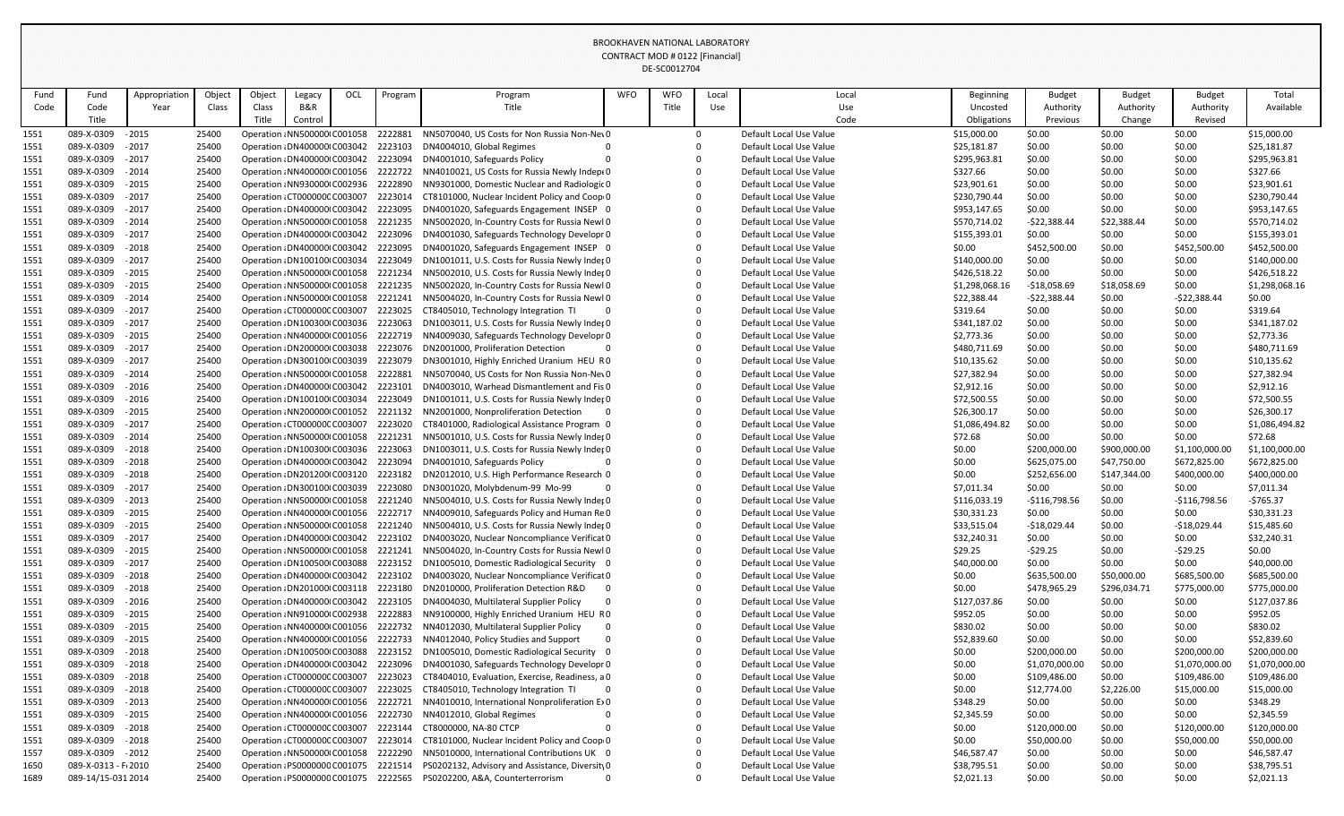|              |                          |                    |                |        |                                                                      |     |                    |                                                                                              |            | DE-SCOUTZ704 |       |                                                    |                              |                         |                       |                     |                              |
|--------------|--------------------------|--------------------|----------------|--------|----------------------------------------------------------------------|-----|--------------------|----------------------------------------------------------------------------------------------|------------|--------------|-------|----------------------------------------------------|------------------------------|-------------------------|-----------------------|---------------------|------------------------------|
| Fund         | Fund                     | Appropriation      | Object         | Object | Legacy                                                               | OCL | Program            | Program                                                                                      | <b>WFO</b> | <b>WFO</b>   | Local | Local                                              | <b>Beginning</b>             | <b>Budget</b>           | <b>Budget</b>         | <b>Budget</b>       | Total                        |
| Code         | Code                     | Year               | Class          | Class  | B&R                                                                  |     |                    | Title                                                                                        |            | Title        | Use   | Use                                                | Uncosted                     | Authority               | Authority             | Authority           | Available                    |
|              | Title                    |                    |                | Title  | Control                                                              |     |                    |                                                                                              |            |              |       | Code                                               | Obligations                  | Previous                | Change                | Revised             |                              |
| 1551         | 089-X-0309               | $-2015$            | 25400          |        | Operation : NN500000 C001058                                         |     | 2222881            | NN5070040, US Costs for Non Russia Non-Nev0                                                  |            |              |       | Default Local Use Value                            | \$15,000.00                  | \$0.00                  | \$0.00                | \$0.00              | \$15,000.00                  |
| 1551         | 089-X-0309               | $-2017$            | 25400          |        | Operation : DN400000 C003042 2223103                                 |     |                    | DN4004010, Global Regimes                                                                    |            |              |       | Default Local Use Value                            | \$25,181.87                  | \$0.00                  | \$0.00                | \$0.00              | \$25,181.87                  |
| 1551         | 089-X-0309               | $-2017$            | 25400          |        | Operation : DN400000 C003042 2223094                                 |     |                    | DN4001010, Safeguards Policy                                                                 |            |              |       | Default Local Use Value                            | \$295,963.81                 | \$0.00                  | \$0.00                | \$0.00              | \$295,963.81                 |
| 1551         | 089-X-0309               | $-2014$            | 25400          |        | Operation : NN400000 C001056 2222722                                 |     |                    | NN4010021, US Costs for Russia Newly Indept 0                                                |            |              |       | Default Local Use Value                            | \$327.66                     | \$0.00                  | \$0.00                | \$0.00              | \$327.66                     |
| 1551         | 089-X-0309               | $-2015$            | 25400          |        | Operation : NN930000 C002936 2222890                                 |     |                    | NN9301000, Domestic Nuclear and Radiologic 0                                                 |            |              |       | Default Local Use Value                            | \$23,901.61                  | \$0.00                  | \$0.00                | \$0.00              | \$23,901.61                  |
| 1551         | 089-X-0309               | $-2017$            | 25400          |        | Operation: CT000000C C003007                                         |     | 2223014            | CT8101000, Nuclear Incident Policy and Coop 0                                                |            |              |       | Default Local Use Value                            | \$230,790.44                 | \$0.00                  | \$0.00                | \$0.00              | \$230,790.44                 |
| 1551         | 089-X-0309<br>089-X-0309 | $-2017$<br>$-2014$ | 25400<br>25400 |        | Operation : DN400000 C003042<br>Operation : NN500000 C001058         |     | 2223095<br>2221235 | DN4001020, Safeguards Engagement INSEP 0                                                     |            |              |       | Default Local Use Value<br>Default Local Use Value | \$953,147.65                 | \$0.00                  | \$0.00<br>\$22,388.44 | \$0.00<br>\$0.00    | \$953,147.65<br>\$570,714.02 |
| 1551<br>1551 | 089-X-0309               | $-2017$            | 25400          |        | Operation : DN400000 C003042 2223096                                 |     |                    | NN5002020, In-Country Costs for Russia Newl 0<br>DN4001030, Safeguards Technology Developr 0 |            |              |       | Default Local Use Value                            | \$570,714.02<br>\$155,393.01 | $-522,388.44$<br>\$0.00 | \$0.00                | \$0.00              | \$155,393.01                 |
| <u> 1551</u> | 089-X-0309               | $-2018$            | 25400          |        | Operation : DN400000 C003042                                         |     | 2223095            | DN4001020, Safeguards Engagement INSEP 0                                                     |            |              |       | Default Local Use Value                            | \$0.00                       | \$452,500.00            | \$0.00                | \$452,500.00        | \$452,500.00                 |
| 1551         | 089-X-0309               | $-2017$            | 25400          |        | Operation : DN100100 C003034                                         |     | 2223049            | DN1001011, U.S. Costs for Russia Newly Inder 0                                               |            |              |       | Default Local Use Value                            | \$140,000.00                 | \$0.00                  | \$0.00                | \$0.00              | \$140,000.00                 |
| 1551         | 089-X-0309               | $-2015$            | 25400          |        | Operation : NN500000 C001058                                         |     | 2221234            | NN5002010, U.S. Costs for Russia Newly Inder 0                                               |            |              |       | Default Local Use Value                            | \$426,518.22                 | \$0.00                  | \$0.00                | \$0.00              | \$426,518.22                 |
| 1551         | 089-X-0309               | $-2015$            | 25400          |        | Operation : NN500000 C001058                                         |     | 2221235            | NN5002020, In-Country Costs for Russia Newl 0                                                |            |              |       | Default Local Use Value                            | \$1,298,068.16               | $-$18,058.69$           | \$18,058.69           | \$0.00              | \$1,298,068.16               |
| 1551         | 089-X-0309               | $-2014$            | 25400          |        | Operation : NN500000 C001058 2221241                                 |     |                    | NN5004020, In-Country Costs for Russia Newl 0                                                |            |              |       | Default Local Use Value                            | \$22,388.44                  | $-522,388.44$           | \$0.00                | $-522,388.44$       | \$0.00                       |
| 1551         | 089-X-0309               | $-2017$            | 25400          |        | Operation : CT000000C C003007                                        |     | 2223025            | CT8405010, Technology Integration TI                                                         |            |              |       | Default Local Use Value                            | \$319.64                     | \$0.00                  | \$0.00                | \$0.00              | \$319.64                     |
| 1551         | 089-X-0309               | $-2017$            | 25400          |        | Operation : DN100300 C003036                                         |     | 2223063            | DN1003011, U.S. Costs for Russia Newly Inder 0                                               |            |              |       | Default Local Use Value                            | \$341,187.02                 | \$0.00                  | \$0.00                | \$0.00              | \$341,187.02                 |
| 1551         | 089-X-0309               | $-2015$            | 25400          |        | Operation : NN400000 C001056                                         |     | 2222719            | NN4009030, Safeguards Technology Developr 0                                                  |            |              |       | Default Local Use Value                            | \$2,773.36                   | \$0.00                  | \$0.00                | \$0.00              | \$2,773.36                   |
| 1551         | 089-X-0309               | $-2017$            | 25400          |        | Operation : DN200000 C003038 2223076                                 |     |                    | DN2001000, Proliferation Detection                                                           |            |              |       | Default Local Use Value                            | \$480,711.69                 | \$0.00                  | \$0.00                | \$0.00              | \$480,711.69                 |
| 1551         | 089-X-0309               | $-2017$            | 25400          |        | Operation : DN300100 C003039                                         |     | 2223079            | DN3001010, Highly Enriched Uranium HEU RO                                                    |            |              |       | Default Local Use Value                            | \$10,135.62                  | \$0.00                  | \$0.00                | \$0.00              | \$10,135.62                  |
| 1551         | 089-X-0309               | $-2014$            | 25400          |        | Operation : NN500000 C001058                                         |     | 2222881            | NN5070040, US Costs for Non Russia Non-Nev0                                                  |            |              |       | Default Local Use Value                            | \$27,382.94                  | \$0.00                  | \$0.00                | \$0.00              | \$27,382.94                  |
| 1551         | 089-X-0309               | $-2016$            | 25400          |        | Operation : DN400000 C003042                                         |     | 2223101            | DN4003010, Warhead Dismantlement and Fis 0                                                   |            |              |       | Default Local Use Value                            | \$2,912.16                   | \$0.00                  | \$0.00                | \$0.00              | \$2,912.16                   |
| 1551         | 089-X-0309               | $-2016$            | 25400          |        | Operation : DN100100 C003034                                         |     | 2223049            | DN1001011, U.S. Costs for Russia Newly Inder 0                                               |            |              |       | Default Local Use Value                            | \$72,500.55                  | \$0.00                  | \$0.00                | \$0.00              | \$72,500.55                  |
| 1551         | 089-X-0309               | $-2015$            | 25400          |        | Operation : NN200000 C001052                                         |     | 2221132            | NN2001000, Nonproliferation Detection                                                        |            |              |       | Default Local Use Value                            | \$26,300.17                  | \$0.00                  | \$0.00                | \$0.00              | \$26,300.17                  |
| <u> 1551</u> | 089-X-0309               | $-2017$            | 25400          |        | Operation: CT000000C C003007                                         |     | 2223020            | CT8401000, Radiological Assistance Program 0                                                 |            |              |       | Default Local Use Value                            | \$1,086,494.82               | \$0.00                  | \$0.00                | \$0.00              | \$1,086,494.82               |
| 1551         | 089-X-0309               | $-2014$            | 25400          |        | Operation : NN500000 C001058                                         |     | 2221231            | NN5001010, U.S. Costs for Russia Newly Inder 0                                               |            |              |       | Default Local Use Value                            | \$72.68                      | \$0.00                  | \$0.00                | \$0.00              | \$72.68                      |
| 1551         | 089-X-0309               | $-2018$            | 25400          |        | Operation : DN100300 C003036                                         |     | 2223063            | DN1003011, U.S. Costs for Russia Newly Inder 0                                               |            |              |       | Default Local Use Value                            | \$0.00                       | \$200,000.00            | \$900,000.00          | \$1,100,000.00      | \$1,100,000.00               |
| 1551         | 089-X-0309               | $-2018$            | 25400          |        | Operation: DN400000 C003042 2223094                                  |     |                    | DN4001010, Safeguards Policy                                                                 |            |              |       | Default Local Use Value                            | \$0.00                       | \$625,075.00            | \$47,750.00           | \$672,825.00        | \$672,825.00                 |
| 1551         | 089-X-0309               | - 2018             | 25400          |        | Operation : DN201200 C003120 2223182                                 |     |                    | DN2012010, U.S. High Performance Research 0                                                  |            |              |       | Default Local Use Value                            | \$0.00                       | \$252,656.00            | \$147,344.00          | \$400,000.00        | \$400,000.00                 |
| 1551         | 089-X-0309               | $-2017$            | 25400          |        | Operation : DN300100 C003039                                         |     | 2223080            | DN3001020, Molybdenum-99 Mo-99                                                               |            |              |       | Default Local Use Value                            | \$7,011.34                   | \$0.00                  | \$0.00                | \$0.00              | \$7,011.34                   |
| 1551         | 089-X-0309               | $-2013$            | 25400          |        | Operation : NN500000 C001058                                         |     | 2221240            | NN5004010, U.S. Costs for Russia Newly Inder 0                                               |            |              |       | Default Local Use Value                            | \$116,033.19                 | $-$116,798.56$          | \$0.00                | $-$116,798.56$      | $-5765.37$                   |
| 1551         | 089-X-0309               | $-2015$            | 25400          |        | Operation : NN400000 C001056                                         |     | 2222717            | NN4009010, Safeguards Policy and Human ReO                                                   |            |              |       | Default Local Use Value                            | \$30,331.23                  | \$0.00                  | \$0.00                | \$0.00              | \$30,331.23                  |
| 1551         | 089-X-0309               | $-2015$            | 25400          |        | Operation : NN500000 C001058 2221240                                 |     |                    | NN5004010, U.S. Costs for Russia Newly Inder 0                                               |            |              |       | Default Local Use Value                            | \$33,515.04                  | $-$18,029.44$           | \$0.00                | $-$18,029.44$       | \$15,485.60                  |
| 1551         | 089-X-0309               | $-2017$            | 25400          |        | Operation : DN400000 C003042 2223102                                 |     |                    | DN4003020, Nuclear Noncompliance Verificat 0                                                 |            |              |       | Default Local Use Value                            | \$32,240.31                  | \$0.00                  | \$0.00                | \$0.00              | \$32,240.31                  |
| 1551         | 089-X-0309<br>089-X-0309 | $-2015$<br>$-2017$ | 25400<br>25400 |        | Operation : NN500000 C001058 2221241<br>Operation : DN100500 C003088 |     | 2223152            | NN5004020, In-Country Costs for Russia Newl 0<br>DN1005010, Domestic Radiological Security 0 |            |              |       | Default Local Use Value<br>Default Local Use Value | \$29.25                      | $-529.25$<br>\$0.00     | \$0.00<br>\$0.00      | $-529.25$<br>\$0.00 | \$0.00<br>\$40,000.00        |
| 1551<br>1551 | 089-X-0309               | $-2018$            | 25400          |        | Operation : DN400000 C003042 2223102                                 |     |                    | DN4003020, Nuclear Noncompliance Verificat 0                                                 |            |              |       | Default Local Use Value                            | \$40,000.00<br>\$0.00        | \$635,500.00            | \$50,000.00           | \$685,500.00        | \$685,500.00                 |
| 1551         | 089-X-0309               | $-2018$            | 25400          |        | Operation : DN201000 C003118 2223180                                 |     |                    | DN2010000, Proliferation Detection R&D                                                       |            |              |       | Default Local Use Value                            | \$0.00                       | \$478,965.29            | \$296,034.71          | \$775,000.00        | \$775,000.00                 |
| 1551         | 089-X-0309               | $-2016$            | 25400          |        | Operation : DN400000 C003042 2223105                                 |     |                    | DN4004030, Multilateral Supplier Policy                                                      |            |              |       | Default Local Use Value                            | \$127,037.86                 | \$0.00                  | \$0.00                | \$0.00              | \$127,037.86                 |
| <u> 1551</u> | 089-X-0309               | $-2015$            | 25400          |        | Operation : NN910000 C002938                                         |     | 2222883            | NN9100000, Highly Enriched Uranium HEU RO                                                    |            |              |       | Default Local Use Value                            | \$952.05                     | \$0.00                  | \$0.00                | \$0.00              | \$952.05                     |
| 1551         | 089-X-0309               | $-2015$            | 25400          |        | Operation : NN400000 C001056                                         |     | 2222732            | NN4012030, Multilateral Supplier Policy                                                      |            |              |       | Default Local Use Value                            | \$830.02                     | \$0.00                  | \$0.00                | \$0.00              | \$830.02                     |
| 1551         | 089-X-0309               | $-2015$            | 25400          |        | Operation : NN400000 C001056 2222733                                 |     |                    | NN4012040, Policy Studies and Support                                                        |            |              |       | Default Local Use Value                            | \$52,839.60                  | \$0.00                  | \$0.00                | \$0.00              | \$52,839.60                  |
| 1551         | 089-X-0309               | $-2018$            | 25400          |        | Operation : DN100500 C003088 2223152                                 |     |                    | DN1005010, Domestic Radiological Security 0                                                  |            |              |       | Default Local Use Value                            | \$0.00                       | \$200,000.00            | \$0.00                | \$200,000.00        | \$200,000.00                 |
| 1551         | 089-X-0309               | $-2018$            | 25400          |        | Operation : DN400000 C003042                                         |     | 2223096            | DN4001030, Safeguards Technology Developr 0                                                  |            |              |       | Default Local Use Value                            | \$0.00                       | \$1,070,000.00          | \$0.00                | \$1,070,000.00      | \$1,070,000.00               |
| 1551         | 089-X-0309               | $-2018$            | 25400          |        | Operation: CT000000C C003007                                         |     | 2223023            | CT8404010, Evaluation, Exercise, Readiness, a 0                                              |            |              |       | Default Local Use Value                            | \$0.00                       | \$109,486.00            | \$0.00                | \$109,486.00        | \$109,486.00                 |
| 1551         | 089-X-0309               | $-2018$            | 25400          |        | Operation: CT000000C C003007                                         |     | 2223025            | CT8405010, Technology Integration TI                                                         |            |              |       | Default Local Use Value                            | \$0.00                       | \$12,774.00             | \$2,226.00            | \$15,000.00         | \$15,000.00                  |
| 1551         | 089-X-0309               | $-2013$            | 25400          |        | Operation : NN400000 C001056 2222721                                 |     |                    | NN4010010, International Nonproliferation E>0                                                |            |              |       | Default Local Use Value                            | \$348.29                     | \$0.00                  | \$0.00                | \$0.00              | \$348.29                     |
| 1551         | 089-X-0309               | $-2015$            | 25400          |        | Operation : NN400000 C001056 2222730                                 |     |                    | NN4012010, Global Regimes                                                                    |            |              |       | Default Local Use Value                            | \$2,345.59                   | \$0.00                  | \$0.00                | \$0.00              | \$2,345.59                   |
| <u> 1551</u> | 089-X-0309               | $-2018$            | 25400          |        | Operation: CT000000C C003007                                         |     | 2223144            | CT8000000, NA-80 CTCP                                                                        |            |              |       | Default Local Use Value                            | \$0.00                       | \$120,000.00            | \$0.00                | \$120,000.00        | \$120,000.00                 |
| 1551         | 089-X-0309               | $-2018$            | 25400          |        | Operation: CT000000C C003007                                         |     | 2223014            | CT8101000, Nuclear Incident Policy and Coop 0                                                |            |              |       | Default Local Use Value                            | \$0.00                       | \$50,000.00             | \$0.00                | \$50,000.00         | \$50,000.00                  |
| 1557         | 089-X-0309               | $-2012$            | 25400          |        | Operation : NN500000 C001058                                         |     | 2222290            | NN5010000, International Contributions UK 0                                                  |            |              |       | Default Local Use Value                            | \$46,587.47                  | \$0.00                  | \$0.00                | \$0.00              | \$46,587.47                  |
| 1650         | 089-X-0313 - F(2010      |                    | 25400          |        | Operation: PS0000000 C001075 2221514                                 |     |                    | PS0202132, Advisory and Assistance, Diversity 0                                              |            |              |       | Default Local Use Value                            | \$38,795.51                  | \$0.00                  | \$0.00                | \$0.00              | \$38,795.51                  |
| 1689         | 089-14/15-031 2014       |                    | 25400          |        | Operation: PS0000000 C001075 2222565                                 |     |                    | PS0202200, A&A, Counterterrorism                                                             |            |              |       | Default Local Use Value                            | \$2,021.13                   | \$0.00                  | \$0.00                | \$0.00              | \$2,021.13                   |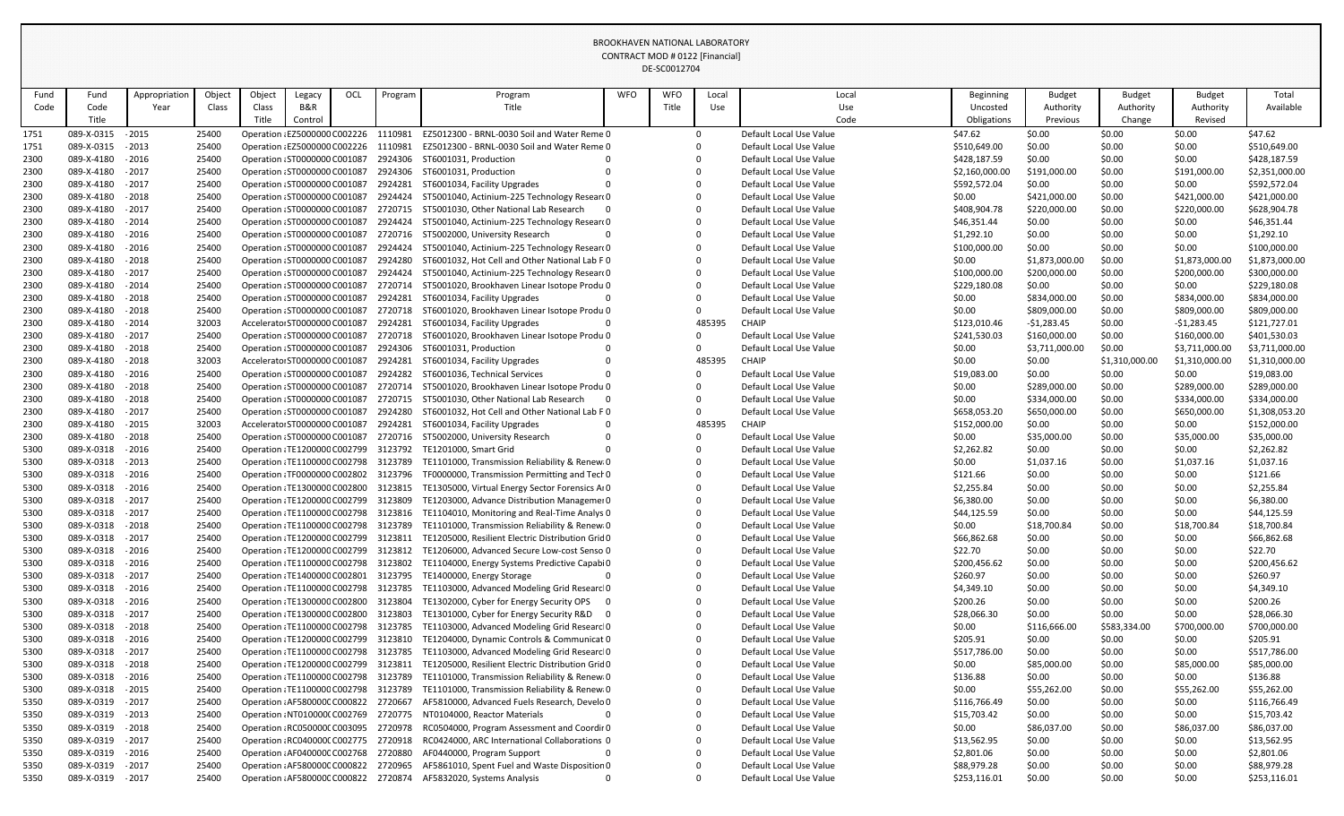| Fund         | Fund                     | Appropriation      | Object         | Object | Legacy                                                                         | OCL | Program | Program                                                                                     | <b>WFO</b> | <b>WFO</b> | Local  | Local                                              | Beginning             | <b>Budget</b>    | <b>Budget</b>    | <b>Budget</b>    | Total                     |
|--------------|--------------------------|--------------------|----------------|--------|--------------------------------------------------------------------------------|-----|---------|---------------------------------------------------------------------------------------------|------------|------------|--------|----------------------------------------------------|-----------------------|------------------|------------------|------------------|---------------------------|
| Code         | Code                     | Year               | Class          | Class  | <b>B&amp;R</b>                                                                 |     |         | Title                                                                                       |            | Title      | Use    | Use                                                | Uncosted              | Authority        | Authority        | Authority        | Available                 |
|              | Title                    |                    |                | Title  | Control                                                                        |     |         |                                                                                             |            |            |        | Code                                               | Obligations           | Previous         | Change           | Revised          |                           |
| 1751         | 089-X-0315               | $-2015$            | 25400          |        | Operation : EZ5000000 C002226 1110981                                          |     |         | EZ5012300 - BRNL-0030 Soil and Water Reme 0                                                 |            |            |        | Default Local Use Value                            | \$47.62               | \$0.00           | \$0.00           | \$0.00           | \$47.62                   |
| 1751         | 089-X-0315               | $-2013$            | 25400          |        | Operation : EZ5000000 C002226 1110981                                          |     |         | EZ5012300 - BRNL-0030 Soil and Water Reme 0                                                 |            |            |        | Default Local Use Value                            | \$510,649.00          | \$0.00           | \$0.00           | \$0.00           | \$510,649.00              |
| 2300         | 089-X-4180               | $-2016$            | 25400          |        | Operation : ST0000000 C001087                                                  |     | 2924306 | ST6001031, Production                                                                       |            |            |        | Default Local Use Value                            | \$428,187.59          | \$0.00           | \$0.00           | \$0.00           | \$428,187.59              |
| 2300         | 089-X-4180               | $-2017$            | 25400          |        | Operation : ST0000000 C001087                                                  |     | 2924306 | ST6001031, Production                                                                       |            |            |        | Default Local Use Value                            | \$2,160,000.00        | \$191,000.00     | \$0.00           | \$191,000.00     | \$2,351,000.00            |
| 2300         | 089-X-4180               | $-2017$            | 25400          |        | Operation : ST0000000 C001087                                                  |     | 2924281 | ST6001034, Facility Upgrades                                                                |            |            |        | Default Local Use Value                            | \$592,572.04          | \$0.00           | \$0.00           | \$0.00           | \$592,572.04              |
| 2300         | 089-X-4180               | $-2018$            | 25400          |        | Operation : ST0000000 C001087                                                  |     | 2924424 | ST5001040, Actinium-225 Technology Researd 0                                                |            |            |        | Default Local Use Value                            | \$0.00                | \$421,000.00     | \$0.00           | \$421,000.00     | \$421,000.00              |
| 2300         | 089-X-4180               | $-2017$            | 25400          |        | Operation : ST0000000 C001087                                                  |     | 2720715 | ST5001030, Other National Lab Research                                                      |            |            |        | Default Local Use Value                            | \$408,904.78          | \$220,000.00     | \$0.00           | \$220,000.00     | \$628,904.78              |
| 2300         | 089-X-4180               | $-2014$            | 25400          |        | Operation : ST0000000 C001087                                                  |     | 2924424 | ST5001040, Actinium-225 Technology Researd 0                                                |            |            |        | Default Local Use Value                            | \$46,351.44           | \$0.00           | \$0.00           | \$0.00           | \$46,351.44               |
| 2300         | 089-X-4180               | $-2016$            | 25400          |        | Operation : ST0000000 C001087                                                  |     | 2720716 | ST5002000, University Research                                                              |            |            |        | Default Local Use Value                            | \$1,292.10            | \$0.00           | \$0.00           | \$0.00           | \$1,292.10                |
| 2300         | 089-X-4180               | $-2016$            | 25400          |        | Operation : ST0000000 C001087                                                  |     | 2924424 | ST5001040, Actinium-225 Technology Researd 0                                                |            |            |        | Default Local Use Value                            | \$100,000.00          | \$0.00           | \$0.00           | \$0.00           | \$100,000.00              |
| 2300         | 089-X-4180               | $-2018$            | 25400          |        | Operation : ST0000000 C001087                                                  |     | 2924280 | ST6001032, Hot Cell and Other National Lab F 0                                              |            |            |        | Default Local Use Value                            | \$0.00                | \$1,873,000.00   | \$0.00           | \$1,873,000.00   | \$1,873,000.00            |
| 2300         | 089-X-4180               | $-2017$            | 25400          |        | Operation : ST0000000 C001087                                                  |     | 2924424 | ST5001040, Actinium-225 Technology Researd 0                                                |            |            |        | Default Local Use Value                            | \$100,000.00          | \$200,000.00     | \$0.00           | \$200,000.00     | \$300,000.00              |
| 2300         | 089-X-4180               | $-2014$            | 25400          |        | Operation : ST0000000 C001087                                                  |     | 2720714 | ST5001020, Brookhaven Linear Isotope Produ 0                                                |            |            |        | Default Local Use Value                            | \$229,180.08          | \$0.00           | \$0.00           | \$0.00           | \$229,180.08              |
| 2300         | 089-X-4180               | $-2018$            | 25400          |        | Operation : ST0000000 C001087                                                  |     | 2924281 | ST6001034, Facility Upgrades                                                                |            |            |        | Default Local Use Value                            | \$0.00                | \$834,000.00     | \$0.00           | \$834,000.00     | \$834,000.00              |
| 2300         | 089-X-4180               | $-2018$            | 25400          |        | Operation : ST0000000 C001087                                                  |     | 2720718 | ST6001020, Brookhaven Linear Isotope Produ 0                                                |            |            |        | Default Local Use Value                            | \$0.00                | \$809,000.00     | \$0.00           | \$809,000.00     | \$809,000.00              |
| 2300         | 089-X-4180               | $-2014$            | 32003          |        | Accelerator ST0000000 C001087                                                  |     | 2924281 | ST6001034, Facility Upgrades                                                                |            |            | 485395 | <b>CHAIP</b>                                       | \$123,010.46          | $-$1,283.45$     | \$0.00           | $-51,283.45$     | \$121,727.01              |
| 2300         | 089-X-4180               | $-2017$            | 25400          |        | Operation : ST0000000 C001087                                                  |     | 2720718 | ST6001020, Brookhaven Linear Isotope Produ 0                                                |            |            |        | Default Local Use Value                            | \$241,530.03          | \$160,000.00     | \$0.00           | \$160,000.00     | \$401,530.03              |
| 2300         | 089-X-4180               | $-2018$            | 25400          |        | Operation : ST0000000 C001087                                                  |     | 2924306 | ST6001031, Production                                                                       |            |            |        | Default Local Use Value                            | \$0.00                | \$3,711,000.00   | \$0.00           | \$3,711,000.00   | \$3,711,000.00            |
| 2300         | 089-X-4180               | $-2018$            | 32003          |        | Accelerator ST0000000 C001087                                                  |     | 2924281 | ST6001034, Facility Upgrades                                                                |            |            | 485395 | <b>CHAIP</b>                                       | \$0.00                | \$0.00           | \$1,310,000.00   | \$1,310,000.00   | \$1,310,000.00            |
| 2300         | 089-X-4180               | $-2016$            | 25400          |        | Operation : ST0000000 C001087                                                  |     | 2924282 | ST6001036, Technical Services                                                               |            |            |        | Default Local Use Value                            | \$19,083.00           | \$0.00           | \$0.00           | \$0.00           | \$19,083.00               |
| 2300         | 089-X-4180               | $-2018$            | 25400          |        | Operation : ST0000000 C001087                                                  |     | 2720714 | ST5001020, Brookhaven Linear Isotope Produ 0                                                |            |            |        | Default Local Use Value                            | \$0.00                | \$289,000.00     | \$0.00           | \$289,000.00     | \$289,000.00              |
| 2300         | 089-X-4180               | $-2018$            | 25400          |        | Operation : ST0000000 C001087                                                  |     | 2720715 | ST5001030, Other National Lab Research                                                      |            |            |        | Default Local Use Value                            | \$0.00                | \$334,000.00     | \$0.00           | \$334,000.00     | \$334,000.00              |
| 2300         | 089-X-4180               | $-2017$            | 25400          |        | Operation : ST0000000 C001087                                                  |     | 2924280 | ST6001032, Hot Cell and Other National Lab F 0                                              |            |            |        | Default Local Use Value                            | \$658,053.20          | \$650,000.00     | \$0.00           | \$650,000.00     | \$1,308,053.20            |
| 2300         | 089-X-4180               | $-2015$            | 32003          |        | Accelerator ST0000000 C001087                                                  |     | 2924281 | ST6001034, Facility Upgrades                                                                |            |            | 485395 | <b>CHAIP</b>                                       | \$152,000.00          | \$0.00           | \$0.00           | \$0.00           | \$152,000.00              |
| 2300         | 089-X-4180               | $-2018$            | 25400          |        | Operation : ST0000000 C001087                                                  |     | 2720716 | ST5002000, University Research                                                              |            |            |        | Default Local Use Value                            | \$0.00                | \$35,000.00      | \$0.00           | \$35,000.00      | \$35,000.00               |
| 5300         | 089-X-0318               | $-2016$            | 25400          |        | Operation : TE1200000 C002799                                                  |     | 3123792 | TE1201000, Smart Grid                                                                       |            |            |        | Default Local Use Value                            | \$2,262.82            | \$0.00           | \$0.00           | \$0.00           | \$2,262.82                |
| 5300         | 089-X-0318               | $-2013$            | 25400          |        | Operation : TE1100000 C002798                                                  |     | 3123789 | TE1101000, Transmission Reliability & Renew 0                                               |            |            |        | Default Local Use Value                            | \$0.00                | \$1,037.16       | \$0.00           | \$1,037.16       | \$1,037.16                |
| 5300         | 089-X-0318               | $-2016$            | 25400          |        | Operation: TF0000000 C002802 3123796                                           |     |         | TF0000000, Transmission Permitting and Tech 0                                               |            |            |        | Default Local Use Value                            | \$121.66              | \$0.00           | \$0.00           | \$0.00           | \$121.66                  |
| 5300         | 089-X-0318               | $-2016$            | 25400          |        | Operation : TE1300000 C002800 3123815                                          |     |         | TE1305000, Virtual Energy Sector Forensics Ar0                                              |            |            |        | Default Local Use Value                            | \$2,255.84            | \$0.00           | \$0.00           | \$0.00           | \$2,255.84                |
| 5300         | 089-X-0318<br>089-X-0318 | $-2017$<br>$-2017$ | 25400<br>25400 |        | Operation : TE1200000 C002799 3123809<br>Operation : TE1100000 C002798 3123816 |     |         | TE1203000, Advance Distribution Managemer 0<br>TE1104010, Monitoring and Real-Time Analys 0 |            |            |        | Default Local Use Value<br>Default Local Use Value | \$6,380.00            | \$0.00<br>\$0.00 | \$0.00<br>\$0.00 | \$0.00<br>\$0.00 | \$6,380.00<br>\$44,125.59 |
| 5300<br>5300 | 089-X-0318               | $-2018$            | 25400          |        | Operation : TE1100000 C002798 3123789                                          |     |         | TE1101000, Transmission Reliability & Renew 0                                               |            |            |        | Default Local Use Value                            | \$44,125.59<br>\$0.00 | \$18,700.84      | \$0.00           | \$18,700.84      | \$18,700.84               |
| 5300         | 089-X-0318 - 2017        |                    | 25400          |        | Operation: TE1200000 C002799 3123811                                           |     |         | TE1205000, Resilient Electric Distribution Grid 0                                           |            |            |        | Default Local Use Value                            | \$66,862.68           | \$0.00           | \$0.00           | \$0.00           | \$66,862.68               |
| 5300         | 089-X-0318               | $-2016$            | 25400          |        | Operation: TE1200000 C002799 3123812                                           |     |         | TE1206000, Advanced Secure Low-cost Senso 0                                                 |            |            |        | Default Local Use Value                            | \$22.70               | \$0.00           | \$0.00           | \$0.00           | \$22.70                   |
| 5300         | 089-X-0318               | $-2016$            | 25400          |        | Operation : TE1100000 C002798 3123802                                          |     |         | TE1104000, Energy Systems Predictive Capabi0                                                |            |            |        | Default Local Use Value                            | \$200,456.62          | \$0.00           | \$0.00           | \$0.00           | \$200,456.62              |
| 5300         | 089-X-0318               | $-2017$            | 25400          |        | Operation : TE1400000 C002801 3123795                                          |     |         | TE1400000, Energy Storage                                                                   |            |            |        | Default Local Use Value                            | \$260.97              | \$0.00           | \$0.00           | \$0.00           | \$260.97                  |
| 5300         | 089-X-0318               | $-2016$            | 25400          |        | Operation : TE1100000 C002798 3123785                                          |     |         | TE1103000, Advanced Modeling Grid Researc 0                                                 |            |            |        | Default Local Use Value                            | \$4,349.10            | \$0.00           | \$0.00           | \$0.00           | \$4,349.10                |
| 5300         | 089-X-0318               | $-2016$            | 25400          |        | Operation : TE1300000 C002800 3123804                                          |     |         | TE1302000, Cyber for Energy Security OPS 0                                                  |            |            |        | Default Local Use Value                            | \$200.26              | \$0.00           | \$0.00           | \$0.00           | \$200.26                  |
| 5300         | 089-X-0318               | $-2017$            | 25400          |        | Operation : TE1300000 C002800 3123803                                          |     |         | TE1301000, Cyber for Energy Security R&D 0                                                  |            |            |        | Default Local Use Value                            | \$28,066.30           | \$0.00           | \$0.00           | \$0.00           | \$28,066.30               |
| 5300         | 089-X-0318               | $-2018$            | 25400          |        | Operation : TE1100000 C002798 3123785                                          |     |         | TE1103000, Advanced Modeling Grid Researc 0                                                 |            |            |        | Default Local Use Value                            | \$0.00                | \$116,666.00     | \$583,334.00     | \$700,000.00     | \$700,000.00              |
| 5300         | 089-X-0318               | $-2016$            | 25400          |        | Operation : TE1200000 C002799 3123810                                          |     |         | TE1204000, Dynamic Controls & Communicat 0                                                  |            |            |        | Default Local Use Value                            | \$205.91              | \$0.00           | \$0.00           | \$0.00           | \$205.91                  |
| 5300         | 089-X-0318               | $-2017$            | 25400          |        | Operation : TE1100000 C002798 3123785                                          |     |         | TE1103000, Advanced Modeling Grid Researc 0                                                 |            |            |        | Default Local Use Value                            | \$517,786.00          | \$0.00           | \$0.00           | \$0.00           | \$517,786.00              |
| 5300         | 089-X-0318               | $-2018$            | 25400          |        | Operation : TE1200000 C002799 3123811                                          |     |         | TE1205000, Resilient Electric Distribution Grid 0                                           |            |            |        | Default Local Use Value                            | \$0.00                | \$85,000.00      | \$0.00           | \$85,000.00      | \$85,000.00               |
| 5300         | 089-X-0318               | $-2016$            | 25400          |        | Operation : TE1100000 C002798 3123789                                          |     |         | TE1101000, Transmission Reliability & Renew 0                                               |            |            |        | Default Local Use Value                            | \$136.88              | \$0.00           | \$0.00           | \$0.00           | \$136.88                  |
| 5300         | 089-X-0318               | $-2015$            | 25400          |        | Operation : TE1100000 C002798 3123789                                          |     |         | TE1101000, Transmission Reliability & Renew 0                                               |            |            |        | Default Local Use Value                            | \$0.00                | \$55,262.00      | \$0.00           | \$55,262.00      | \$55,262.00               |
| 5350         | 089-X-0319               | $-2017$            | 25400          |        | Operation : AF580000C C000822 2720667                                          |     |         | AF5810000, Advanced Fuels Research, Develo 0                                                |            |            |        | Default Local Use Value                            | \$116,766.49          | \$0.00           | \$0.00           | \$0.00           | \$116,766.49              |
| 5350         | 089-X-0319               | $-2013$            | 25400          |        | Operation : NT010000(C002769 2720775                                           |     |         | NT0104000, Reactor Materials                                                                |            |            |        | Default Local Use Value                            | \$15,703.42           | \$0.00           | \$0.00           | \$0.00           | \$15,703.42               |
| 5350         | 089-X-0319               | $-2018$            | 25400          |        | Operation : RC050000C C003095 2720978                                          |     |         | RC0504000, Program Assessment and Coordir 0                                                 |            |            |        | Default Local Use Value                            | \$0.00                | \$86,037.00      | \$0.00           | \$86,037.00      | \$86,037.00               |
| 5350         | 089-X-0319               | $-2017$            | 25400          |        | Operation : RC0400000 C002775 2720918                                          |     |         | RC0424000, ARC International Collaborations 0                                               |            |            |        | Default Local Use Value                            | \$13,562.95           | \$0.00           | \$0.00           | \$0.00           | \$13,562.95               |
| 5350         | 089-X-0319               | $-2016$            | 25400          |        | Operation : AF040000C C002768 2720880                                          |     |         | AF0440000, Program Support                                                                  |            |            |        | Default Local Use Value                            | \$2,801.06            | \$0.00           | \$0.00           | \$0.00           | \$2,801.06                |
| 5350         | 089-X-0319               | $-2017$            | 25400          |        | Operation : AF580000C C000822 2720965                                          |     |         | AF5861010, Spent Fuel and Waste Disposition 0                                               |            |            |        | Default Local Use Value                            | \$88,979.28           | \$0.00           | \$0.00           | \$0.00           | \$88,979.28               |
| 5350         | 089-X-0319 - 2017        |                    | 25400          |        |                                                                                |     |         | Operation : AF580000C C000822 2720874 AF5832020, Systems Analysis                           |            |            |        | Default Local Use Value                            | \$253,116.01          | \$0.00           | \$0.00           | \$0.00           | \$253,116.01              |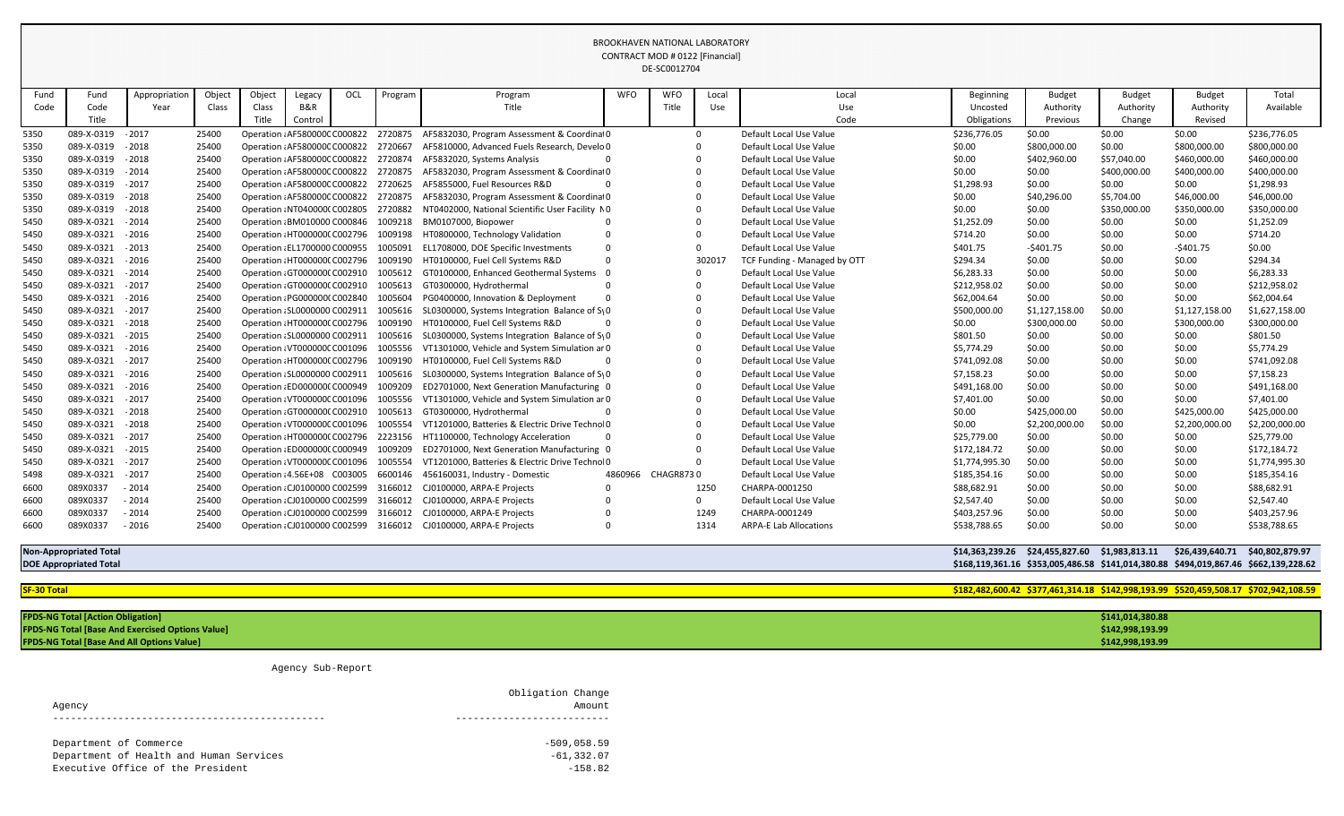| Fund | Fund                          | Appropriation | Object | Object | Legacy                        | OCL                           | Program | Program                                                             | <b>WFO</b> | <b>WFO</b>        | Local | Local                         | <b>Beginning</b> | <b>Budget</b>                                  | <b>Budget</b> | <b>Budget</b>                   | Total                                                                                |
|------|-------------------------------|---------------|--------|--------|-------------------------------|-------------------------------|---------|---------------------------------------------------------------------|------------|-------------------|-------|-------------------------------|------------------|------------------------------------------------|---------------|---------------------------------|--------------------------------------------------------------------------------------|
| Code | Code                          | Year          | Class  | Class  | B&R                           |                               |         | Title                                                               |            | Title             | Use   | Use                           | Uncosted         | Authority                                      | Authority     | Authority                       | Available                                                                            |
|      | Title                         |               |        | Title  | Control                       |                               |         |                                                                     |            |                   |       | Code                          | Obligations      | Previous                                       | Change        | Revised                         |                                                                                      |
| 5350 | 089-X-0319                    | $-2017$       | 25400  |        | Operation : AF580000C C000822 |                               | 2720875 | AF5832030, Program Assessment & Coordinat0                          |            |                   |       | Default Local Use Value       | \$236,776.05     | \$0.00                                         | \$0.00        | \$0.00                          | \$236,776.05                                                                         |
| 5350 | 089-X-0319                    | $-2018$       | 25400  |        | Operation : AF580000C C000822 |                               | 2720667 | AF5810000, Advanced Fuels Research, Develo 0                        |            |                   |       | Default Local Use Value       | \$0.00           | \$800,000.00                                   | \$0.00        | \$800,000.00                    | \$800,000.00                                                                         |
| 5350 | 089-X-0319                    | $-2018$       | 25400  |        | Operation : AF580000C C000822 |                               | 2720874 | AF5832020, Systems Analysis                                         |            |                   |       | Default Local Use Value       | \$0.00           | \$402,960.00                                   | \$57,040.00   | \$460,000.00                    | \$460,000.00                                                                         |
| 5350 | 089-X-0319                    | $-2014$       | 25400  |        | Operation : AF580000C C000822 |                               | 2720875 | AF5832030, Program Assessment & Coordinal 0                         |            |                   |       | Default Local Use Value       | \$0.00           | \$0.00                                         | \$400,000.00  | \$400,000.00                    | \$400,000.00                                                                         |
| 5350 | 089-X-0319                    | $-2017$       | 25400  |        | Operation : AF580000C C000822 |                               | 2720625 | AF5855000, Fuel Resources R&D                                       |            |                   |       | Default Local Use Value       | \$1,298.93       | \$0.00                                         | \$0.00        | \$0.00                          | \$1,298.93                                                                           |
| 5350 | 089-X-0319                    | $-2018$       | 25400  |        | Operation : AF580000C C000822 |                               | 2720875 | AF5832030, Program Assessment & Coordinat0                          |            |                   |       | Default Local Use Value       | \$0.00           | \$40,296.00                                    | \$5,704.00    | \$46,000.00                     | \$46,000.00                                                                          |
| 5350 | 089-X-0319                    | $-2018$       | 25400  |        | Operation : NT040000(C002805  |                               | 2720882 | NT0402000, National Scientific User Facility NO                     |            |                   |       | Default Local Use Value       | \$0.00           | \$0.00                                         | \$350,000.00  | \$350,000.00                    | \$350,000.00                                                                         |
| 5450 | 089-X-0321                    | $-2014$       | 25400  |        | Operation : BM010000 C000846  |                               | 1009218 | BM0107000, Biopower                                                 |            |                   |       | Default Local Use Value       | \$1,252.09       | \$0.00                                         | \$0.00        | \$0.00                          | \$1,252.09                                                                           |
| 5450 | 089-X-0321                    | $-2016$       | 25400  |        | Operation : HT0000000 C002796 |                               | 1009198 | HT0800000, Technology Validation                                    |            |                   |       | Default Local Use Value       | \$714.20         | \$0.00                                         | \$0.00        | \$0.00                          | \$714.20                                                                             |
| 5450 | 089-X-0321                    | $-2013$       | 25400  |        | Operation : EL1700000 C000955 |                               | 1005091 | EL1708000, DOE Specific Investments                                 | - 0        |                   |       | Default Local Use Value       | \$401.75         | $-5401.75$                                     | \$0.00        | -\$401.75                       | \$0.00                                                                               |
| 5450 | 089-X-0321                    | $-2016$       | 25400  |        | Operation : HT0000000 C002796 |                               | 1009190 | HT0100000, Fuel Cell Systems R&D                                    | - 0        |                   | 30201 | TCF Funding - Managed by OTT  | \$294.34         | \$0.00                                         | \$0.00        | \$0.00                          | \$294.34                                                                             |
| 5450 | 089-X-0321                    | $-2014$       | 25400  |        | Operation : GT0000000 C002910 |                               | 1005612 | GT0100000, Enhanced Geothermal Systems                              |            |                   |       | Default Local Use Value       | \$6,283.33       | \$0.00                                         | \$0.00        | \$0.00                          | \$6,283.33                                                                           |
| 5450 | 089-X-0321                    | $-2017$       | 25400  |        | Operation : GT000000(C002910  |                               | 1005613 | GT0300000, Hydrothermal                                             |            |                   |       | Default Local Use Value       | \$212,958.02     | \$0.00                                         | \$0.00        | \$0.00                          | \$212,958.02                                                                         |
| 5450 | 089-X-0321                    | $-2016$       | 25400  |        | Operation : PG000000(C002840  |                               | 1005604 | PG0400000, Innovation & Deployment                                  |            |                   |       | Default Local Use Value       | \$62,004.64      | \$0.00                                         | \$0.00        | \$0.00                          | \$62,004.64                                                                          |
| 5450 | 089-X-0321                    | $-2017$       | 25400  |        | Operation : SL0000000 C002911 |                               | 1005616 | SL0300000, Systems Integration Balance of $S_1$ 0                   |            |                   |       | Default Local Use Value       | \$500,000.00     | \$1,127,158.00                                 | \$0.00        | \$1,127,158.00                  | \$1,627,158.00                                                                       |
| 5450 | 089-X-0321                    | $-2018$       | 25400  |        | Operation : HT0000000 C002796 |                               | 1009190 | HT0100000, Fuel Cell Systems R&D                                    |            |                   |       | Default Local Use Value       | \$0.00           | \$300,000.00                                   | \$0.00        | \$300,000.00                    | \$300,000.00                                                                         |
| 5450 | 089-X-0321                    | $-2015$       | 25400  |        | Operation : SL0000000 C002911 |                               | 1005616 | SL0300000, Systems Integration Balance of $S_1$ 0                   |            |                   |       | Default Local Use Value       | \$801.50         | \$0.00                                         | \$0.00        | \$0.00                          | \$801.50                                                                             |
| 5450 | 089-X-0321                    | $-2016$       | 25400  |        | Operation : VT000000C C001096 |                               | 1005556 | VT1301000, Vehicle and System Simulation ar 0                       |            |                   |       | Default Local Use Value       | \$5,774.29       | \$0.00                                         | \$0.00        | \$0.00                          | \$5,774.29                                                                           |
| 5450 | 089-X-0321                    | $-2017$       | 25400  |        | Operation : HT0000000 C002796 |                               | 1009190 | HT0100000, Fuel Cell Systems R&D                                    |            |                   |       | Default Local Use Value       | \$741,092.08     | \$0.00                                         | \$0.00        | \$0.00                          | \$741,092.08                                                                         |
| 5450 | 089-X-0321                    | $-2016$       | 25400  |        | Operation : SL0000000 C002911 |                               | 1005616 | SL0300000, Systems Integration Balance of S <sub>1</sub> 0          |            |                   |       | Default Local Use Value       | \$7,158.23       | \$0.00                                         | \$0.00        | \$0.00                          | \$7,158.23                                                                           |
| 5450 | 089-X-0321                    | $-2016$       | 25400  |        | Operation : ED0000000 C000949 |                               | 1009209 | ED2701000, Next Generation Manufacturing 0                          |            |                   |       | Default Local Use Value       | \$491,168.00     | \$0.00                                         | \$0.00        | \$0.00                          | \$491,168.00                                                                         |
| 5450 | 089-X-0321                    | $-2017$       | 25400  |        | Operation : VT000000C C001096 |                               | 1005556 | VT1301000, Vehicle and System Simulation ar 0                       |            |                   |       | Default Local Use Value       | \$7,401.00       | \$0.00                                         | \$0.00        | \$0.00                          | \$7,401.00                                                                           |
| 5450 | 089-X-0321                    | $-2018$       | 25400  |        | Operation GT0000000 C002910   |                               | 1005613 | GT0300000, Hydrothermal                                             |            |                   |       | Default Local Use Value       | \$0.00           | \$425,000.00                                   | \$0.00        | \$425,000.00                    | \$425,000.00                                                                         |
| 5450 | 089-X-0321                    | $-2018$       | 25400  |        | Operation : VT000000C C001096 |                               | 1005554 | VT1201000, Batteries & Electric Drive Technol0                      |            |                   |       | Default Local Use Value       | \$0.00           | \$2,200,000.00                                 | \$0.00        | \$2,200,000.00                  | \$2,200,000.00                                                                       |
| 5450 | 089-X-0321                    | $-2017$       | 25400  |        | Operation : HT0000000 C002796 |                               | 2223156 | HT1100000, Technology Acceleration                                  |            |                   |       | Default Local Use Value       | \$25,779.00      | \$0.00                                         | \$0.00        | \$0.00                          | \$25,779.00                                                                          |
| 5450 | 089-X-0321                    | $-2015$       | 25400  |        | Operation : ED0000000 C000949 |                               | 1009209 | ED2701000, Next Generation Manufacturing 0                          |            |                   |       | Default Local Use Value       | \$172,184.72     | \$0.00                                         | \$0.00        | \$0.00                          | \$172,184.72                                                                         |
| 5450 | 089-X-0321                    | $-2017$       | 25400  |        | Operation: VT000000C C001096  |                               | 1005554 | VT1201000, Batteries & Electric Drive Technol 0                     |            |                   |       | Default Local Use Value       | \$1,774,995.30   | \$0.00                                         | \$0.00        | \$0.00                          | \$1,774,995.30                                                                       |
| 5498 | 089-X-0321                    | $-2017$       | 25400  |        |                               |                               |         | Operation : 4.56E+08 C003005 6600146 456160031, Industry - Domestic |            | 4860966 CHAGR8730 |       | Default Local Use Value       | \$185,354.16     | \$0.00                                         | \$0.00        | \$0.00                          | \$185,354.16                                                                         |
| 6600 | 089X0337                      | $-2014$       | 25400  |        | Operation : CJ0100000 C002599 |                               | 3166012 | CJ0100000, ARPA-E Projects                                          |            |                   | 1250  | CHARPA-0001250                | \$88,682.91      | \$0.00                                         | \$0.00        | \$0.00                          | \$88,682.91                                                                          |
| 6600 | 089X0337                      | $-2014$       | 25400  |        | Operation : CJ0100000 C002599 |                               |         | 3166012 CJ0100000, ARPA-E Projects                                  |            |                   | 0     | Default Local Use Value       | \$2,547.40       | \$0.00                                         | \$0.00        | \$0.00                          | \$2,547.40                                                                           |
| 6600 | 089X0337                      | $-2014$       | 25400  |        | Operation : CJ0100000 C002599 |                               |         | 3166012 CJ0100000, ARPA-E Projects                                  |            |                   | 1249  | CHARPA-0001249                | \$403,257.96     | \$0.00                                         | \$0.00        | \$0.00                          | \$403,257.96                                                                         |
| 6600 | 089X0337                      | $-2016$       | 25400  |        |                               | Operation : CJ0100000 C002599 |         | 3166012 CJ0100000, ARPA-E Projects                                  |            |                   | 1314  | <b>ARPA-E Lab Allocations</b> | \$538,788.65     | \$0.00                                         | \$0.00        | \$0.00                          | \$538,788.65                                                                         |
|      | <b>Non-Appropriated Total</b> |               |        |        |                               |                               |         |                                                                     |            |                   |       |                               |                  | \$14,363,239.26 \$24,455,827.60 \$1,983,813.11 |               | \$26,439,640.71 \$40,802,879.97 |                                                                                      |
|      | <b>DOE Appropriated Total</b> |               |        |        |                               |                               |         |                                                                     |            |                   |       |                               |                  |                                                |               |                                 | \$168,119,361.16 \$353,005,486.58 \$141,014,380.88 \$494,019,867.46 \$662,139,228.62 |

**SF-30 Total \$182,482,600.42 \$377,461,314.18 \$142,998,193.99 \$520,459,508.17 \$702,942,108.59**

| <b>FPDS-NG Total [Action Obligation]</b>                | \$141,014,380.88 |
|---------------------------------------------------------|------------------|
| <b>FPDS-NG Total [Base And Exercised Options Value]</b> | \$142,998,193.99 |
| <b>FPDS-NG Total [Base And All Options Value]</b>       | \$142,998,193.99 |

Agency Sub-Report

| Agency                                  | Obligation Change<br>Amount |
|-----------------------------------------|-----------------------------|
|                                         | $-509,058.59$               |
| Department of Commerce                  |                             |
| Department of Health and Human Services | $-61, 332.07$               |
| Executive Office of the President       | $-158.82$                   |
|                                         |                             |